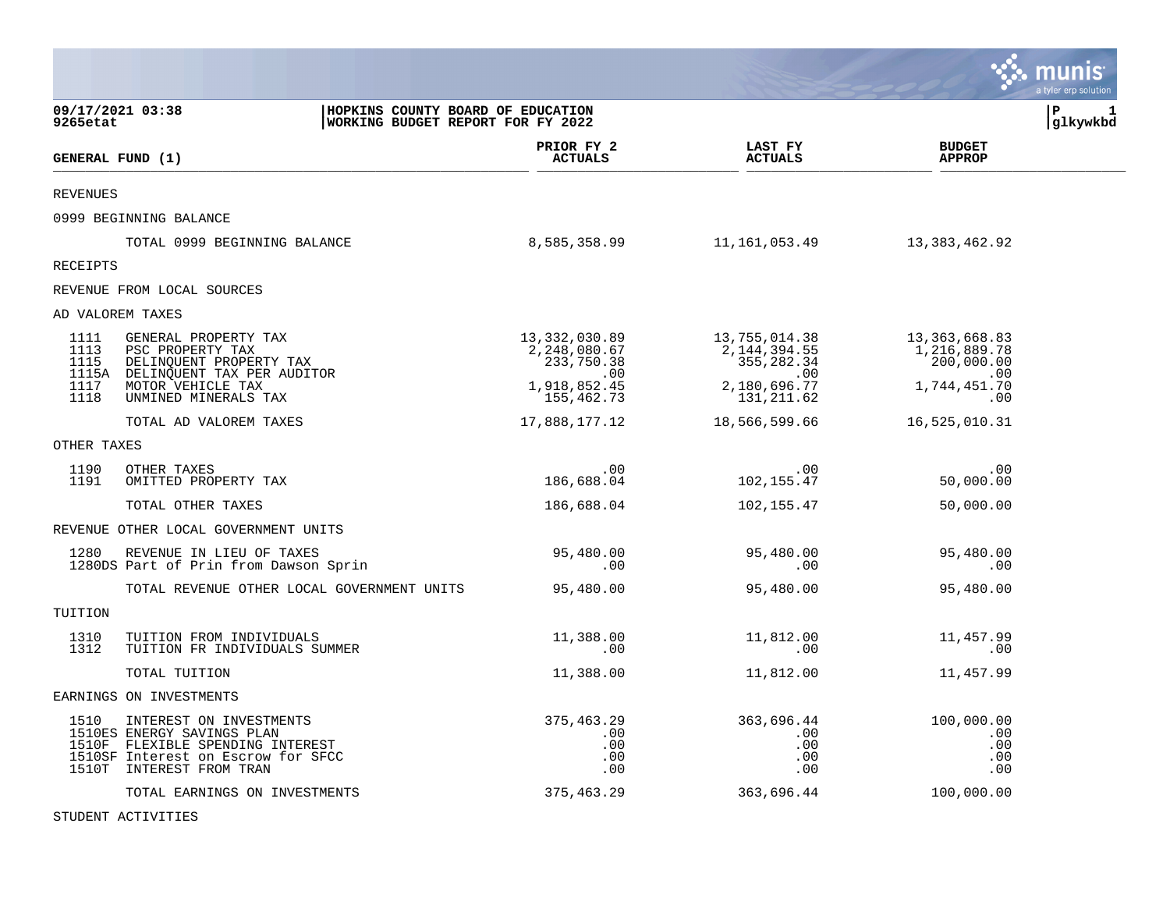|                                      |                                                                                                                                                             |                                                                                  |                                                                                  |                                                                           | munis<br>a tyler erp solution |
|--------------------------------------|-------------------------------------------------------------------------------------------------------------------------------------------------------------|----------------------------------------------------------------------------------|----------------------------------------------------------------------------------|---------------------------------------------------------------------------|-------------------------------|
| 09/17/2021 03:38<br>9265etat         |                                                                                                                                                             | HOPKINS COUNTY BOARD OF EDUCATION<br>WORKING BUDGET REPORT FOR FY 2022           |                                                                                  |                                                                           | l P<br>1<br> glkywkbd         |
| GENERAL FUND (1)                     |                                                                                                                                                             | PRIOR FY 2<br><b>ACTUALS</b>                                                     | LAST FY<br><b>ACTUALS</b>                                                        | <b>BUDGET</b><br><b>APPROP</b>                                            |                               |
| <b>REVENUES</b>                      |                                                                                                                                                             |                                                                                  |                                                                                  |                                                                           |                               |
|                                      | 0999 BEGINNING BALANCE                                                                                                                                      |                                                                                  |                                                                                  |                                                                           |                               |
|                                      | TOTAL 0999 BEGINNING BALANCE                                                                                                                                | 8,585,358.99                                                                     | 11,161,053.49                                                                    | 13,383,462.92                                                             |                               |
| <b>RECEIPTS</b>                      |                                                                                                                                                             |                                                                                  |                                                                                  |                                                                           |                               |
|                                      | REVENUE FROM LOCAL SOURCES                                                                                                                                  |                                                                                  |                                                                                  |                                                                           |                               |
| AD VALOREM TAXES                     |                                                                                                                                                             |                                                                                  |                                                                                  |                                                                           |                               |
| 1111<br>1113<br>1115<br>1117<br>1118 | GENERAL PROPERTY TAX<br>PSC PROPERTY TAX<br>DELINQUENT PROPERTY TAX<br>1115A DELINQUENT TAX PER AUDITOR<br>MOTOR VEHICLE TAX<br>UNMINED MINERALS TAX        | 13,332,030.89<br>2,248,080.67<br>233,750.38<br>.00<br>1,918,852.45<br>155,462.73 | 13,755,014.38<br>2,144,394.55<br>355,282.34<br>.00<br>2,180,696.77<br>131,211.62 | 13,363,668.83<br>1,216,889.78<br>200,000.00<br>.00<br>1,744,451.70<br>.00 |                               |
|                                      | TOTAL AD VALOREM TAXES                                                                                                                                      | 17,888,177.12                                                                    | 18,566,599.66                                                                    | 16,525,010.31                                                             |                               |
| OTHER TAXES                          |                                                                                                                                                             |                                                                                  |                                                                                  |                                                                           |                               |
| 1190<br>1191                         | OTHER TAXES<br>OMITTED PROPERTY TAX                                                                                                                         | .00<br>186,688.04                                                                | .00<br>102,155.47                                                                | .00<br>50,000.00                                                          |                               |
|                                      | TOTAL OTHER TAXES                                                                                                                                           | 186,688.04                                                                       | 102,155.47                                                                       | 50,000.00                                                                 |                               |
|                                      | REVENUE OTHER LOCAL GOVERNMENT UNITS                                                                                                                        |                                                                                  |                                                                                  |                                                                           |                               |
| 1280                                 | REVENUE IN LIEU OF TAXES<br>1280DS Part of Prin from Dawson Sprin                                                                                           | 95,480.00<br>.00                                                                 | 95,480.00<br>.00                                                                 | 95,480.00<br>.00                                                          |                               |
|                                      | TOTAL REVENUE OTHER LOCAL GOVERNMENT UNITS                                                                                                                  | 95,480.00                                                                        | 95,480.00                                                                        | 95,480.00                                                                 |                               |
| TUITION                              |                                                                                                                                                             |                                                                                  |                                                                                  |                                                                           |                               |
| 1310<br>1312                         | TUITION FROM INDIVIDUALS<br>TUITION FR INDIVIDUALS SUMMER                                                                                                   | 11,388.00<br>.00                                                                 | 11,812.00<br>.00                                                                 | 11,457.99<br>.00                                                          |                               |
|                                      | TOTAL TUITION                                                                                                                                               | 11,388.00                                                                        | 11,812.00                                                                        | 11,457.99                                                                 |                               |
|                                      | EARNINGS ON INVESTMENTS                                                                                                                                     |                                                                                  |                                                                                  |                                                                           |                               |
| 1510                                 | INTEREST ON INVESTMENTS<br>1510ES ENERGY SAVINGS PLAN<br>1510F FLEXIBLE SPENDING INTEREST<br>1510SF Interest on Escrow for SFCC<br>1510T INTEREST FROM TRAN | 375,463.29<br>.00<br>.00<br>.00<br>.00                                           | 363,696.44<br>.00<br>.00<br>.00<br>.00                                           | 100,000.00<br>.00<br>.00<br>.00<br>.00                                    |                               |
|                                      | TOTAL EARNINGS ON INVESTMENTS                                                                                                                               | 375,463.29                                                                       | 363,696.44                                                                       | 100,000.00                                                                |                               |

 $\bullet$ 

STUDENT ACTIVITIES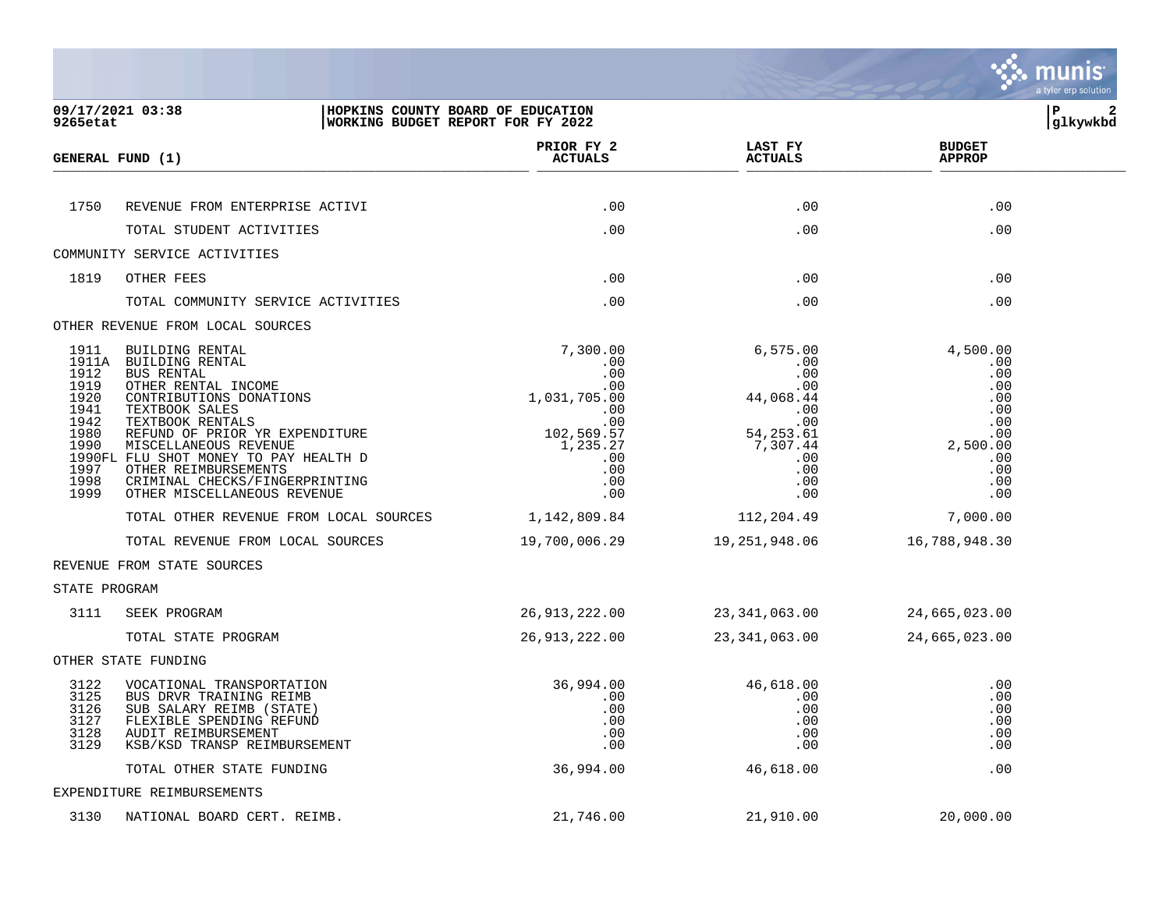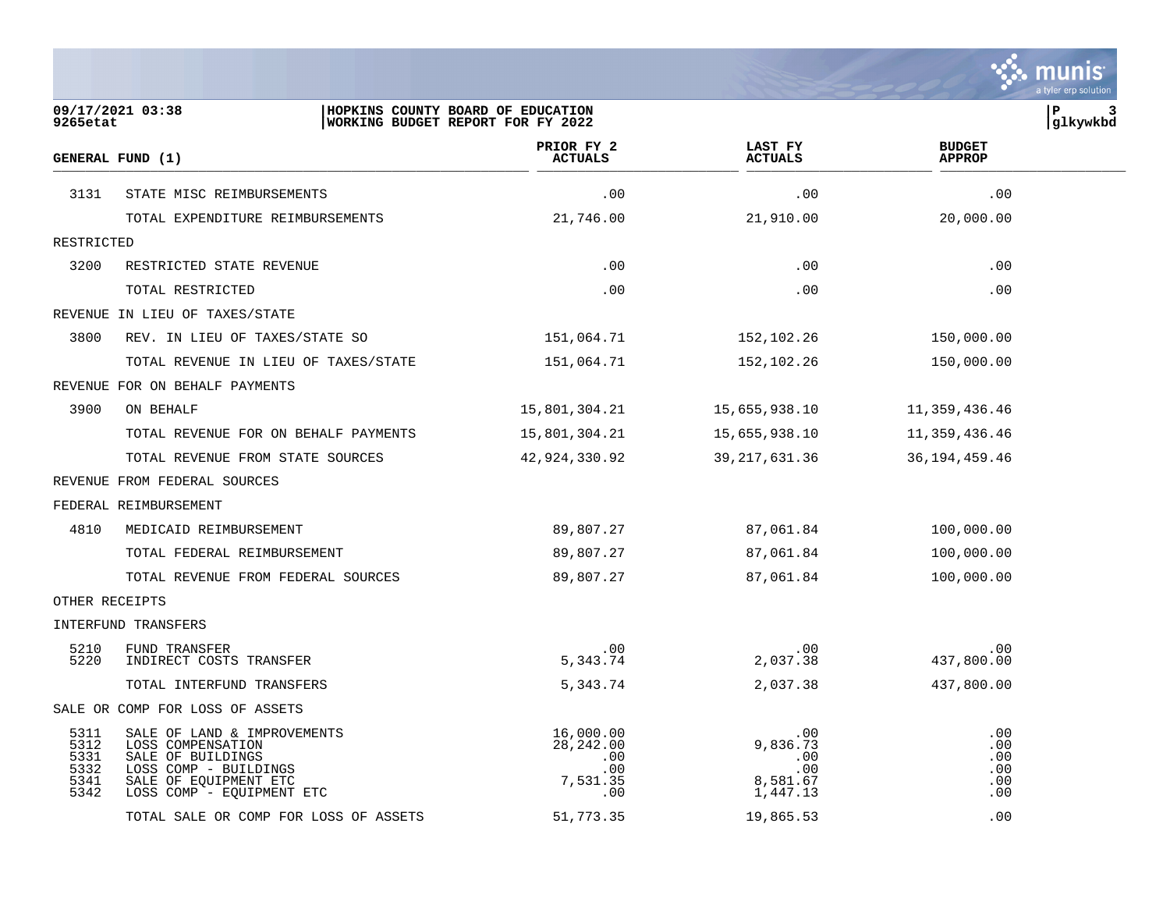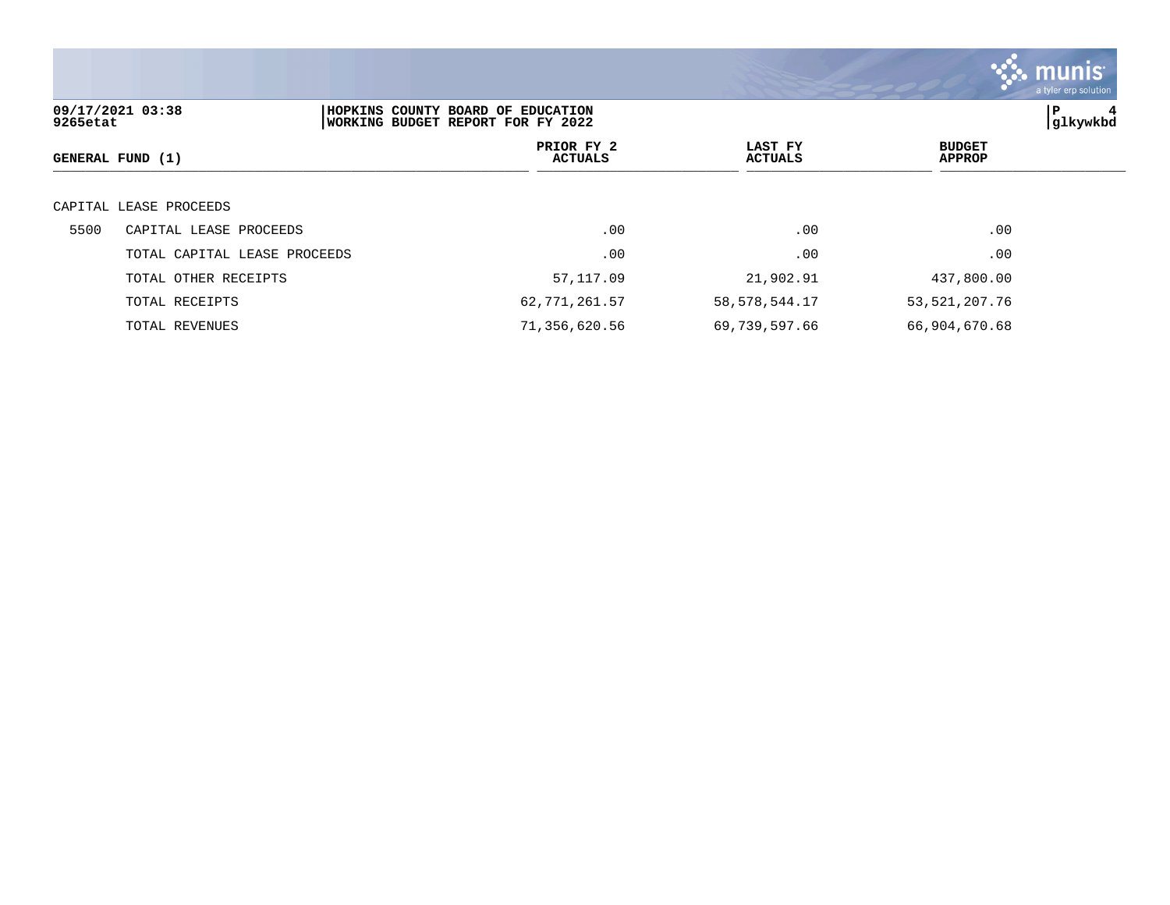|          |                              |                                                                        |                           |                                | <b>as munis</b><br>a tyler erp solution |
|----------|------------------------------|------------------------------------------------------------------------|---------------------------|--------------------------------|-----------------------------------------|
| 9265etat | 09/17/2021 03:38             | HOPKINS COUNTY BOARD OF EDUCATION<br>WORKING BUDGET REPORT FOR FY 2022 |                           |                                | P<br>glkywkbd                           |
|          | GENERAL FUND (1)             | PRIOR FY 2<br><b>ACTUALS</b>                                           | LAST FY<br><b>ACTUALS</b> | <b>BUDGET</b><br><b>APPROP</b> |                                         |
|          | CAPITAL LEASE PROCEEDS       |                                                                        |                           |                                |                                         |
| 5500     | CAPITAL LEASE PROCEEDS       | .00                                                                    | .00                       | .00                            |                                         |
|          | TOTAL CAPITAL LEASE PROCEEDS | .00                                                                    | .00                       | .00                            |                                         |
|          | TOTAL OTHER RECEIPTS         | 57,117.09                                                              | 21,902.91                 | 437,800.00                     |                                         |
|          | TOTAL RECEIPTS               | 62,771,261.57                                                          | 58, 578, 544.17           | 53, 521, 207. 76               |                                         |
|          | TOTAL REVENUES               | 71,356,620.56                                                          | 69,739,597.66             | 66,904,670.68                  |                                         |

the contract of the contract of the contract of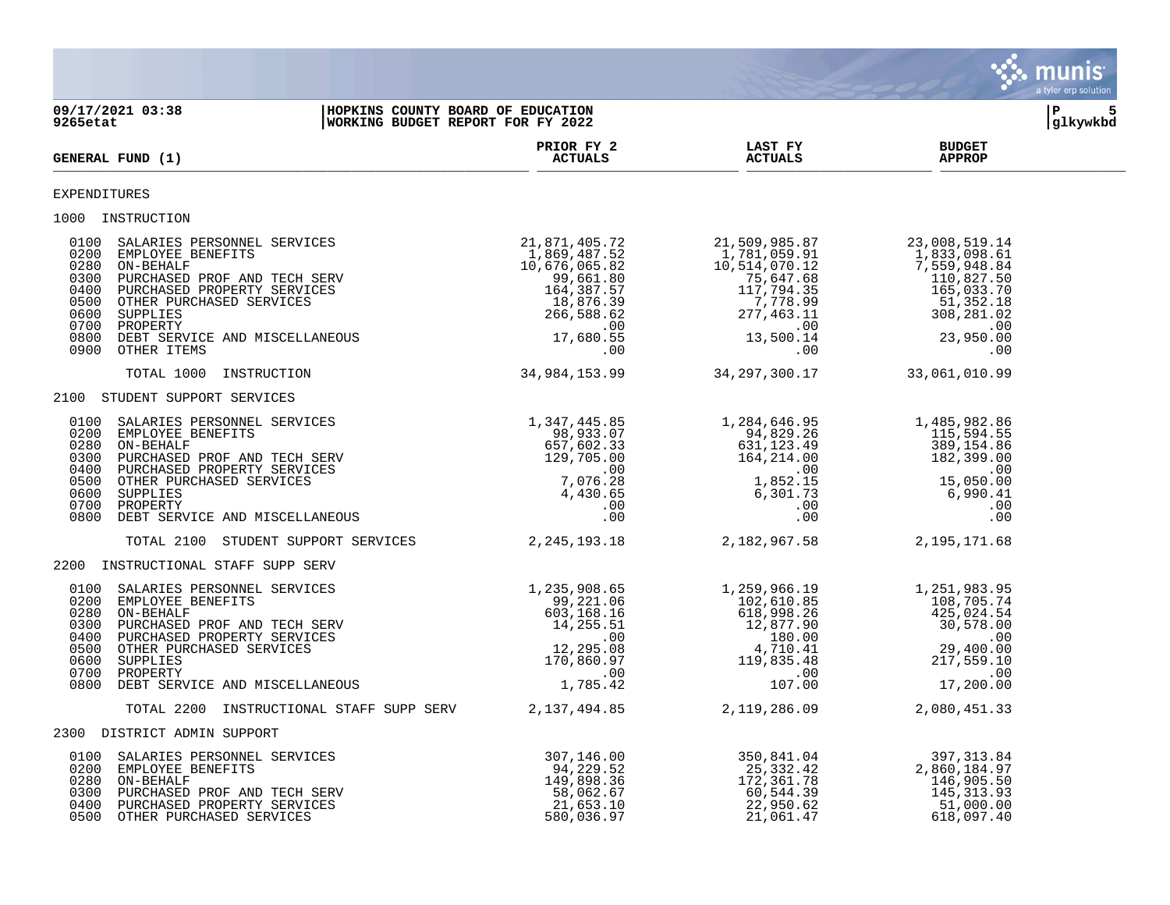|                                                                                                                                                                                                                                                                                                                                                                |                                                                               |                                                                              | munis                                                                               | a tyler erp solution |
|----------------------------------------------------------------------------------------------------------------------------------------------------------------------------------------------------------------------------------------------------------------------------------------------------------------------------------------------------------------|-------------------------------------------------------------------------------|------------------------------------------------------------------------------|-------------------------------------------------------------------------------------|----------------------|
| HOPKINS COUNTY BOARD OF EDUCATION<br>09/17/2021 03:38<br>WORKING BUDGET REPORT FOR FY 2022<br>9265etat                                                                                                                                                                                                                                                         |                                                                               |                                                                              | ΙP                                                                                  | 5<br>glkywkbd        |
| GENERAL FUND (1)                                                                                                                                                                                                                                                                                                                                               | PRIOR FY 2<br><b>ACTUALS</b>                                                  | <b>LAST FY</b><br><b>ACTUALS</b>                                             | <b>BUDGET</b><br><b>APPROP</b>                                                      |                      |
| EXPENDITURES                                                                                                                                                                                                                                                                                                                                                   |                                                                               |                                                                              |                                                                                     |                      |
| 1000 INSTRUCTION                                                                                                                                                                                                                                                                                                                                               |                                                                               |                                                                              |                                                                                     |                      |
| $\begin{array}{cccccc} 0100 & \texttt{SALARIES} & \texttt{BERSONNEL} & \texttt{SEIVICES} & 21,871,405.72 & 21,509,985.87 & 23,008,519.14 \\ 0200 & \texttt{EMDeVLOYE} & 1,869,487.52 & 1,781,059.9 & 12,509.9 & 12,509.9 & 12,509.9 & 12,509.9 & 12,509.9 & 12,509.9 & 12,509.9 & 12,509.9 & 12,509$                                                           |                                                                               | 21,509,985.87<br>1,781,059.91<br>10,514,070.10                               |                                                                                     |                      |
| TOTAL 1000 INSTRUCTION                                                                                                                                                                                                                                                                                                                                         |                                                                               | 34,984,153.99 34,297,300.17                                                  | 33,061,010.99                                                                       |                      |
| 2100 STUDENT SUPPORT SERVICES                                                                                                                                                                                                                                                                                                                                  |                                                                               |                                                                              |                                                                                     |                      |
| $\begin{array}{cccccc} 0100 & \texttt{SALARIES PERSONNEL SERVICES} & & & & & 1,347,445.85 & & & 1,284,646.95 & & & 1,485,982.86 \\ 0200 & \texttt{EMPLOYE BENREFITS} & & & & & & 98,933.07 & & & 94,829.26 & & & 115,594.55 \\ 0280 & \texttt{ON-BEHALED} & & & & & & & 94,829.26 & & & 115,594.55 \\ 0280 & \texttt{DIECHASED} & & & & & & & 94,8$            |                                                                               |                                                                              |                                                                                     |                      |
| TOTAL 2100 STUDENT SUPPORT SERVICES 2, 245, 193.18 2, 182, 967.58                                                                                                                                                                                                                                                                                              |                                                                               |                                                                              | 2,195,171.68                                                                        |                      |
| 2200 INSTRUCTIONAL STAFF SUPP SERV                                                                                                                                                                                                                                                                                                                             |                                                                               |                                                                              |                                                                                     |                      |
| $\begin{array}{cccccccc} 0100 & \texttt{SALARIES PERSONNEL} & \texttt{SERVICES} & & & & & 1,235,908.65 & & & 1,259,966.19 & & & 1,251,983.95 \\ 0200 & \texttt{EMPLOVER} & \texttt{BENEFTTS} & & & & & & 99,221.06 & & & & 102,610.85 & & & 108,705.74 \\ 0280 & \texttt{ON-BEHALED} & \texttt{PROF AND TECH SERVICES} & & & & & & 603,168.15 & & & & 618,998$ |                                                                               |                                                                              |                                                                                     |                      |
| TOTAL 2200 INSTRUCTIONAL STAFF SUPP SERV 2,137,494.85 2,119,286.09                                                                                                                                                                                                                                                                                             |                                                                               |                                                                              | 2,080,451.33                                                                        |                      |
| 2300 DISTRICT ADMIN SUPPORT                                                                                                                                                                                                                                                                                                                                    |                                                                               |                                                                              |                                                                                     |                      |
| 0100 SALARIES PERSONNEL SERVICES<br>0200 EMPLOYEE BENEFITS<br>0280 ON-BEHALF<br>0300 PURCHASED PROF AND TECH SERV<br>0400 PURCHASED PROPERTY SERVICES<br>0500 OTHER PURCHASED SERVICES                                                                                                                                                                         | 307,146.00<br>94,229.52<br>149,898.36<br>58,062.67<br>21,653.10<br>580,036.97 | 350,841.04<br>25,332.42<br>172,361.78<br>60,544.39<br>22,950.62<br>21,061.47 | 397, 313.84<br>2,860,184.97<br>146,905.50<br>145, 313.93<br>51,000.00<br>618,097.40 |                      |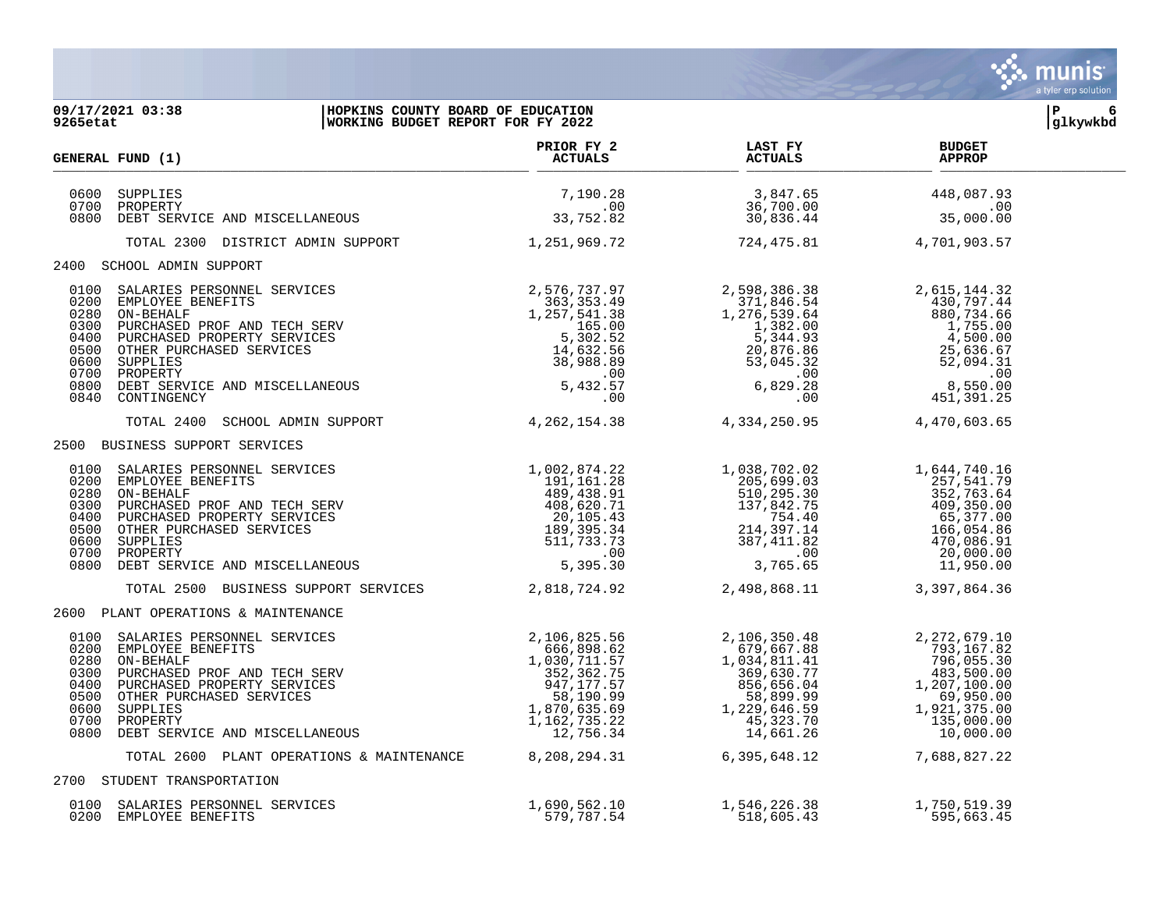|                                                              |                                                                                                                                                                                                                                                                                                                                                                                                              |                                                                                                                                                                     |                                                                                                                                                                                         | <b>munis</b><br>a tyler erp solution                                                                                                      |
|--------------------------------------------------------------|--------------------------------------------------------------------------------------------------------------------------------------------------------------------------------------------------------------------------------------------------------------------------------------------------------------------------------------------------------------------------------------------------------------|---------------------------------------------------------------------------------------------------------------------------------------------------------------------|-----------------------------------------------------------------------------------------------------------------------------------------------------------------------------------------|-------------------------------------------------------------------------------------------------------------------------------------------|
| 9265etat                                                     | 09/17/2021 03:38<br>HOPKINS COUNTY BOARD OF EDUCATION<br>WORKING BUDGET REPORT FOR FY 2022                                                                                                                                                                                                                                                                                                                   |                                                                                                                                                                     |                                                                                                                                                                                         | P<br>6<br>glkywkbd                                                                                                                        |
|                                                              | GENERAL FUND (1)                                                                                                                                                                                                                                                                                                                                                                                             | PRIOR FY 2<br><b>ACTUALS</b>                                                                                                                                        | <b>LAST FY</b><br><b>ACTUALS</b>                                                                                                                                                        | <b>BUDGET</b><br><b>APPROP</b>                                                                                                            |
| 0600<br>0700<br>0800                                         | SUPPLIES<br>PROPERTY<br>DEBT SERVICE AND MISCELLANEOUS                                                                                                                                                                                                                                                                                                                                                       | 7,190.28<br>$.00 \,$<br>33,752.82                                                                                                                                   | $\frac{3}{3}, \frac{847}{700}$ .00                                                                                                                                                      | 448,087.93<br>$\sim 00$<br>35,000.00                                                                                                      |
|                                                              | TOTAL 2300 DISTRICT ADMIN SUPPORT                                                                                                                                                                                                                                                                                                                                                                            | 1,251,969.72                                                                                                                                                        | 724,475.81                                                                                                                                                                              | 4,701,903.57                                                                                                                              |
|                                                              | 2400 SCHOOL ADMIN SUPPORT                                                                                                                                                                                                                                                                                                                                                                                    |                                                                                                                                                                     |                                                                                                                                                                                         |                                                                                                                                           |
| 0280<br>0300<br>0400<br>0700                                 | SALARIES PERSONNEL SERVICES<br>EMPLOYEE BENEFITS<br>ON-BEHALF<br>PURCHASED PROF AND TECH SERV<br>PURCHASED PROPERTY SERVICES<br>OTHER PURCHASED SERVICES<br>SUPPLIES<br>PROPERTY<br>DEBT SERVICE AND MISCELLANEOUS<br>CONTINGENCY<br>0100 SALARIES PERSONNEL SERVICES<br>0200 EMPLOYEE BENEFITS<br>0500 OTHER PURCHASED SERVICES<br>0600 SUPPLIES<br>0800 DEBT SERVICE AND MISCELLANEOUS<br>0840 CONTINGENCY | 2,576,737.97<br>363,353.49<br>1,257,541.38<br>$\begin{array}{r} .7541.30 \\ 165.00 \\ 5,302.52 \\ 14,632.56 \\ 38,988.89 \\ .00 \\ 5,432.57 \\ .00 \end{array}$     | 2,598,386.38<br>371,846.54<br>1,276,539.64<br>1,276,539.64<br>1,382.00<br>5,344.93<br>20,876.86<br>53,045.32<br>.00<br>6,829.28<br>.00                                                  | 2,615,144.32<br>430,797.44<br>880,734.66<br>1,755.00<br>4,500.00<br>25,636.67<br>52,094.31<br>$\sim 00$<br>8,550.00<br>451,391.25         |
|                                                              | TOTAL 2400 SCHOOL ADMIN SUPPORT                                                                                                                                                                                                                                                                                                                                                                              | 4, 262, 154. 38 4, 334, 250. 95                                                                                                                                     |                                                                                                                                                                                         | 4,470,603.65                                                                                                                              |
|                                                              | 2500 BUSINESS SUPPORT SERVICES                                                                                                                                                                                                                                                                                                                                                                               |                                                                                                                                                                     |                                                                                                                                                                                         |                                                                                                                                           |
| 0200<br>0280<br>0300<br>0400<br>0500<br>0600<br>0700<br>0800 | SALARIES PERSONNEL SERVICES<br>EMPLOYEE BENEFITS<br>ON-BEHALF<br>PURCHASED PROF AND TECH SERV<br>PURCHASED PROPERTY SERVICES<br>OTHER PURCHASED SERVICES<br>SUPPLIES<br>PROPERTY<br>0100 SALARIES PERSONNEL SERVICES<br>PROPERTY<br>DEBT SERVICE AND MISCELLANEOUS<br>TOTAL 2500 BUSINESS SUPPORT SERVICES 2,818,724.92                                                                                      | 1,002,874.22<br>191,161.28<br>$71$<br>$-35.43$<br>$-35.34$<br>$-733.73$<br>$-00$<br>$5,395.30$<br>$-724.92$<br>489,438.91<br>408,620.71<br>189,395.34<br>511,733.73 | 1,038,702.02<br>205,699.03<br>510,295.30<br>$\begin{array}{r} 137,842.75 \\ 137,842.75 \\ 754.40 \\ 214,397.14 \\ 387,411.82 \\ 2.755 \\ 0.256 \end{array}$<br>3,765.65<br>2,498,868.11 | 1,644,740.16<br>257,541.79<br>352,763.64<br>409,350.00<br>65,377.00<br>166,054.86<br>470,086.91<br>20,000.00<br>11,950.00<br>3,397,864.36 |
|                                                              | 2600 PLANT OPERATIONS & MAINTENANCE                                                                                                                                                                                                                                                                                                                                                                          |                                                                                                                                                                     |                                                                                                                                                                                         |                                                                                                                                           |
| 0100<br>0200<br>0280<br>0300<br>0400<br>0500<br>0700<br>0800 | SALARIES PERSONNEL SERVICES<br>EMPLOYEE BENEFITS<br>ON-BEHALF<br>PURCHASED PROF AND TECH SERV<br>PURCHASED PROPERTY SERVICES<br>OTHER PURCHASED SERVICES<br>SIPPLIES<br>0600 SUPPLIES<br>PROPERTY<br>DEBT SERVICE AND MISCELLANEOUS                                                                                                                                                                          | 2,106,825.56<br>666,898.62<br>1,030,711.57<br>352,362.75<br>947,177.57<br>58,190.99<br>1,870,635.69<br>1, 162, 735.22<br>12,756.34                                  | 2,106,350.48<br>679,667.88<br>1,034,811.41<br>369,630.77<br>856,656.04<br>58,899.99<br>1,229,646.59<br>45,323.70<br>14,661.26                                                           | 2,272,679.10<br>793,167.82<br>796,055.30<br>483,500.00<br>1,207,100.00<br>69,950.00<br>1,921,375.00<br>135,000.00<br>10,000.00            |
|                                                              | TOTAL 2600 PLANT OPERATIONS & MAINTENANCE                                                                                                                                                                                                                                                                                                                                                                    | 8,208,294.31                                                                                                                                                        | 6,395,648.12                                                                                                                                                                            | 7,688,827.22                                                                                                                              |
| 2700                                                         | STUDENT TRANSPORTATION                                                                                                                                                                                                                                                                                                                                                                                       |                                                                                                                                                                     |                                                                                                                                                                                         |                                                                                                                                           |
| 0100<br>0200                                                 | SALARIES PERSONNEL SERVICES<br>EMPLOYEE BENEFITS                                                                                                                                                                                                                                                                                                                                                             | 1,690,562.10<br>579,787.54                                                                                                                                          | 1,546,226.38<br>518,605.43                                                                                                                                                              | 1,750,519.39<br>595,663.45                                                                                                                |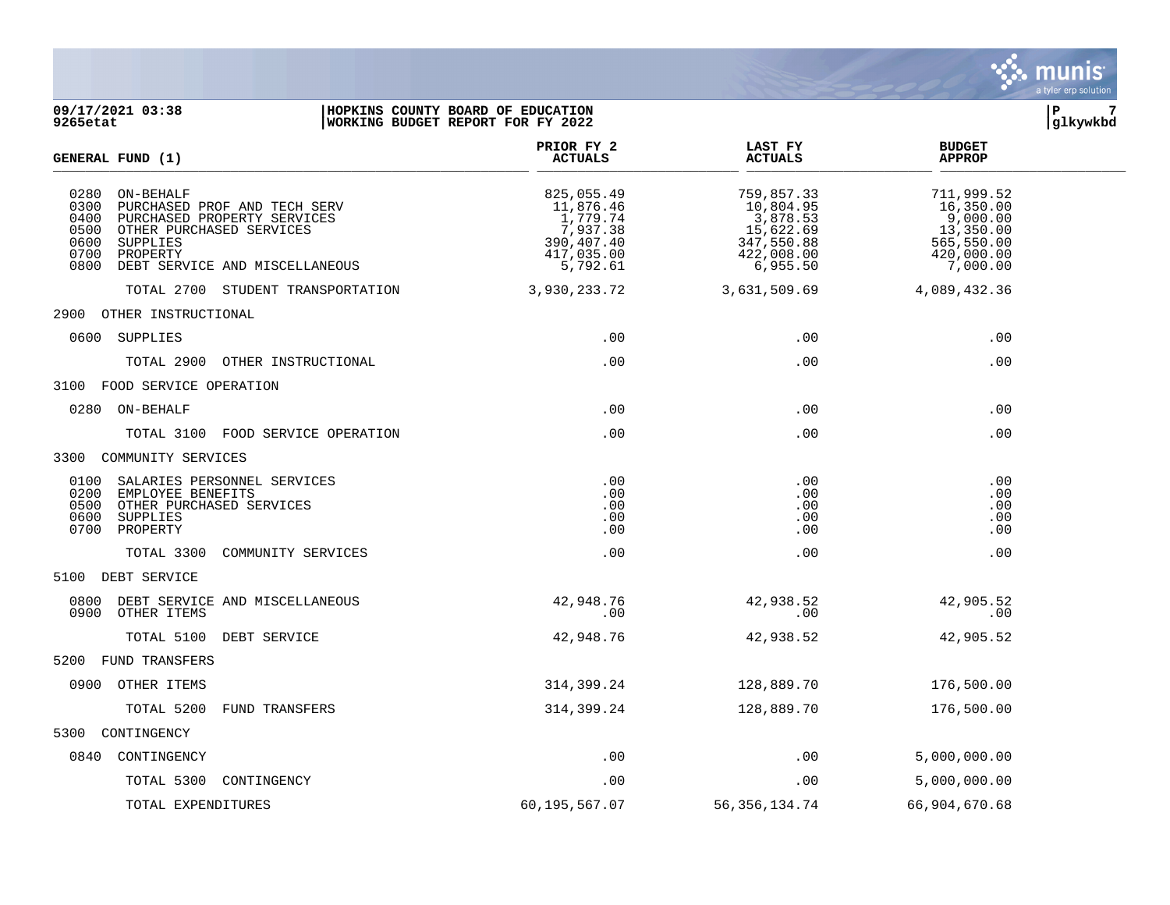

**09/17/2021 03:38 |HOPKINS COUNTY BOARD OF EDUCATION |P 7 WORKING BUDGET REPORT FOR FY 2022 PRIOR FY 2 LAST FY BUDGET**<br>ACTUALS **ACTUALS ACTUALS**  $GENERAL$  **FUND** (1)  $\frac{1}{\text{SUNERM}}$  for  $\frac{1}{\text{SUNERM}}$  for  $\frac{1}{\text{SUNERM}}$  0280 ON-BEHALF 825,055.49 759,857.33 711,999.52 0300 PURCHASED PROF AND TECH SERV 11,876.46 10,804.95 11,876.46 10,804.95 16,350.00<br>0400 PURCHASED PROPERTY SERVICES 1,779.74 3,878.53 9,000.00 0400 PURCHASED PROPERTY SERVICES (1,779.74 3,878.53 9,000.00<br>0500 OTHER PURCHASED SERVICES (1,779.74 3,378.38 15,622.69 15,622.69 13,350.00<br>0600 SUPPLIES (550.00 390,407.40 347,550.88 565,550.00 0500 OTHER PURCHASED SERVICES<br>0600 SUPPLIES 0600 SUPPLIES 390,407.40 347,550.88 565,550.00 0700 PROPERTY 417,035.00 422,008.00 420,000.00 0800 DEBT SERVICE AND MISCELLANEOUS 6,792.61 6,955.50 6,955.50 7,000.00 TOTAL 2700 STUDENT TRANSPORTATION 3,930,233.72 3,631,509.69 4,089,432.36 2900 OTHER INSTRUCTIONAL 0600 SUPPLIES .00 .00 .00 TOTAL 2900 OTHER INSTRUCTIONAL .00 .00 .00 3100 FOOD SERVICE OPERATION  $0.00$  . Or  $0.00$  . Or  $0.00$  . Or  $0.00$  . Or  $0.00$  . Or  $0.00$  . Or  $0.00$  . Or  $0.00$  . Or  $0.00$  . Or  $0.00$  . Or  $0.00$  . Or  $0.00$  . Or  $0.00$  . Or  $0.00$  . Or  $0.00$  . Or  $0.00$  . Or  $0.00$  . Or  $0.00$  . Or  $0.00$ TOTAL 3100 FOOD SERVICE OPERATION .00 .00 .00 3300 COMMUNITY SERVICES 0100 SALARIES PERSONNEL SERVICES .00 .00 .00 0200 EMPLOYEE BENEFITS .00 .00 .00 0500 OTHER PURCHASED SERVICES .00 .00 .00 0600 SUPPLIES .00 .00 .00 0700 PROPERTY .00 .00 .00 TOTAL 3300 COMMUNITY SERVICES .00 .00 .00 5100 DEBT SERVICE 0800 DEBT SERVICE AND MISCELLANEOUS 42,948.76 42,938.52 42,905.52 0900 OTHER ITEMS .00 .00 .00 TOTAL 5100 DEBT SERVICE  $42,948.76$   $42,938.52$   $42.905.52$ 5200 FUND TRANSFERS 0900 OTHER ITEMS 314,399.24 128,889.70 176,500.00 TOTAL 5200 FUND TRANSFERS 314,399.24 128,889.70 176,500.00 5300 CONTINGENCY 0840 CONTINGENCY .00 .00 5,000,000.00 TOTAL 5300 CONTINGENCY .00 .00 5,000,000.00

TOTAL EXPENDITURES 60,195,567.07 56,356,134.74 66,904,670.68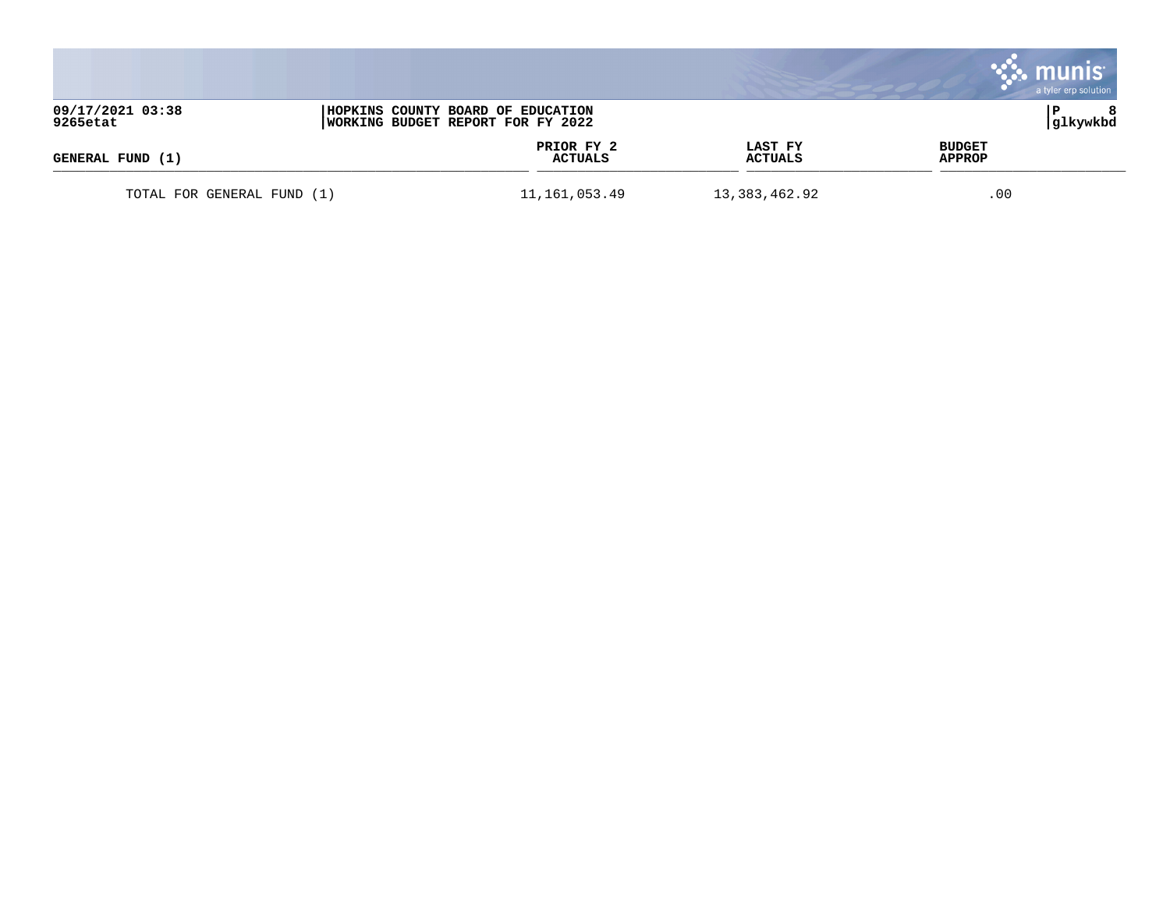|                              |                                                                        |                           | a tyler erp solution           |
|------------------------------|------------------------------------------------------------------------|---------------------------|--------------------------------|
| 09/17/2021 03:38<br>9265etat | HOPKINS COUNTY BOARD OF EDUCATION<br>WORKING BUDGET REPORT FOR FY 2022 |                           | glkywkbd                       |
| GENERAL FUND (1)             | PRIOR FY 2<br><b>ACTUALS</b>                                           | LAST FY<br><b>ACTUALS</b> | <b>BUDGET</b><br><b>APPROP</b> |
| TOTAL FOR GENERAL FUND (1)   | 11,161,053.49                                                          | 13, 383, 462.92           | .00                            |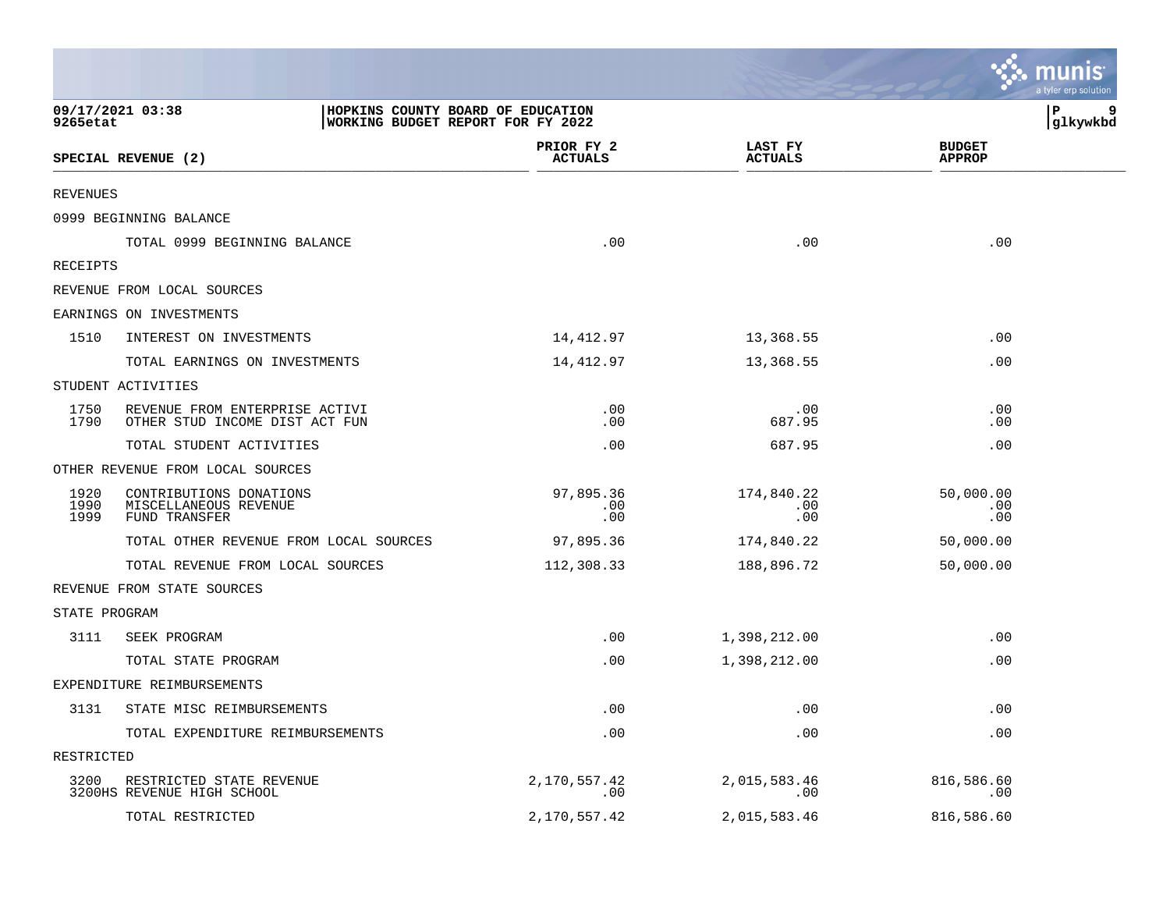|                      |                                                                                            |                              |                           | munis<br>a tyler erp solution  |
|----------------------|--------------------------------------------------------------------------------------------|------------------------------|---------------------------|--------------------------------|
| 9265etat             | HOPKINS COUNTY BOARD OF EDUCATION<br>09/17/2021 03:38<br>WORKING BUDGET REPORT FOR FY 2022 |                              |                           | P<br>glkywkbd                  |
|                      | SPECIAL REVENUE (2)                                                                        | PRIOR FY 2<br><b>ACTUALS</b> | LAST FY<br><b>ACTUALS</b> | <b>BUDGET</b><br><b>APPROP</b> |
| <b>REVENUES</b>      |                                                                                            |                              |                           |                                |
|                      | 0999 BEGINNING BALANCE                                                                     |                              |                           |                                |
|                      | TOTAL 0999 BEGINNING BALANCE                                                               | .00                          | .00                       | .00                            |
| RECEIPTS             |                                                                                            |                              |                           |                                |
|                      | REVENUE FROM LOCAL SOURCES                                                                 |                              |                           |                                |
|                      | EARNINGS ON INVESTMENTS                                                                    |                              |                           |                                |
| 1510                 | INTEREST ON INVESTMENTS                                                                    | 14,412.97                    | 13,368.55                 | .00                            |
|                      | TOTAL EARNINGS ON INVESTMENTS                                                              | 14,412.97                    | 13,368.55                 | .00                            |
|                      | STUDENT ACTIVITIES                                                                         |                              |                           |                                |
| 1750<br>1790         | REVENUE FROM ENTERPRISE ACTIVI<br>OTHER STUD INCOME DIST ACT FUN                           | .00<br>.00                   | .00<br>687.95             | .00<br>.00                     |
|                      | TOTAL STUDENT ACTIVITIES                                                                   | .00                          | 687.95                    | .00                            |
|                      | OTHER REVENUE FROM LOCAL SOURCES                                                           |                              |                           |                                |
| 1920<br>1990<br>1999 | CONTRIBUTIONS DONATIONS<br>MISCELLANEOUS REVENUE<br>FUND TRANSFER                          | 97,895.36<br>.00<br>.00      | 174,840.22<br>.00<br>.00  | 50,000.00<br>.00<br>.00        |
|                      | TOTAL OTHER REVENUE FROM LOCAL SOURCES                                                     | 97,895.36                    | 174,840.22                | 50,000.00                      |
|                      | TOTAL REVENUE FROM LOCAL SOURCES                                                           | 112,308.33                   | 188,896.72                | 50,000.00                      |
|                      | REVENUE FROM STATE SOURCES                                                                 |                              |                           |                                |
| STATE PROGRAM        |                                                                                            |                              |                           |                                |
| 3111                 | SEEK PROGRAM                                                                               | .00                          | 1,398,212.00              | .00                            |
|                      | TOTAL STATE PROGRAM                                                                        | .00                          | 1,398,212.00              | .00                            |
|                      | EXPENDITURE REIMBURSEMENTS                                                                 |                              |                           |                                |
|                      | 3131 STATE MISC REIMBURSEMENTS                                                             | .00                          | .00                       | .00                            |
|                      | TOTAL EXPENDITURE REIMBURSEMENTS                                                           | .00                          | .00                       | .00                            |
| RESTRICTED           |                                                                                            |                              |                           |                                |
| 3200                 | RESTRICTED STATE REVENUE<br>3200HS REVENUE HIGH SCHOOL                                     | 2,170,557.42<br>.00          | 2,015,583.46<br>.00       | 816,586.60<br>.00              |
|                      | TOTAL RESTRICTED                                                                           | 2,170,557.42                 | 2,015,583.46              | 816,586.60                     |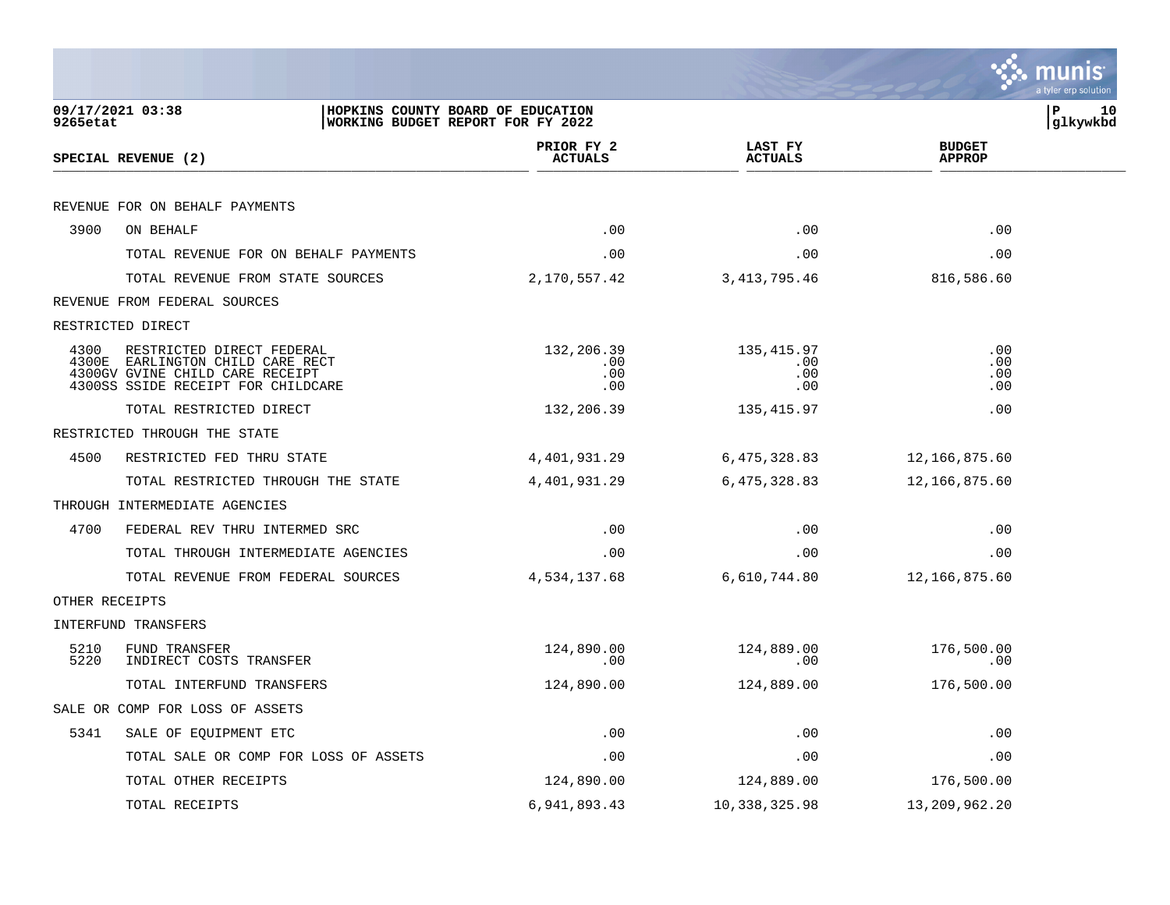|                |                                                                                                                                  |                                 |                                  |                                | munis<br>a tyler erp solution |
|----------------|----------------------------------------------------------------------------------------------------------------------------------|---------------------------------|----------------------------------|--------------------------------|-------------------------------|
| 9265etat       | 09/17/2021 03:38<br>HOPKINS COUNTY BOARD OF EDUCATION<br>WORKING BUDGET REPORT FOR FY 2022                                       |                                 |                                  | ΙP                             | 10<br> glkywkbd               |
|                | SPECIAL REVENUE (2)                                                                                                              | PRIOR FY 2<br><b>ACTUALS</b>    | LAST FY<br><b>ACTUALS</b>        | <b>BUDGET</b><br><b>APPROP</b> |                               |
|                | REVENUE FOR ON BEHALF PAYMENTS                                                                                                   |                                 |                                  |                                |                               |
| 3900           | ON BEHALF                                                                                                                        | .00                             | .00                              | .00                            |                               |
|                | TOTAL REVENUE FOR ON BEHALF PAYMENTS                                                                                             | .00                             | .00                              | .00                            |                               |
|                | TOTAL REVENUE FROM STATE SOURCES                                                                                                 | 2,170,557.42                    | 3, 413, 795.46                   | 816,586.60                     |                               |
|                | REVENUE FROM FEDERAL SOURCES                                                                                                     |                                 |                                  |                                |                               |
|                | RESTRICTED DIRECT                                                                                                                |                                 |                                  |                                |                               |
| 4300<br>4300E  | RESTRICTED DIRECT FEDERAL<br>EARLINGTON CHILD CARE RECT<br>4300GV GVINE CHILD CARE RECEIPT<br>4300SS SSIDE RECEIPT FOR CHILDCARE | 132,206.39<br>.00<br>.00<br>.00 | 135, 415.97<br>.00<br>.00<br>.00 | .00<br>.00<br>.00<br>.00       |                               |
|                | TOTAL RESTRICTED DIRECT                                                                                                          | 132,206.39                      | 135, 415.97                      | .00                            |                               |
|                | RESTRICTED THROUGH THE STATE                                                                                                     |                                 |                                  |                                |                               |
| 4500           | RESTRICTED FED THRU STATE                                                                                                        | 4,401,931.29                    | 6,475,328.83                     | 12,166,875.60                  |                               |
|                | TOTAL RESTRICTED THROUGH THE STATE                                                                                               | 4,401,931.29                    | 6,475,328.83                     | 12,166,875.60                  |                               |
|                | THROUGH INTERMEDIATE AGENCIES                                                                                                    |                                 |                                  |                                |                               |
| 4700           | FEDERAL REV THRU INTERMED SRC                                                                                                    | .00                             | .00                              | .00                            |                               |
|                | TOTAL THROUGH INTERMEDIATE AGENCIES                                                                                              | .00                             | .00                              | .00                            |                               |
|                | TOTAL REVENUE FROM FEDERAL SOURCES                                                                                               | 4,534,137.68                    | 6,610,744.80                     | 12,166,875.60                  |                               |
| OTHER RECEIPTS |                                                                                                                                  |                                 |                                  |                                |                               |
|                | <b>INTERFUND TRANSFERS</b>                                                                                                       |                                 |                                  |                                |                               |
| 5210<br>5220   | FUND TRANSFER<br>INDIRECT COSTS TRANSFER                                                                                         | 124,890.00<br>.00               | 124,889.00<br>.00                | 176,500.00<br>.00              |                               |
|                | TOTAL INTERFUND TRANSFERS                                                                                                        | 124,890.00                      | 124,889.00                       | 176,500.00                     |                               |
|                | SALE OR COMP FOR LOSS OF ASSETS                                                                                                  |                                 |                                  |                                |                               |
| 5341           | SALE OF EQUIPMENT ETC                                                                                                            | .00                             | .00                              | .00                            |                               |
|                | TOTAL SALE OR COMP FOR LOSS OF ASSETS                                                                                            | .00                             | .00                              | .00                            |                               |
|                | TOTAL OTHER RECEIPTS                                                                                                             | 124,890.00                      | 124,889.00                       | 176,500.00                     |                               |
|                | TOTAL RECEIPTS                                                                                                                   | 6,941,893.43                    | 10,338,325.98                    | 13,209,962.20                  |                               |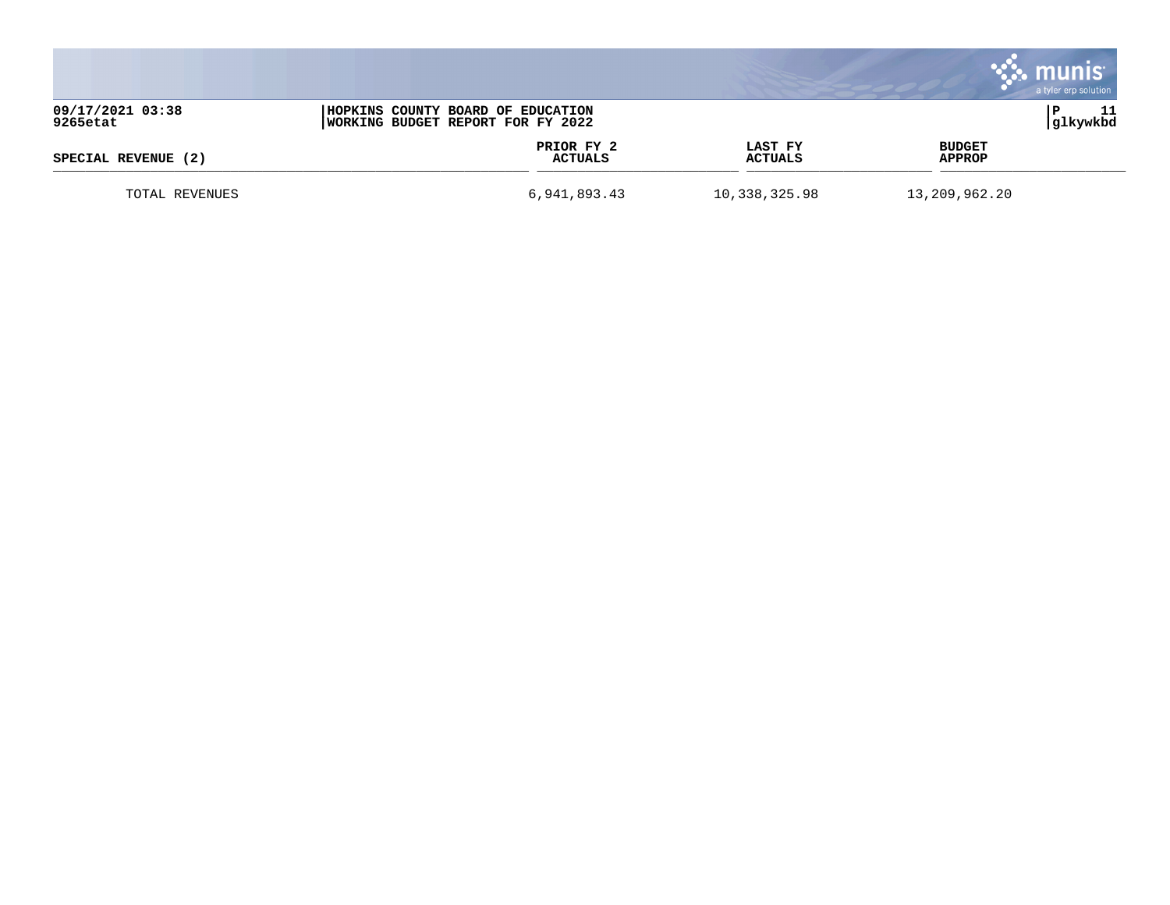|                              |                                                                        |                       |                    | a tyler erp solution           |
|------------------------------|------------------------------------------------------------------------|-----------------------|--------------------|--------------------------------|
| 09/17/2021 03:38<br>9265etat | HOPKINS COUNTY BOARD OF EDUCATION<br>WORKING BUDGET REPORT FOR FY 2022 |                       |                    | glkywkbd                       |
| SPECIAL REVENUE (2)          |                                                                        | PRIOR FY 2<br>ACTUALS | LAST FY<br>ACTUALS | <b>BUDGET</b><br><b>APPROP</b> |
| TOTAL REVENUES               |                                                                        | 6,941,893.43          | 10,338,325.98      | 13,209,962.20                  |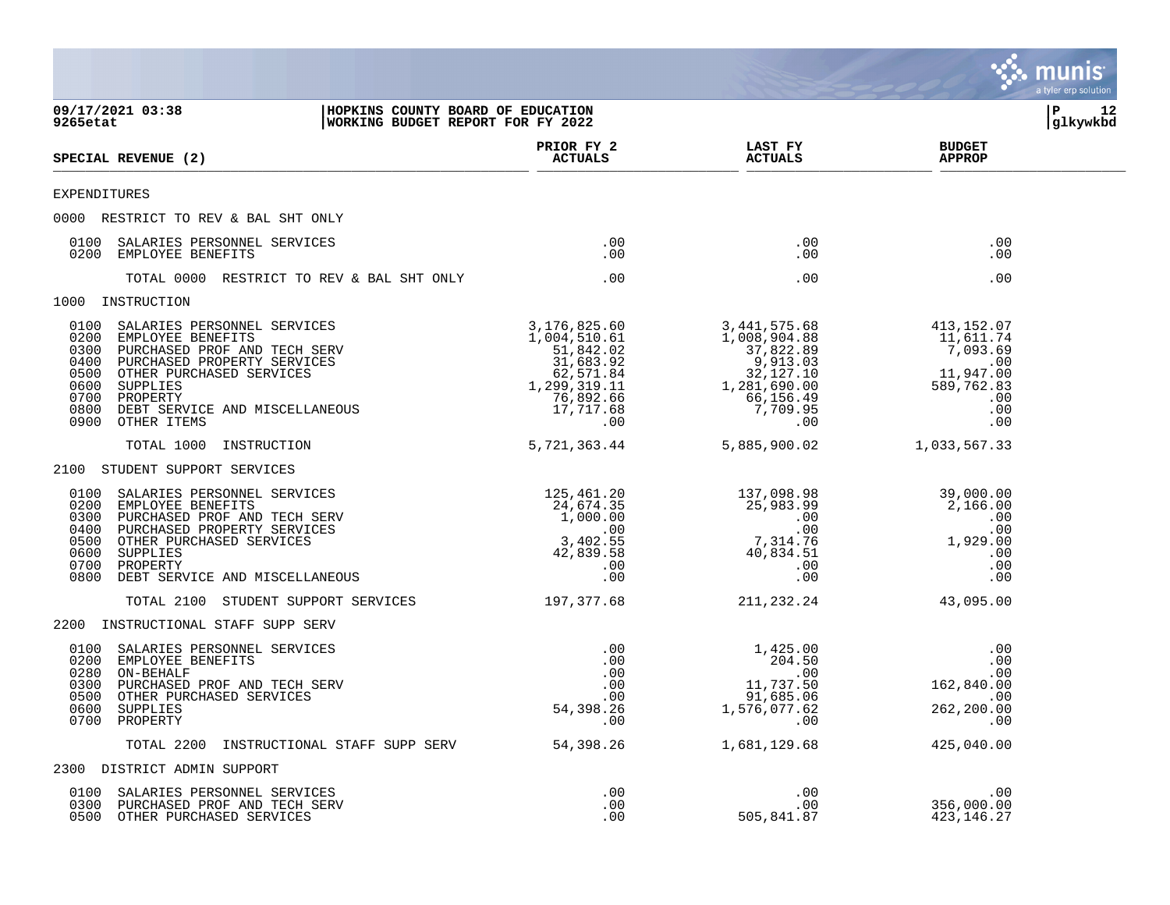|                                                                                                                                                                                                                                                                       |                                                                                                                                                                                               |                                                                                                                      | munis<br>a tyler erp solution                                                              |    |
|-----------------------------------------------------------------------------------------------------------------------------------------------------------------------------------------------------------------------------------------------------------------------|-----------------------------------------------------------------------------------------------------------------------------------------------------------------------------------------------|----------------------------------------------------------------------------------------------------------------------|--------------------------------------------------------------------------------------------|----|
| 09/17/2021 03:38<br>HOPKINS COUNTY BOARD OF EDUCATION<br>WORKING BUDGET REPORT FOR FY 2022<br>9265etat                                                                                                                                                                |                                                                                                                                                                                               |                                                                                                                      | P<br>glkywkbd                                                                              | 12 |
| SPECIAL REVENUE (2)                                                                                                                                                                                                                                                   | PRIOR FY 2<br><b>ACTUALS</b>                                                                                                                                                                  | LAST FY<br><b>ACTUALS</b>                                                                                            | <b>BUDGET</b><br><b>APPROP</b>                                                             |    |
| <b>EXPENDITURES</b>                                                                                                                                                                                                                                                   |                                                                                                                                                                                               |                                                                                                                      |                                                                                            |    |
| 0000 RESTRICT TO REV & BAL SHT ONLY                                                                                                                                                                                                                                   |                                                                                                                                                                                               |                                                                                                                      |                                                                                            |    |
| SALARIES PERSONNEL SERVICES<br>0100<br>0200<br>EMPLOYEE BENEFITS                                                                                                                                                                                                      | .00<br>.00                                                                                                                                                                                    | $.00 \,$<br>.00                                                                                                      | .00<br>.00                                                                                 |    |
| TOTAL 0000 RESTRICT TO REV & BAL SHT ONLY                                                                                                                                                                                                                             | .00                                                                                                                                                                                           | .00                                                                                                                  | .00                                                                                        |    |
| 1000 INSTRUCTION                                                                                                                                                                                                                                                      |                                                                                                                                                                                               |                                                                                                                      |                                                                                            |    |
| 0100 SALARIES PERSONNEL SERVICES<br>0200 EMPLOYEE BENEFITS<br>0300 PURCHASED PROF AND TECH SERV<br>0400 PURCHASED PROPERTY SERVICES<br>0500 OTHER PURCHASED SERVICES<br>0600 SUPPLIES<br>0700 PROPERTY<br>0800 DEBT SERVICE AND MISCELLANEOUS<br>0000                 | 3,176,825.60<br>$1,004,510.61$<br>51,842.02<br>31,683.92<br>62,571.84<br>1,299,319.11<br>76,892.66<br>17,717.68<br>$.00 \,$                                                                   | 3,441,575.68<br>1,008,904.88<br>37,822.89<br>9,913.03<br>$32,127.10$<br>1,281,690.00<br>66,156.49<br>7,709.95<br>.00 | 413,152.07<br>11,611.74<br>7,093.69<br>.00<br>11,947.00<br>589,762.83<br>.00<br>.00<br>.00 |    |
| TOTAL 1000 INSTRUCTION                                                                                                                                                                                                                                                | 5,721,363.44                                                                                                                                                                                  | 5,885,900.02                                                                                                         | 1,033,567.33                                                                               |    |
| 2100 STUDENT SUPPORT SERVICES                                                                                                                                                                                                                                         |                                                                                                                                                                                               |                                                                                                                      |                                                                                            |    |
| SALARIES PERSONNEL SERVICES<br>0100<br>0200<br>EMPLOYEE BENEFITS<br>0300<br>PURCHASED PROF AND TECH SERV<br>PURCHASED PROPERTY SERVICES<br>0400<br>0500<br>OTHER PURCHASED SERVICES<br>0600<br>SUPPLIES<br>0700<br>PROPERTY<br>0800<br>DEBT SERVICE AND MISCELLANEOUS | 125,461.20<br>$25,461.20$<br>$24,674.35$<br>$0.00.00$<br>.00<br>$\begin{array}{c} . & 00 \\ 3 \, , 402 \, . \, 55 \\ 42 \, , 839 \, . \, 58 \\ 0 \, . \end{array}$<br>42,839.58<br>.00<br>.00 | 137,098.98<br>$25,983.99$<br>.00<br>.00<br>.00<br>.7,314.76<br>40,834.51<br>$.00 \,$<br>.00                          | 39,000.00<br>2,166.00<br>.00<br>.00<br>1,929.00<br>.00<br>.00<br>.00                       |    |
| TOTAL 2100 STUDENT SUPPORT SERVICES                                                                                                                                                                                                                                   | 197,377.68                                                                                                                                                                                    | 211,232.24                                                                                                           | 43,095.00                                                                                  |    |
| 2200 INSTRUCTIONAL STAFF SUPP SERV                                                                                                                                                                                                                                    |                                                                                                                                                                                               |                                                                                                                      |                                                                                            |    |
| 0100<br>SALARIES PERSONNEL SERVICES<br>0200<br>EMPLOYEE BENEFITS<br>0280<br>ON-BEHALF<br>0300<br>PURCHASED PROF AND TECH SERV<br>0500<br>OTHER PURCHASED SERVICES<br>0600 SUPPLIES<br>0700 PROPERTY                                                                   | .00<br>.00<br>.00<br>.00<br>.00<br>54,398.26<br>.00                                                                                                                                           | 1,425.00<br>204.50<br>.00<br>11,737.50<br>91,685.06<br>1,576,077.62<br>.00                                           | .00<br>.00<br>.00<br>162,840.00<br>.00<br>262,200.00<br>.00                                |    |
| TOTAL 2200 INSTRUCTIONAL STAFF SUPP SERV                                                                                                                                                                                                                              | 54,398.26                                                                                                                                                                                     | 1,681,129.68                                                                                                         | 425,040.00                                                                                 |    |
| 2300 DISTRICT ADMIN SUPPORT                                                                                                                                                                                                                                           |                                                                                                                                                                                               |                                                                                                                      |                                                                                            |    |
| 0100 SALARIES PERSONNEL SERVICES<br>0300 PURCHASED PROF AND TECH SERV<br>0500 OTHER PURCHASED SERVICES                                                                                                                                                                | .00<br>.00<br>.00                                                                                                                                                                             | .00<br>.00<br>505,841.87                                                                                             | .00<br>356,000.00<br>423, 146. 27                                                          |    |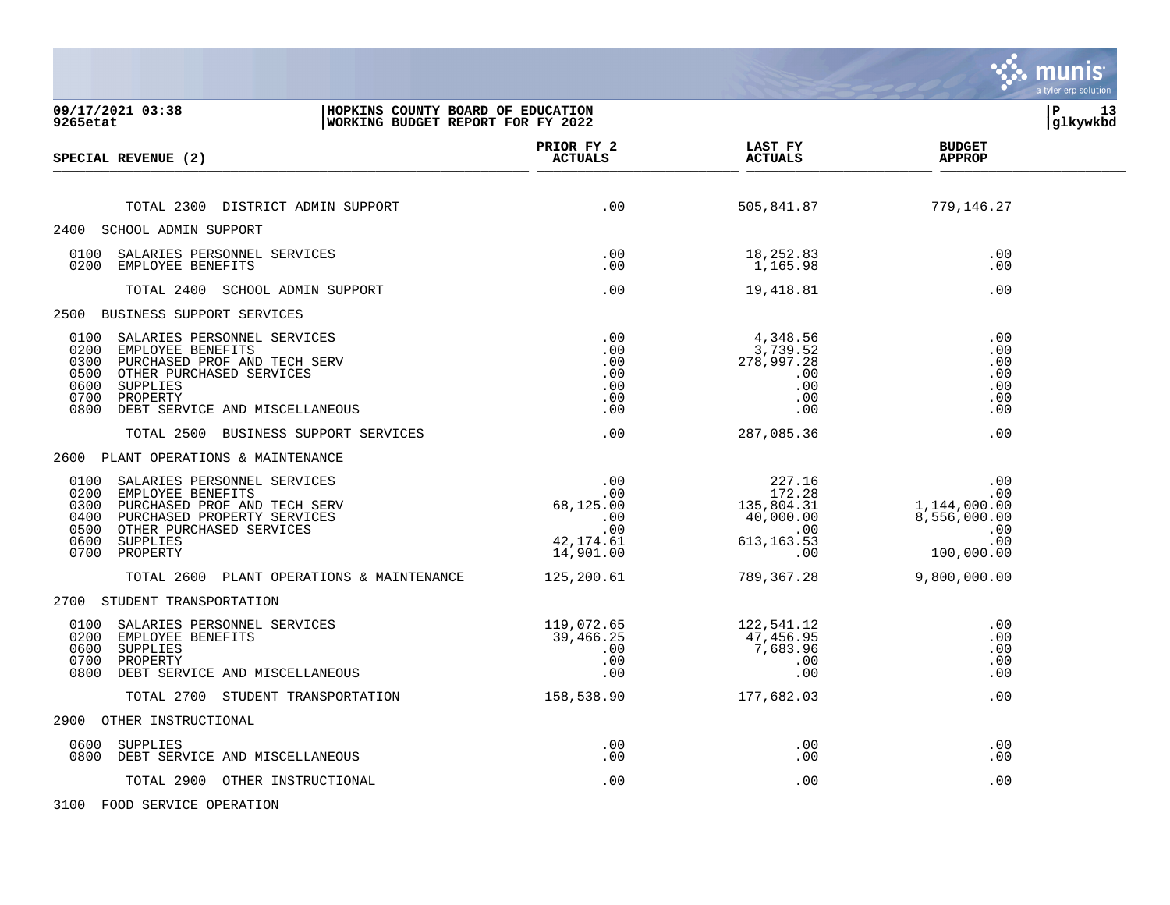| 09/17/2021 03:38<br>HOPKINS COUNTY BOARD OF EDUCATION<br>9265etat<br>WORKING BUDGET REPORT FOR FY 2022                                                                                                                |                                                         |                                                                                                                                                                                             |                                                                                                                                                              | 13<br>l P<br>  glkywkbd |
|-----------------------------------------------------------------------------------------------------------------------------------------------------------------------------------------------------------------------|---------------------------------------------------------|---------------------------------------------------------------------------------------------------------------------------------------------------------------------------------------------|--------------------------------------------------------------------------------------------------------------------------------------------------------------|-------------------------|
| SPECIAL REVENUE (2)                                                                                                                                                                                                   | PRIOR FY 2<br><b>ACTUALS</b>                            | <b>LAST FY</b><br><b>ACTUALS</b>                                                                                                                                                            | <b>BUDGET</b><br><b>APPROP</b>                                                                                                                               |                         |
|                                                                                                                                                                                                                       |                                                         |                                                                                                                                                                                             |                                                                                                                                                              |                         |
| TOTAL 2300 DISTRICT ADMIN SUPPORT                                                                                                                                                                                     | .00                                                     | 505,841.87                                                                                                                                                                                  | 779,146.27                                                                                                                                                   |                         |
| 2400 SCHOOL ADMIN SUPPORT                                                                                                                                                                                             |                                                         |                                                                                                                                                                                             |                                                                                                                                                              |                         |
| 0100 SALARIES PERSONNEL SERVICES<br>0200 EMPLOYEE BENEFITS                                                                                                                                                            | $\begin{array}{c} .00 \\ .00 \\ .00 \end{array}$<br>.00 | 18,252.83<br>1,165.98                                                                                                                                                                       | .00<br>.00                                                                                                                                                   |                         |
| TOTAL 2400 SCHOOL ADMIN SUPPORT                                                                                                                                                                                       |                                                         | 19,418.81                                                                                                                                                                                   | .00                                                                                                                                                          |                         |
| 2500 BUSINESS SUPPORT SERVICES                                                                                                                                                                                        |                                                         |                                                                                                                                                                                             |                                                                                                                                                              |                         |
| SALARIES PERSONNEL SERVICES<br>0100<br>EMPLOYEE BENEFITS<br>0200<br>0300<br>PURCHASED PROF AND TECH SERV<br>0500 OTHER PURCHASED SERVICES<br>0600<br>SUPPLIES<br>0700 PROPERTY<br>0800 DEBT SERVICE AND MISCELLANEOUS | $.00$<br>$.00$<br>$.00$                                 | $\begin{array}{c} 4\,, 348\,. 56\ 3\,, 739\,. 52\ 278\,, 997\,. 28\ .00\ \end{array}$<br>.00<br>.00<br>.00<br>.00                                                                           | .00<br>.00<br>.00<br>.00<br>.00<br>.00<br>.00                                                                                                                |                         |
| TOTAL 2500 BUSINESS SUPPORT SERVICES                                                                                                                                                                                  | .00                                                     | 287,085.36                                                                                                                                                                                  | .00                                                                                                                                                          |                         |
| 2600 PLANT OPERATIONS & MAINTENANCE                                                                                                                                                                                   |                                                         |                                                                                                                                                                                             |                                                                                                                                                              |                         |
| 0100 SALARIES PERSONNEL SERVICES<br>0200<br>EMPLOYEE BENEFITS<br>PURCHASED PROF AND TECH SERV<br>0300<br>0400 PURCHASED PROPERTY SERVICES<br>0500 OTHER PURCHASED SERVICES<br>0600 SUPPLIES<br>0700 PROPERTY          |                                                         | $\begin{array}{c cc} .00 & 227.16 \\ .00 & 172.28 \\ 68,125.00 & 135,804.31 \\ .00 & 40,000.00 \\ .00 & 40,000.00 \\ .00 & .00 \\ 42,174.61 & 613,163.53 \\ 14,901.00 & .00 \\ \end{array}$ | 00 .<br>00 .<br>1 , 144 , 000 . 00<br>8 , 556 , 000 . 00<br>00 . 000 , 556 , 8<br>$\begin{array}{c} . & 0 & 0 \\ 0 & 0 & 0 \end{array}$<br>.00<br>100,000.00 |                         |
| TOTAL 2600 PLANT OPERATIONS & MAINTENANCE                                                                                                                                                                             | 125,200.61                                              | 789,367.28                                                                                                                                                                                  | 9,800,000.00                                                                                                                                                 |                         |
| 2700 STUDENT TRANSPORTATION                                                                                                                                                                                           |                                                         |                                                                                                                                                                                             |                                                                                                                                                              |                         |
| 0100 SALARIES PERSONNEL SERVICES<br>0200 EMPLOYEE BENEFITS<br>0600<br>SUPPLIES<br>0700 PROPERTY<br>0800 DEBT SERVICE AND MISCELLANEOUS                                                                                | 119,072.65<br>39,466.25<br>$.00\,$<br>.00<br>.00        | $122,541.12$<br>$47,456.95$<br>$7,683.96$<br>$.00$<br>$.00$<br>.00                                                                                                                          | .00<br>.00<br>.00<br>.00<br>.00                                                                                                                              |                         |
| TOTAL 2700 STUDENT TRANSPORTATION 158,538.90                                                                                                                                                                          |                                                         | 177,682.03                                                                                                                                                                                  | .00                                                                                                                                                          |                         |
| 2900 OTHER INSTRUCTIONAL                                                                                                                                                                                              |                                                         |                                                                                                                                                                                             |                                                                                                                                                              |                         |
| 0600 SUPPLIES<br>0800 DEBT SERVICE AND MISCELLANEOUS                                                                                                                                                                  | $.00 \,$<br>.00                                         | $.00\,$<br>.00                                                                                                                                                                              | .00<br>.00                                                                                                                                                   |                         |
| TOTAL 2900 OTHER INSTRUCTIONAL                                                                                                                                                                                        | .00                                                     | .00                                                                                                                                                                                         | .00                                                                                                                                                          |                         |
| 3100 FOOD SERVICE OPERATION                                                                                                                                                                                           |                                                         |                                                                                                                                                                                             |                                                                                                                                                              |                         |

 $\ddot{\ddot{\mathbf{u}}}$  munis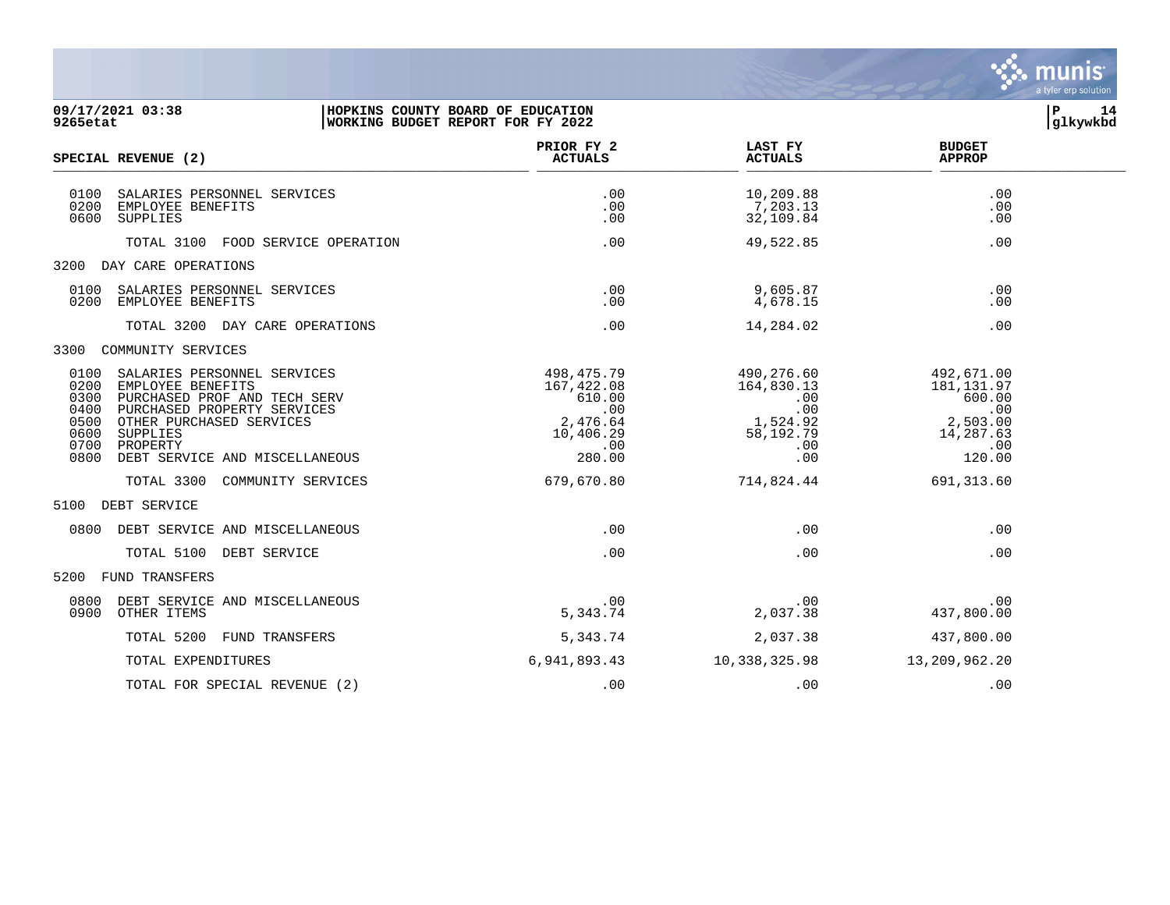

| 09/17/2021 03:38<br>9265etat | HOPKINS COUNTY BOARD OF EDUCATION<br>WORKING BUDGET REPORT FOR FY 2022 |             |                |               | glkywkbd |
|------------------------------|------------------------------------------------------------------------|-------------|----------------|---------------|----------|
|                              |                                                                        | pprop put o | <b>TAOM DY</b> | <b>DIDOIT</b> |          |

| SPECIAL REVENUE (2)                                                                                                                                                                                                                                                   | PRIOR FY 2<br><b>ACTUALS</b>                                                        | <b>LAST FY</b><br><b>ACTUALS</b>                                              | <b>BUDGET</b><br><b>APPROP</b>                                                            |  |
|-----------------------------------------------------------------------------------------------------------------------------------------------------------------------------------------------------------------------------------------------------------------------|-------------------------------------------------------------------------------------|-------------------------------------------------------------------------------|-------------------------------------------------------------------------------------------|--|
| 0100<br>SALARIES PERSONNEL SERVICES<br>0200<br>EMPLOYEE BENEFITS<br>0600<br>SUPPLIES                                                                                                                                                                                  | .00<br>.00<br>.00                                                                   | 10,209.88<br>7,203.13<br>32,109.84                                            | .00<br>.00<br>.00                                                                         |  |
| TOTAL 3100<br>FOOD SERVICE OPERATION                                                                                                                                                                                                                                  | .00                                                                                 | 49,522.85                                                                     | .00                                                                                       |  |
| DAY CARE OPERATIONS<br>3200                                                                                                                                                                                                                                           |                                                                                     |                                                                               |                                                                                           |  |
| 0100<br>SALARIES PERSONNEL SERVICES<br>0200<br>EMPLOYEE BENEFITS                                                                                                                                                                                                      | .00<br>.00                                                                          | 9,605.87<br>4,678.15                                                          | .00<br>.00                                                                                |  |
| TOTAL 3200 DAY CARE OPERATIONS                                                                                                                                                                                                                                        | .00                                                                                 | 14,284.02                                                                     | .00                                                                                       |  |
| COMMUNITY SERVICES<br>3300                                                                                                                                                                                                                                            |                                                                                     |                                                                               |                                                                                           |  |
| 0100<br>SALARIES PERSONNEL SERVICES<br>0200<br>EMPLOYEE BENEFITS<br>0300<br>PURCHASED PROF AND TECH SERV<br>0400<br>PURCHASED PROPERTY SERVICES<br>0500<br>OTHER PURCHASED SERVICES<br>0600<br>SUPPLIES<br>0700<br>PROPERTY<br>0800<br>DEBT SERVICE AND MISCELLANEOUS | 498,475.79<br>167,422.08<br>610.00<br>.00<br>2,476.64<br>10,406.29<br>.00<br>280.00 | 490,276.60<br>164,830.13<br>.00<br>.00<br>1,524.92<br>58,192.79<br>.00<br>.00 | 492,671.00<br>181, 131.97<br>600.00<br>.00<br>2,503.00<br>14,287.63<br>$\ldots$<br>120.00 |  |
| TOTAL 3300<br>COMMUNITY SERVICES                                                                                                                                                                                                                                      | 679,670.80                                                                          | 714,824.44                                                                    | 691, 313.60                                                                               |  |
| DEBT SERVICE<br>5100                                                                                                                                                                                                                                                  |                                                                                     |                                                                               |                                                                                           |  |
| 0800<br>DEBT SERVICE AND MISCELLANEOUS                                                                                                                                                                                                                                | .00                                                                                 | .00                                                                           | .00                                                                                       |  |
| TOTAL 5100 DEBT SERVICE                                                                                                                                                                                                                                               | .00                                                                                 | .00                                                                           | .00                                                                                       |  |
| 5200<br>FUND TRANSFERS                                                                                                                                                                                                                                                |                                                                                     |                                                                               |                                                                                           |  |
| 0800<br>DEBT SERVICE AND MISCELLANEOUS<br>0900<br>OTHER ITEMS                                                                                                                                                                                                         | .00<br>5,343.74                                                                     | .00<br>2,037.38                                                               | .00<br>437,800.00                                                                         |  |
| TOTAL 5200<br>FUND TRANSFERS                                                                                                                                                                                                                                          | 5,343.74                                                                            | 2,037.38                                                                      | 437,800.00                                                                                |  |
| TOTAL EXPENDITURES                                                                                                                                                                                                                                                    | 6,941,893.43                                                                        | 10,338,325.98                                                                 | 13,209,962.20                                                                             |  |
| TOTAL FOR SPECIAL REVENUE (2)                                                                                                                                                                                                                                         | .00                                                                                 | .00                                                                           | .00                                                                                       |  |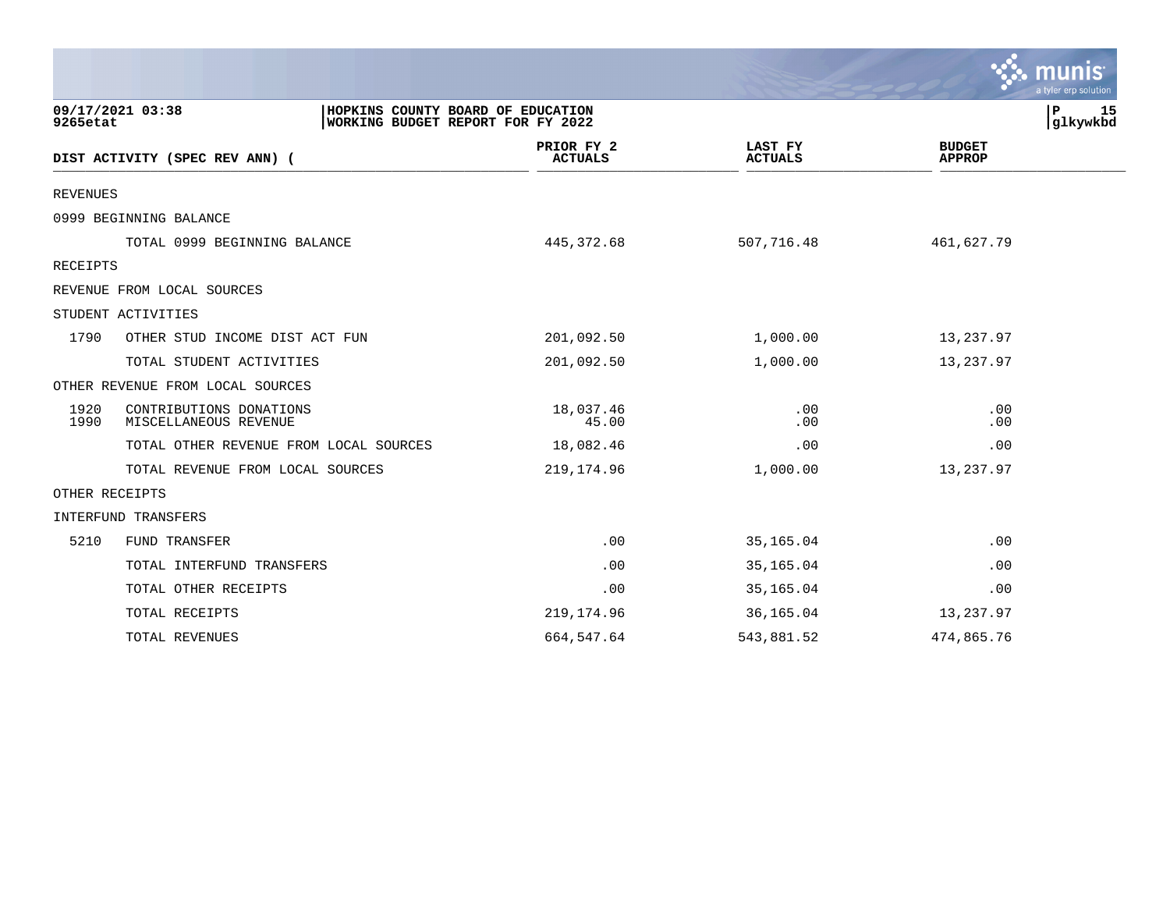|                 |                                                                                            |                              |                                  | a tyler erp solution           |
|-----------------|--------------------------------------------------------------------------------------------|------------------------------|----------------------------------|--------------------------------|
| 9265etat        | 09/17/2021 03:38<br>HOPKINS COUNTY BOARD OF EDUCATION<br>WORKING BUDGET REPORT FOR FY 2022 |                              |                                  | P<br>15<br>glkywkbd            |
|                 | DIST ACTIVITY (SPEC REV ANN) (                                                             | PRIOR FY 2<br><b>ACTUALS</b> | <b>LAST FY</b><br><b>ACTUALS</b> | <b>BUDGET</b><br><b>APPROP</b> |
| <b>REVENUES</b> |                                                                                            |                              |                                  |                                |
|                 | 0999 BEGINNING BALANCE                                                                     |                              |                                  |                                |
|                 | TOTAL 0999 BEGINNING BALANCE                                                               | 445, 372.68                  | 507,716.48                       | 461,627.79                     |
| RECEIPTS        |                                                                                            |                              |                                  |                                |
|                 | REVENUE FROM LOCAL SOURCES                                                                 |                              |                                  |                                |
|                 | STUDENT ACTIVITIES                                                                         |                              |                                  |                                |
| 1790            | OTHER STUD INCOME DIST ACT FUN                                                             | 201,092.50                   | 1,000.00                         | 13,237.97                      |
|                 | TOTAL STUDENT ACTIVITIES                                                                   | 201,092.50                   | 1,000.00                         | 13,237.97                      |
|                 | OTHER REVENUE FROM LOCAL SOURCES                                                           |                              |                                  |                                |
| 1920<br>1990    | CONTRIBUTIONS DONATIONS<br>MISCELLANEOUS REVENUE                                           | 18,037.46<br>45.00           | .00<br>.00                       | .00<br>.00                     |
|                 | TOTAL OTHER REVENUE FROM LOCAL SOURCES                                                     | 18,082.46                    | .00                              | .00                            |
|                 | TOTAL REVENUE FROM LOCAL SOURCES                                                           | 219, 174.96                  | 1,000.00                         | 13,237.97                      |
| OTHER RECEIPTS  |                                                                                            |                              |                                  |                                |
|                 | INTERFUND TRANSFERS                                                                        |                              |                                  |                                |
| 5210            | FUND TRANSFER                                                                              | .00                          | 35,165.04                        | .00                            |
|                 | TOTAL INTERFUND TRANSFERS                                                                  | .00                          | 35,165.04                        | .00                            |
|                 | TOTAL OTHER RECEIPTS                                                                       | .00                          | 35,165.04                        | .00                            |
|                 | TOTAL RECEIPTS                                                                             | 219,174.96                   | 36,165.04                        | 13,237.97                      |
|                 | TOTAL REVENUES                                                                             | 664,547.64                   | 543,881.52                       | 474,865.76                     |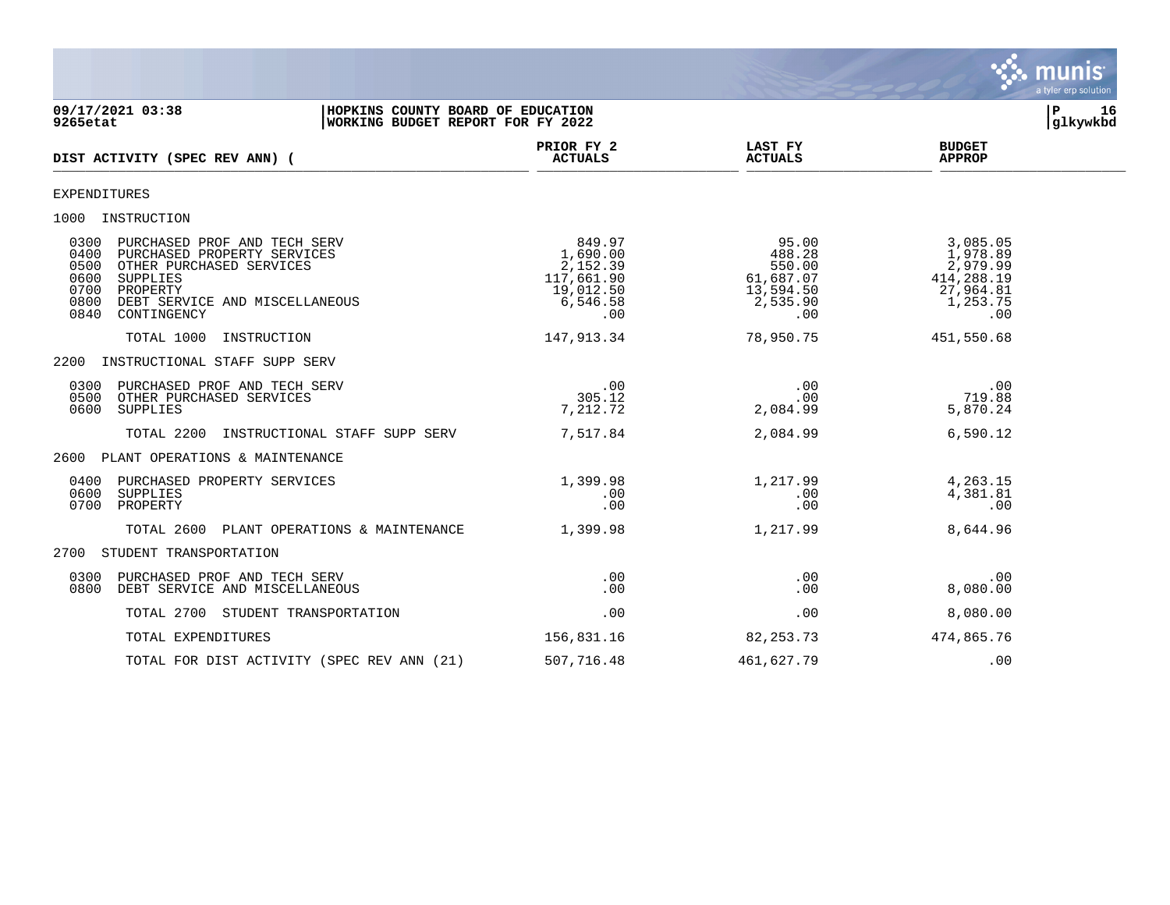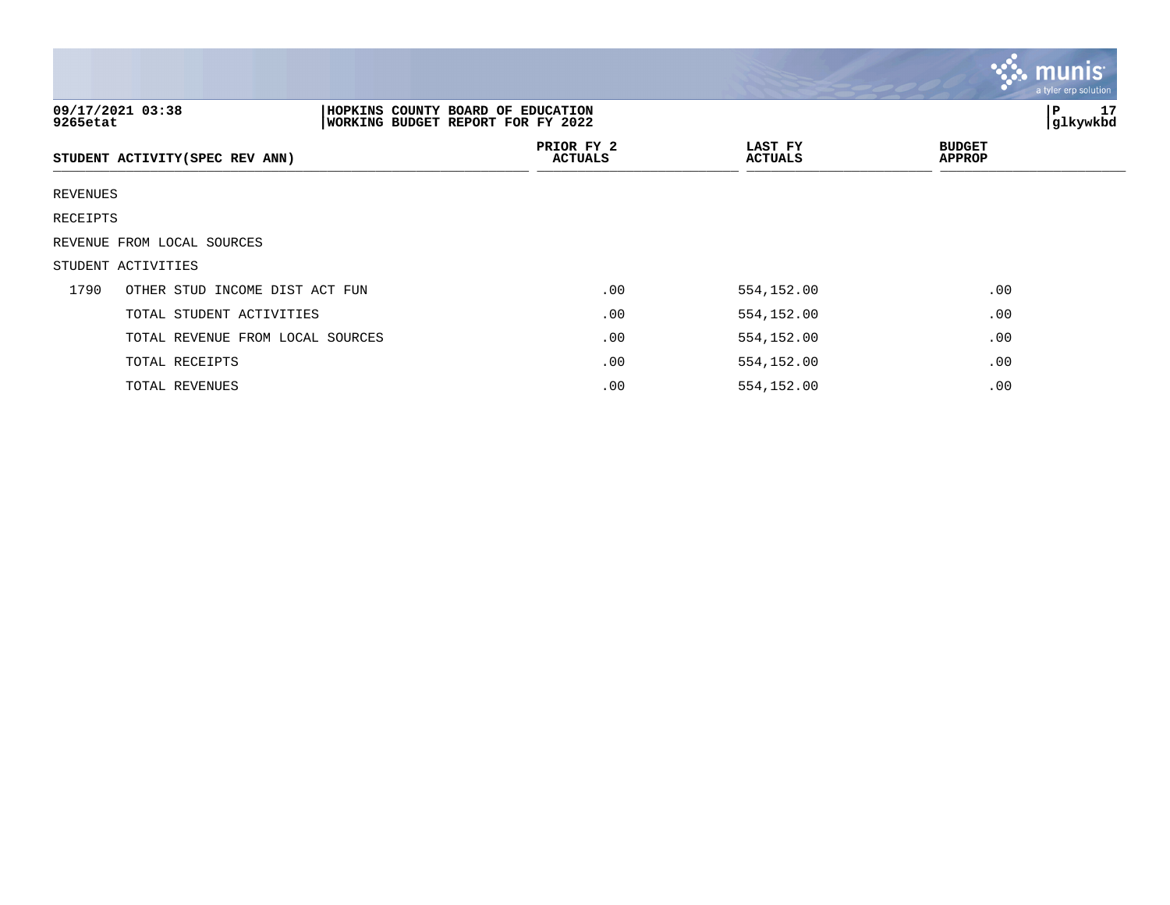|          |                                                                                            |                              |                           | <b>munis</b><br>a tyler erp solution. |
|----------|--------------------------------------------------------------------------------------------|------------------------------|---------------------------|---------------------------------------|
| 9265etat | 09/17/2021 03:38<br>HOPKINS COUNTY BOARD OF EDUCATION<br>WORKING BUDGET REPORT FOR FY 2022 | 17<br>P<br>glkywkbd          |                           |                                       |
|          | STUDENT ACTIVITY (SPEC REV ANN)                                                            | PRIOR FY 2<br><b>ACTUALS</b> | LAST FY<br><b>ACTUALS</b> | <b>BUDGET</b><br><b>APPROP</b>        |
| REVENUES |                                                                                            |                              |                           |                                       |
| RECEIPTS |                                                                                            |                              |                           |                                       |
|          | REVENUE FROM LOCAL SOURCES                                                                 |                              |                           |                                       |
|          | STUDENT ACTIVITIES                                                                         |                              |                           |                                       |
| 1790     | OTHER STUD INCOME DIST ACT FUN                                                             | .00                          | 554,152.00                | .00                                   |
|          | TOTAL STUDENT ACTIVITIES                                                                   | .00                          | 554,152.00                | .00                                   |
|          | TOTAL REVENUE FROM LOCAL SOURCES                                                           | .00                          | 554,152.00                | .00                                   |
|          | TOTAL RECEIPTS                                                                             | .00                          | 554,152.00                | .00                                   |
|          | TOTAL REVENUES                                                                             | .00                          | 554,152.00                | .00                                   |

**Tara**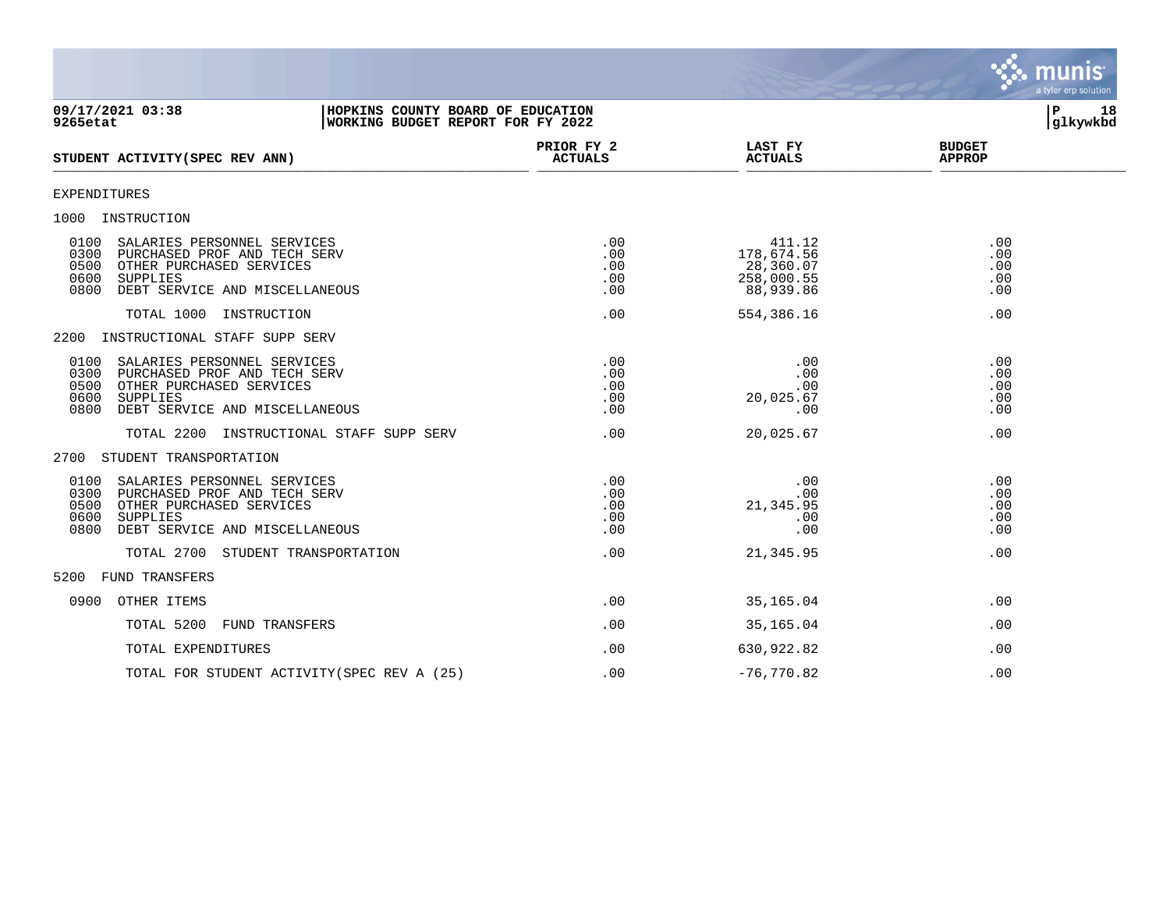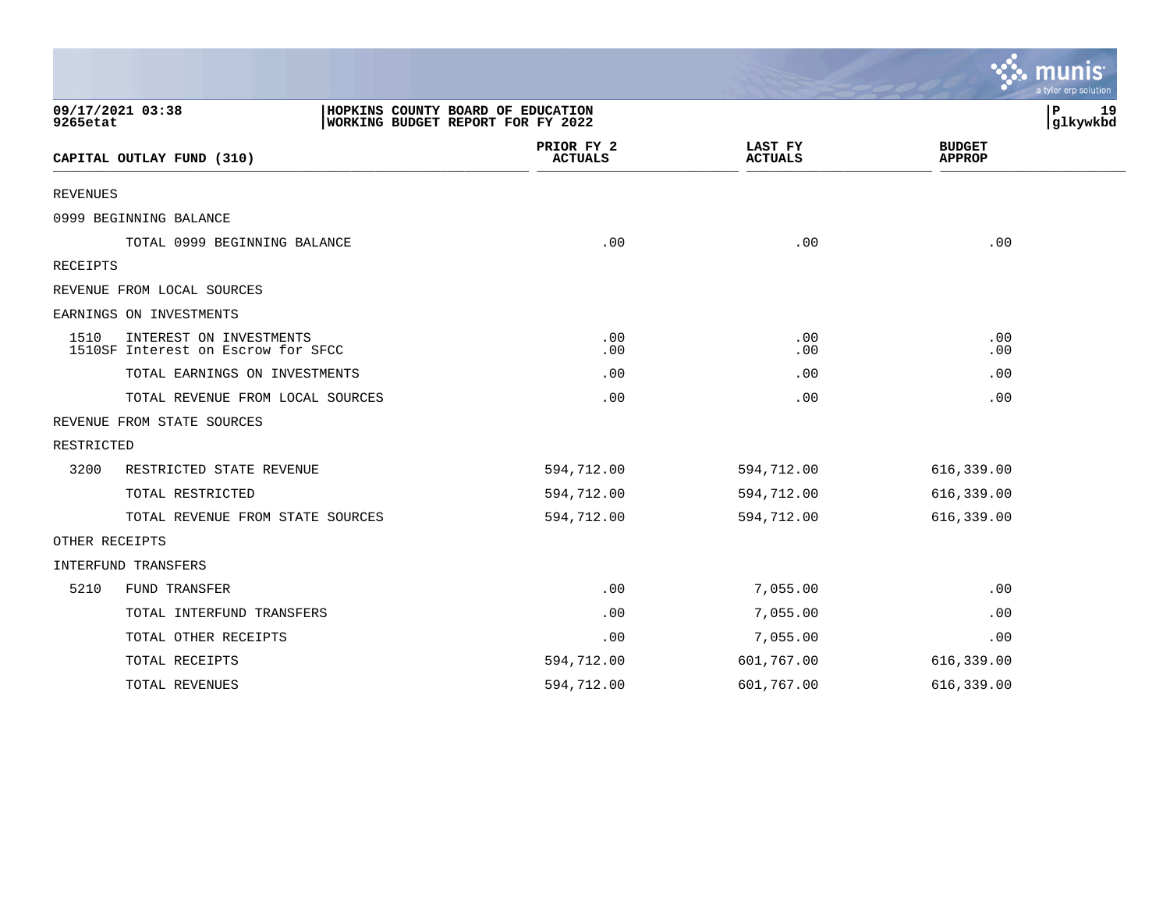|                |                                                               |                                                                        |                           | a tyler erp solution           |
|----------------|---------------------------------------------------------------|------------------------------------------------------------------------|---------------------------|--------------------------------|
| 9265etat       | 09/17/2021 03:38                                              | HOPKINS COUNTY BOARD OF EDUCATION<br>WORKING BUDGET REPORT FOR FY 2022 |                           | $\mathbf P$<br>19<br>glkywkbd  |
|                | CAPITAL OUTLAY FUND (310)                                     | PRIOR FY 2<br><b>ACTUALS</b>                                           | LAST FY<br><b>ACTUALS</b> | <b>BUDGET</b><br><b>APPROP</b> |
| REVENUES       |                                                               |                                                                        |                           |                                |
|                | 0999 BEGINNING BALANCE                                        |                                                                        |                           |                                |
|                | TOTAL 0999 BEGINNING BALANCE                                  | .00                                                                    | .00                       | .00                            |
| RECEIPTS       |                                                               |                                                                        |                           |                                |
|                | REVENUE FROM LOCAL SOURCES                                    |                                                                        |                           |                                |
|                | EARNINGS ON INVESTMENTS                                       |                                                                        |                           |                                |
| 1510           | INTEREST ON INVESTMENTS<br>1510SF Interest on Escrow for SFCC | .00<br>.00                                                             | .00<br>.00                | .00<br>.00                     |
|                | TOTAL EARNINGS ON INVESTMENTS                                 | .00                                                                    | .00                       | .00                            |
|                | TOTAL REVENUE FROM LOCAL SOURCES                              | .00                                                                    | .00                       | .00                            |
|                | REVENUE FROM STATE SOURCES                                    |                                                                        |                           |                                |
| RESTRICTED     |                                                               |                                                                        |                           |                                |
| 3200           | RESTRICTED STATE REVENUE                                      | 594,712.00                                                             | 594,712.00                | 616,339.00                     |
|                | TOTAL RESTRICTED                                              | 594,712.00                                                             | 594,712.00                | 616,339.00                     |
|                | TOTAL REVENUE FROM STATE SOURCES                              | 594,712.00                                                             | 594,712.00                | 616,339.00                     |
| OTHER RECEIPTS |                                                               |                                                                        |                           |                                |
|                | INTERFUND TRANSFERS                                           |                                                                        |                           |                                |
| 5210           | FUND TRANSFER                                                 | .00                                                                    | 7,055.00                  | .00                            |
|                | TOTAL INTERFUND TRANSFERS                                     | .00                                                                    | 7,055.00                  | .00                            |
|                | TOTAL OTHER RECEIPTS                                          | .00                                                                    | 7,055.00                  | .00                            |
|                | TOTAL RECEIPTS                                                | 594,712.00                                                             | 601,767.00                | 616,339.00                     |
|                | TOTAL REVENUES                                                | 594,712.00                                                             | 601,767.00                | 616,339.00                     |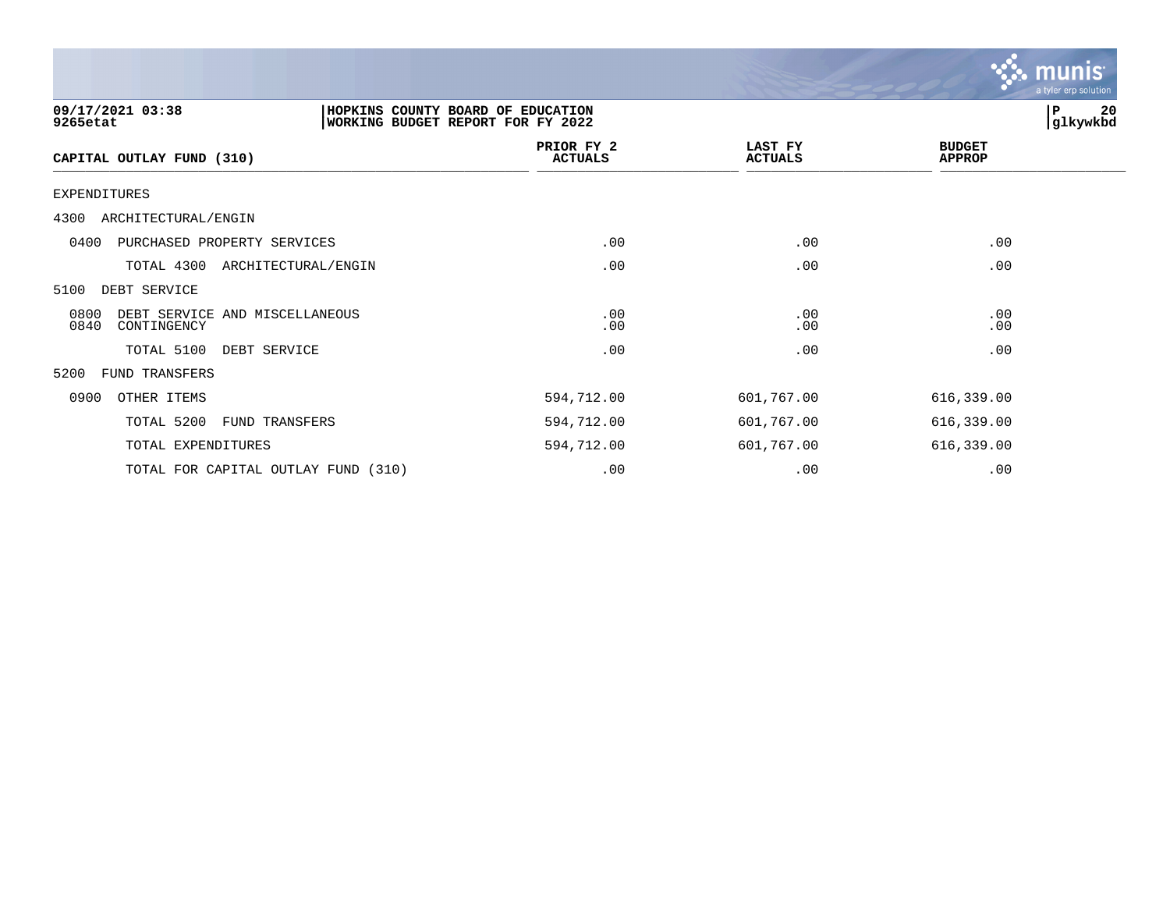|                                                               |                                                                        |                           | $\mathbf{C}$                   | a tyler erp solution |
|---------------------------------------------------------------|------------------------------------------------------------------------|---------------------------|--------------------------------|----------------------|
| 09/17/2021 03:38<br>9265etat                                  | HOPKINS COUNTY BOARD OF EDUCATION<br>WORKING BUDGET REPORT FOR FY 2022 |                           | P                              | 20<br>glkywkbd       |
| CAPITAL OUTLAY FUND (310)                                     | PRIOR FY 2<br><b>ACTUALS</b>                                           | LAST FY<br><b>ACTUALS</b> | <b>BUDGET</b><br><b>APPROP</b> |                      |
| EXPENDITURES                                                  |                                                                        |                           |                                |                      |
| 4300<br>ARCHITECTURAL/ENGIN                                   |                                                                        |                           |                                |                      |
| 0400<br>PURCHASED PROPERTY SERVICES                           | .00                                                                    | .00                       | .00                            |                      |
| TOTAL 4300<br>ARCHITECTURAL/ENGIN                             | .00                                                                    | .00                       | .00                            |                      |
| 5100<br>DEBT SERVICE                                          |                                                                        |                           |                                |                      |
| 0800<br>DEBT SERVICE AND MISCELLANEOUS<br>0840<br>CONTINGENCY | .00<br>.00                                                             | .00<br>.00                | .00<br>.00                     |                      |
| TOTAL 5100<br>DEBT SERVICE                                    | .00                                                                    | .00                       | .00                            |                      |
| 5200<br>FUND TRANSFERS                                        |                                                                        |                           |                                |                      |
| 0900<br>OTHER ITEMS                                           | 594,712.00                                                             | 601,767.00                | 616,339.00                     |                      |
| TOTAL 5200<br>FUND TRANSFERS                                  | 594,712.00                                                             | 601,767.00                | 616,339.00                     |                      |
| TOTAL EXPENDITURES                                            | 594,712.00                                                             | 601,767.00                | 616,339.00                     |                      |
| TOTAL FOR CAPITAL OUTLAY FUND (310)                           | .00                                                                    | .00                       | .00                            |                      |

 $\therefore$  munis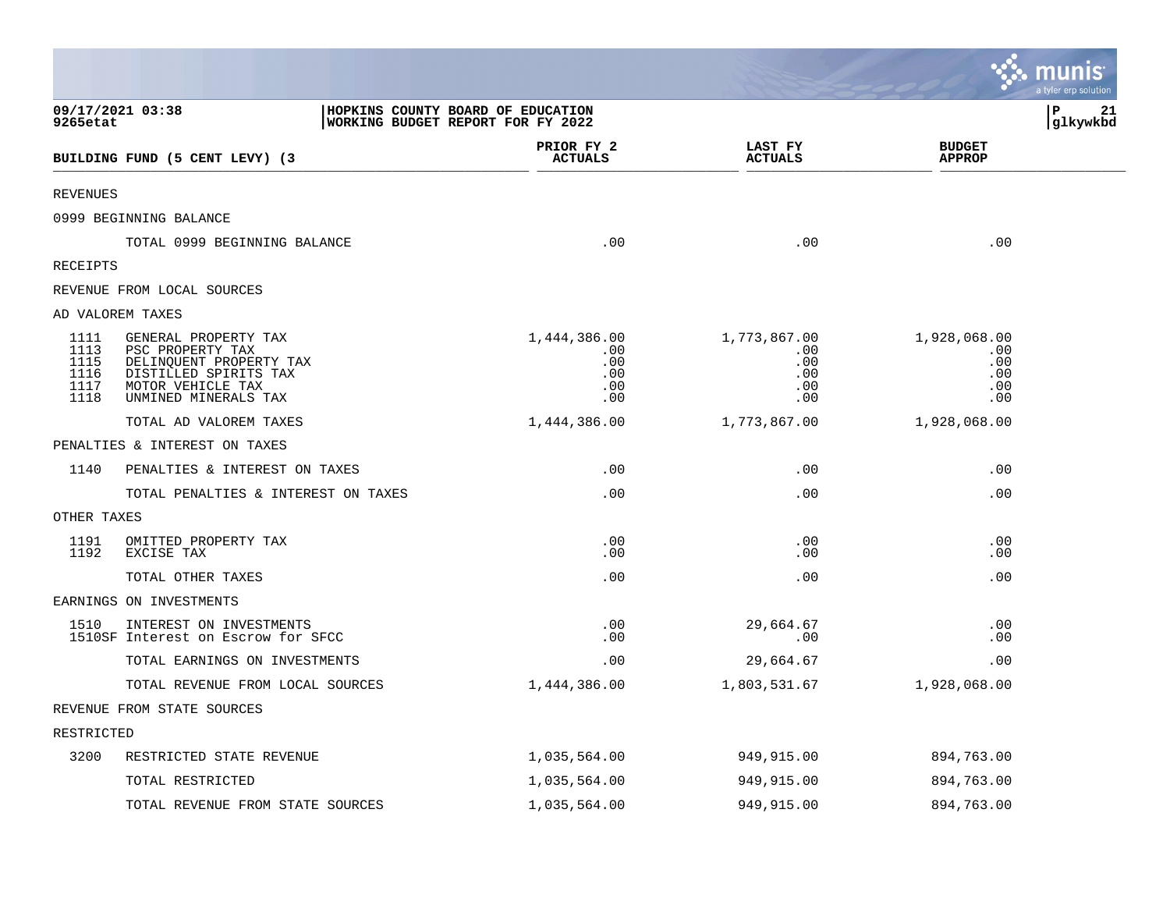|                                              |                                                                                                                                           |                                                                        |                                                 |                                                 |                                                 | munis<br>a tyler erp solution |
|----------------------------------------------|-------------------------------------------------------------------------------------------------------------------------------------------|------------------------------------------------------------------------|-------------------------------------------------|-------------------------------------------------|-------------------------------------------------|-------------------------------|
| 9265etat                                     | 09/17/2021 03:38                                                                                                                          | HOPKINS COUNTY BOARD OF EDUCATION<br>WORKING BUDGET REPORT FOR FY 2022 |                                                 |                                                 |                                                 | l P<br>21<br> glkywkbd        |
|                                              | BUILDING FUND (5 CENT LEVY) (3                                                                                                            |                                                                        | PRIOR FY 2<br><b>ACTUALS</b>                    | LAST FY<br><b>ACTUALS</b>                       | <b>BUDGET</b><br><b>APPROP</b>                  |                               |
| <b>REVENUES</b>                              |                                                                                                                                           |                                                                        |                                                 |                                                 |                                                 |                               |
|                                              | 0999 BEGINNING BALANCE                                                                                                                    |                                                                        |                                                 |                                                 |                                                 |                               |
|                                              | TOTAL 0999 BEGINNING BALANCE                                                                                                              |                                                                        | .00                                             | .00                                             | .00                                             |                               |
| RECEIPTS                                     |                                                                                                                                           |                                                                        |                                                 |                                                 |                                                 |                               |
|                                              | REVENUE FROM LOCAL SOURCES                                                                                                                |                                                                        |                                                 |                                                 |                                                 |                               |
|                                              | AD VALOREM TAXES                                                                                                                          |                                                                        |                                                 |                                                 |                                                 |                               |
| 1111<br>1113<br>1115<br>1116<br>1117<br>1118 | GENERAL PROPERTY TAX<br>PSC PROPERTY TAX<br>DELINQUENT PROPERTY TAX<br>DISTILLED SPIRITS TAX<br>MOTOR VEHICLE TAX<br>UNMINED MINERALS TAX |                                                                        | 1,444,386.00<br>.00<br>.00<br>.00<br>.00<br>.00 | 1,773,867.00<br>.00<br>.00<br>.00<br>.00<br>.00 | 1,928,068.00<br>.00<br>.00<br>.00<br>.00<br>.00 |                               |
|                                              | TOTAL AD VALOREM TAXES                                                                                                                    |                                                                        | 1,444,386.00                                    | 1,773,867.00                                    | 1,928,068.00                                    |                               |
|                                              | PENALTIES & INTEREST ON TAXES                                                                                                             |                                                                        |                                                 |                                                 |                                                 |                               |
| 1140                                         | PENALTIES & INTEREST ON TAXES                                                                                                             |                                                                        | .00                                             | .00                                             | .00                                             |                               |
|                                              | TOTAL PENALTIES & INTEREST ON TAXES                                                                                                       |                                                                        | .00                                             | .00                                             | .00                                             |                               |
| OTHER TAXES                                  |                                                                                                                                           |                                                                        |                                                 |                                                 |                                                 |                               |
| 1191<br>1192                                 | OMITTED PROPERTY TAX<br>EXCISE TAX                                                                                                        |                                                                        | .00<br>.00                                      | .00<br>.00                                      | .00<br>.00                                      |                               |
|                                              | TOTAL OTHER TAXES                                                                                                                         |                                                                        | .00                                             | .00                                             | .00                                             |                               |
|                                              | EARNINGS ON INVESTMENTS                                                                                                                   |                                                                        |                                                 |                                                 |                                                 |                               |
| 1510                                         | INTEREST ON INVESTMENTS<br>1510SF Interest on Escrow for SFCC                                                                             |                                                                        | .00<br>.00                                      | 29,664.67<br>.00                                | .00<br>.00                                      |                               |
|                                              | TOTAL EARNINGS ON INVESTMENTS                                                                                                             |                                                                        | .00                                             | 29,664.67                                       | .00                                             |                               |
|                                              | TOTAL REVENUE FROM LOCAL SOURCES                                                                                                          |                                                                        | 1,444,386.00                                    | 1,803,531.67                                    | 1,928,068.00                                    |                               |
|                                              | REVENUE FROM STATE SOURCES                                                                                                                |                                                                        |                                                 |                                                 |                                                 |                               |
| RESTRICTED                                   |                                                                                                                                           |                                                                        |                                                 |                                                 |                                                 |                               |
| 3200                                         | RESTRICTED STATE REVENUE                                                                                                                  |                                                                        | 1,035,564.00                                    | 949,915.00                                      | 894,763.00                                      |                               |
|                                              | TOTAL RESTRICTED                                                                                                                          |                                                                        | 1,035,564.00                                    | 949,915.00                                      | 894,763.00                                      |                               |
|                                              | TOTAL REVENUE FROM STATE SOURCES                                                                                                          |                                                                        | 1,035,564.00                                    | 949,915.00                                      | 894,763.00                                      |                               |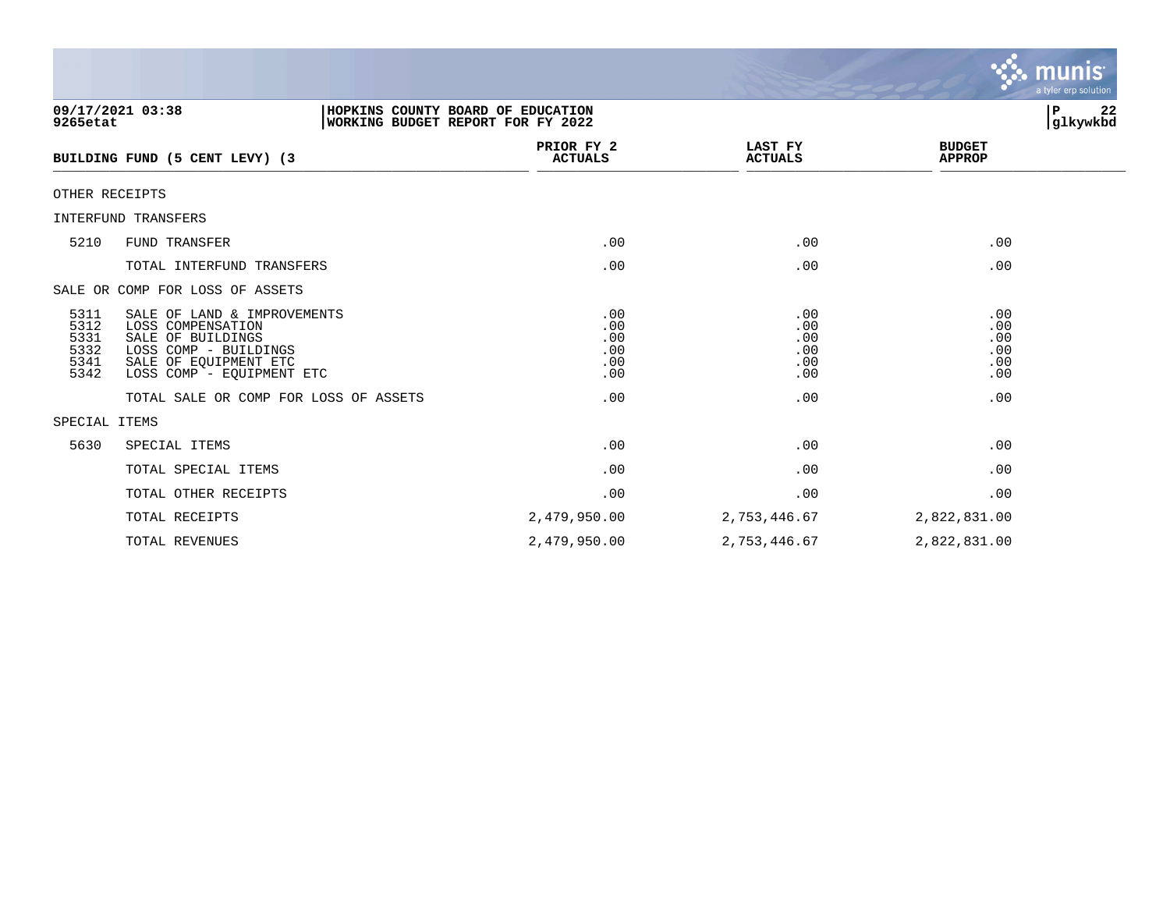|                                              |                                                                                                                                                      |                                        |                                        | <b>munis</b><br>a tyler erp solution   |  |
|----------------------------------------------|------------------------------------------------------------------------------------------------------------------------------------------------------|----------------------------------------|----------------------------------------|----------------------------------------|--|
| 9265etat                                     | 09/17/2021 03:38<br>HOPKINS COUNTY BOARD OF EDUCATION<br><b>WORKING BUDGET REPORT FOR FY 2022</b>                                                    |                                        |                                        | l P<br>22<br>glkywkbd                  |  |
|                                              | BUILDING FUND (5 CENT LEVY) (3                                                                                                                       | PRIOR FY 2<br><b>ACTUALS</b>           | LAST FY<br><b>ACTUALS</b>              | <b>BUDGET</b><br><b>APPROP</b>         |  |
| OTHER RECEIPTS                               |                                                                                                                                                      |                                        |                                        |                                        |  |
|                                              | INTERFUND TRANSFERS                                                                                                                                  |                                        |                                        |                                        |  |
| 5210                                         | FUND TRANSFER                                                                                                                                        | .00                                    | .00                                    | .00                                    |  |
|                                              | TOTAL INTERFUND TRANSFERS                                                                                                                            | .00                                    | .00                                    | .00                                    |  |
|                                              | SALE OR COMP FOR LOSS OF ASSETS                                                                                                                      |                                        |                                        |                                        |  |
| 5311<br>5312<br>5331<br>5332<br>5341<br>5342 | SALE OF LAND & IMPROVEMENTS<br>LOSS COMPENSATION<br>SALE OF BUILDINGS<br>LOSS COMP - BUILDINGS<br>SALE OF EQUIPMENT ETC<br>LOSS COMP - EQUIPMENT ETC | .00<br>.00<br>.00<br>.00<br>.00<br>.00 | .00<br>.00<br>.00<br>.00<br>.00<br>.00 | .00<br>.00<br>.00<br>.00<br>.00<br>.00 |  |
|                                              | TOTAL SALE OR COMP FOR LOSS OF ASSETS                                                                                                                | .00                                    | .00                                    | .00                                    |  |
| SPECIAL ITEMS                                |                                                                                                                                                      |                                        |                                        |                                        |  |
| 5630                                         | SPECIAL ITEMS                                                                                                                                        | .00                                    | .00                                    | .00                                    |  |
|                                              | TOTAL SPECIAL ITEMS                                                                                                                                  | .00                                    | .00                                    | .00                                    |  |
|                                              | TOTAL OTHER RECEIPTS                                                                                                                                 | .00                                    | .00                                    | .00                                    |  |
|                                              | TOTAL RECEIPTS                                                                                                                                       | 2,479,950.00                           | 2,753,446.67                           | 2,822,831.00                           |  |
|                                              | TOTAL REVENUES                                                                                                                                       | 2,479,950.00                           | 2,753,446.67                           | 2,822,831.00                           |  |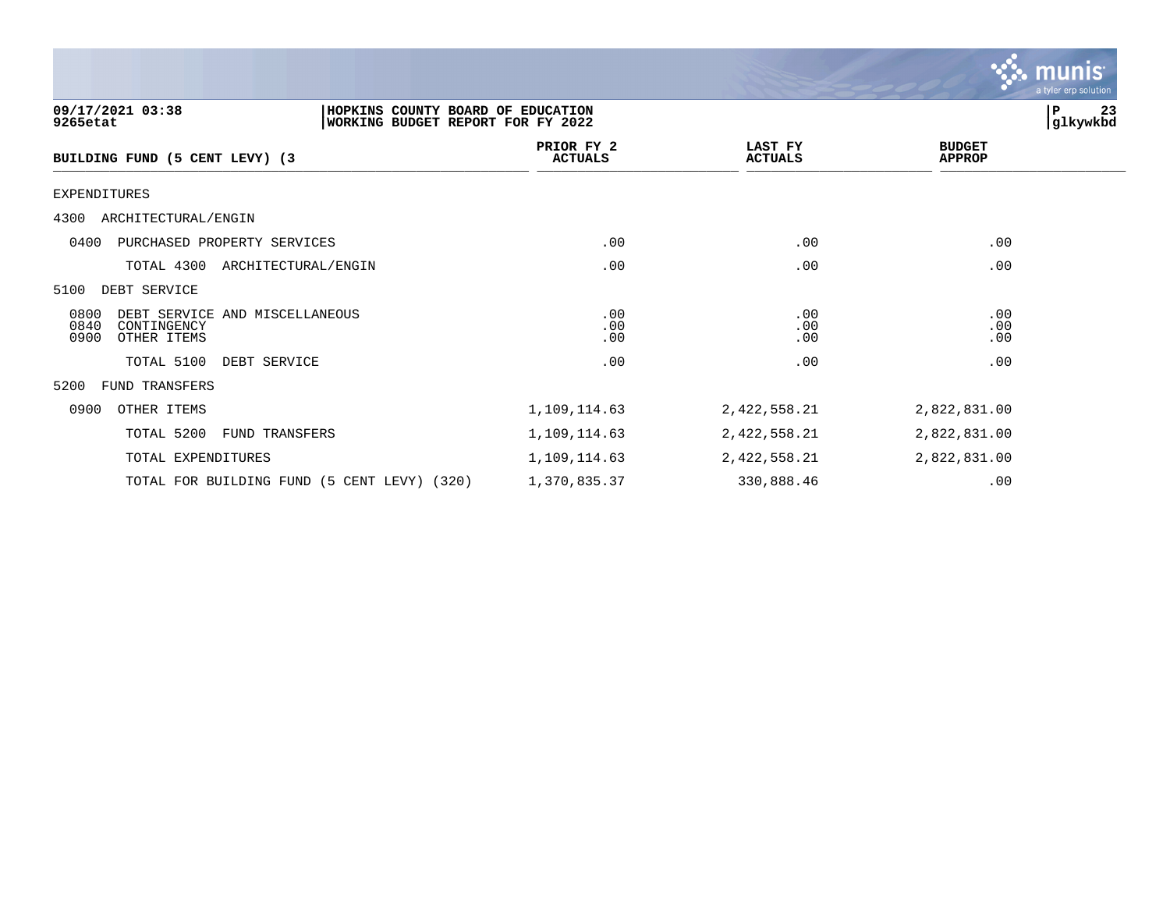|                                                                                                        |                              |                           | munis<br>a tyler erp solution  |
|--------------------------------------------------------------------------------------------------------|------------------------------|---------------------------|--------------------------------|
| 09/17/2021 03:38<br>HOPKINS COUNTY BOARD OF EDUCATION<br>9265etat<br>WORKING BUDGET REPORT FOR FY 2022 |                              |                           | 23<br>P<br>glkywkbd            |
| BUILDING FUND (5 CENT LEVY) (3                                                                         | PRIOR FY 2<br><b>ACTUALS</b> | LAST FY<br><b>ACTUALS</b> | <b>BUDGET</b><br><b>APPROP</b> |
| <b>EXPENDITURES</b>                                                                                    |                              |                           |                                |
| 4300 ARCHITECTURAL/ENGIN                                                                               |                              |                           |                                |
| 0400<br>PURCHASED PROPERTY SERVICES                                                                    | .00                          | .00                       | .00                            |
| TOTAL 4300<br>ARCHITECTURAL/ENGIN                                                                      | .00                          | .00                       | .00                            |
| 5100<br>DEBT SERVICE                                                                                   |                              |                           |                                |
| 0800<br>DEBT SERVICE AND MISCELLANEOUS<br>0840<br>CONTINGENCY<br>0900<br>OTHER ITEMS                   | .00<br>.00<br>.00            | .00<br>.00<br>.00         | .00<br>.00<br>.00              |
| TOTAL 5100<br>DEBT SERVICE                                                                             | .00                          | .00                       | .00                            |
| 5200<br>FUND TRANSFERS                                                                                 |                              |                           |                                |
| 0900<br>OTHER ITEMS                                                                                    | 1,109,114.63                 | 2,422,558.21              | 2,822,831.00                   |
| TOTAL 5200<br>FUND TRANSFERS                                                                           | 1,109,114.63                 | 2,422,558.21              | 2,822,831.00                   |
| TOTAL EXPENDITURES                                                                                     | 1,109,114.63                 | 2,422,558.21              | 2,822,831.00                   |
| TOTAL FOR BUILDING FUND (5 CENT LEVY) (320)                                                            | 1,370,835.37                 | 330,888.46                | .00                            |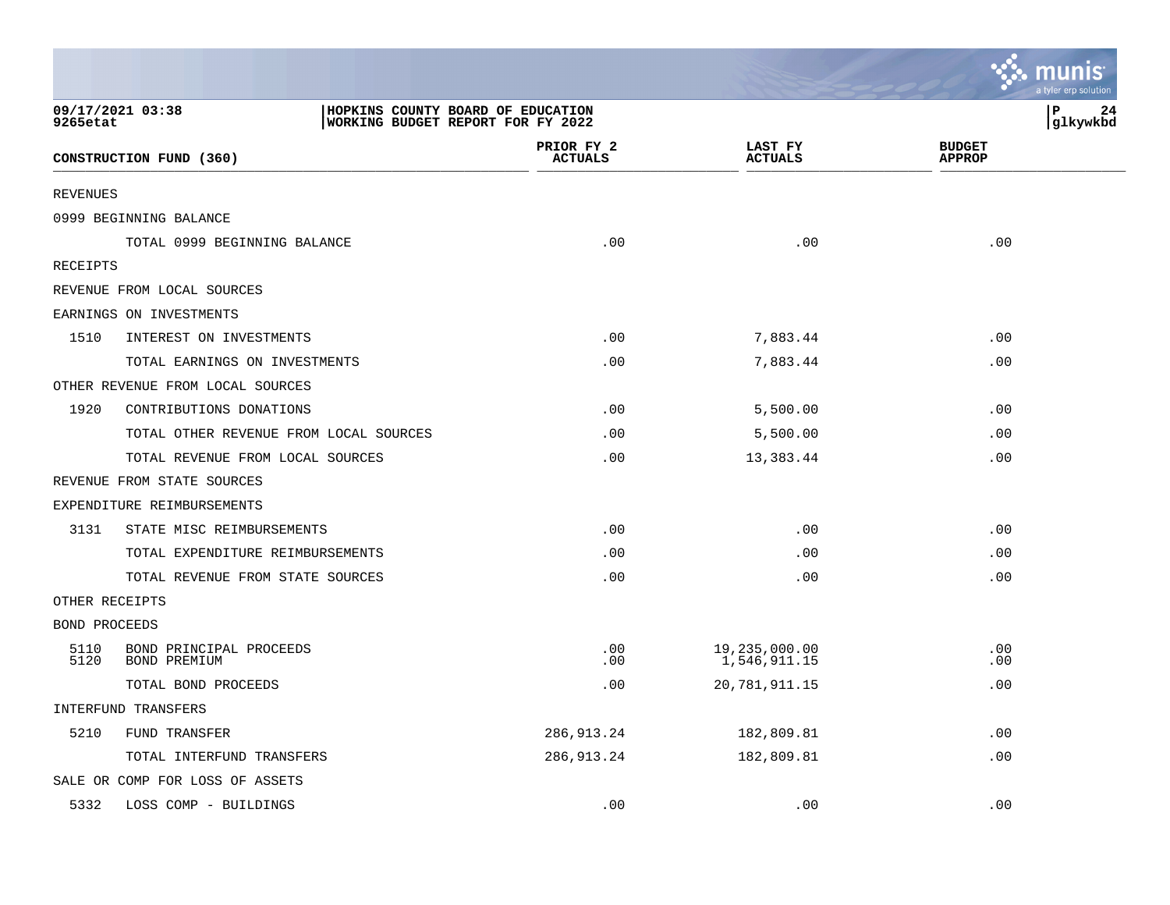|                      |                                         |                                                                               |                               | a tyler erp solutior           |
|----------------------|-----------------------------------------|-------------------------------------------------------------------------------|-------------------------------|--------------------------------|
| 9265etat             | 09/17/2021 03:38                        | HOPKINS COUNTY BOARD OF EDUCATION<br><b>WORKING BUDGET REPORT FOR FY 2022</b> |                               | ΙP<br>24<br>glkywkbd           |
|                      | CONSTRUCTION FUND (360)                 | PRIOR FY 2<br><b>ACTUALS</b>                                                  | LAST FY<br><b>ACTUALS</b>     | <b>BUDGET</b><br><b>APPROP</b> |
| <b>REVENUES</b>      |                                         |                                                                               |                               |                                |
|                      | 0999 BEGINNING BALANCE                  |                                                                               |                               |                                |
|                      | TOTAL 0999 BEGINNING BALANCE            | .00                                                                           | .00                           | .00                            |
| <b>RECEIPTS</b>      |                                         |                                                                               |                               |                                |
|                      | REVENUE FROM LOCAL SOURCES              |                                                                               |                               |                                |
|                      | EARNINGS ON INVESTMENTS                 |                                                                               |                               |                                |
| 1510                 | INTEREST ON INVESTMENTS                 | .00                                                                           | 7,883.44                      | .00                            |
|                      | TOTAL EARNINGS ON INVESTMENTS           | .00                                                                           | 7,883.44                      | .00                            |
|                      | OTHER REVENUE FROM LOCAL SOURCES        |                                                                               |                               |                                |
| 1920                 | CONTRIBUTIONS DONATIONS                 | .00                                                                           | 5,500.00                      | .00                            |
|                      | TOTAL OTHER REVENUE FROM LOCAL SOURCES  | .00                                                                           | 5,500.00                      | .00                            |
|                      | TOTAL REVENUE FROM LOCAL SOURCES        | .00                                                                           | 13,383.44                     | .00                            |
|                      | REVENUE FROM STATE SOURCES              |                                                                               |                               |                                |
|                      | EXPENDITURE REIMBURSEMENTS              |                                                                               |                               |                                |
| 3131                 | STATE MISC REIMBURSEMENTS               | .00                                                                           | .00                           | .00                            |
|                      | TOTAL EXPENDITURE REIMBURSEMENTS        | .00                                                                           | .00                           | .00                            |
|                      | TOTAL REVENUE FROM STATE SOURCES        | .00                                                                           | .00                           | .00                            |
| OTHER RECEIPTS       |                                         |                                                                               |                               |                                |
| <b>BOND PROCEEDS</b> |                                         |                                                                               |                               |                                |
| 5110<br>5120         | BOND PRINCIPAL PROCEEDS<br>BOND PREMIUM | .00<br>.00                                                                    | 19,235,000.00<br>1,546,911.15 | .00<br>.00                     |
|                      | TOTAL BOND PROCEEDS                     | .00                                                                           | 20,781,911.15                 | .00                            |
|                      | INTERFUND TRANSFERS                     |                                                                               |                               |                                |
| 5210                 | FUND TRANSFER                           | 286, 913. 24                                                                  | 182,809.81                    | .00                            |
|                      | TOTAL INTERFUND TRANSFERS               | 286, 913. 24                                                                  | 182,809.81                    | .00                            |
|                      | SALE OR COMP FOR LOSS OF ASSETS         |                                                                               |                               |                                |
| 5332                 | LOSS COMP - BUILDINGS                   | .00                                                                           | .00                           | .00                            |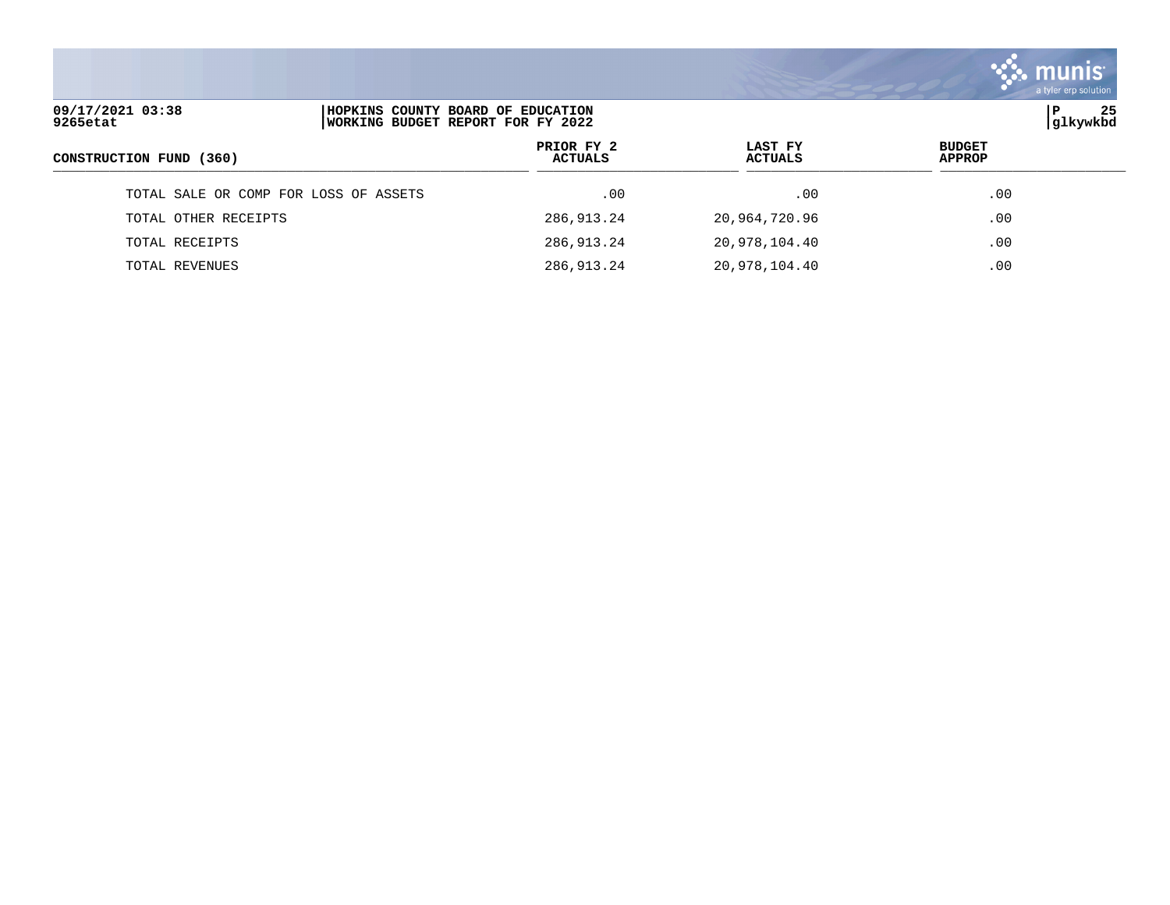|                                                                                                        |                              |                           | <b>a</b> munis<br>a tyler erp solution |
|--------------------------------------------------------------------------------------------------------|------------------------------|---------------------------|----------------------------------------|
| 09/17/2021 03:38<br>HOPKINS COUNTY BOARD OF EDUCATION<br>9265etat<br>WORKING BUDGET REPORT FOR FY 2022 |                              | P<br>25<br> glkywkbd      |                                        |
| CONSTRUCTION FUND (360)                                                                                | PRIOR FY 2<br><b>ACTUALS</b> | LAST FY<br><b>ACTUALS</b> | <b>BUDGET</b><br><b>APPROP</b>         |
| TOTAL SALE OR COMP FOR LOSS OF ASSETS                                                                  | .00                          | .00                       | .00                                    |
| TOTAL OTHER RECEIPTS                                                                                   | 286, 913. 24                 | 20,964,720.96             | .00                                    |
| TOTAL RECEIPTS                                                                                         | 286, 913. 24                 | 20,978,104.40             | .00                                    |
| TOTAL REVENUES                                                                                         | 286,913.24                   | 20,978,104.40             | .00                                    |

 $\sim$   $\sim$   $\sim$   $\sim$   $\sim$   $\sim$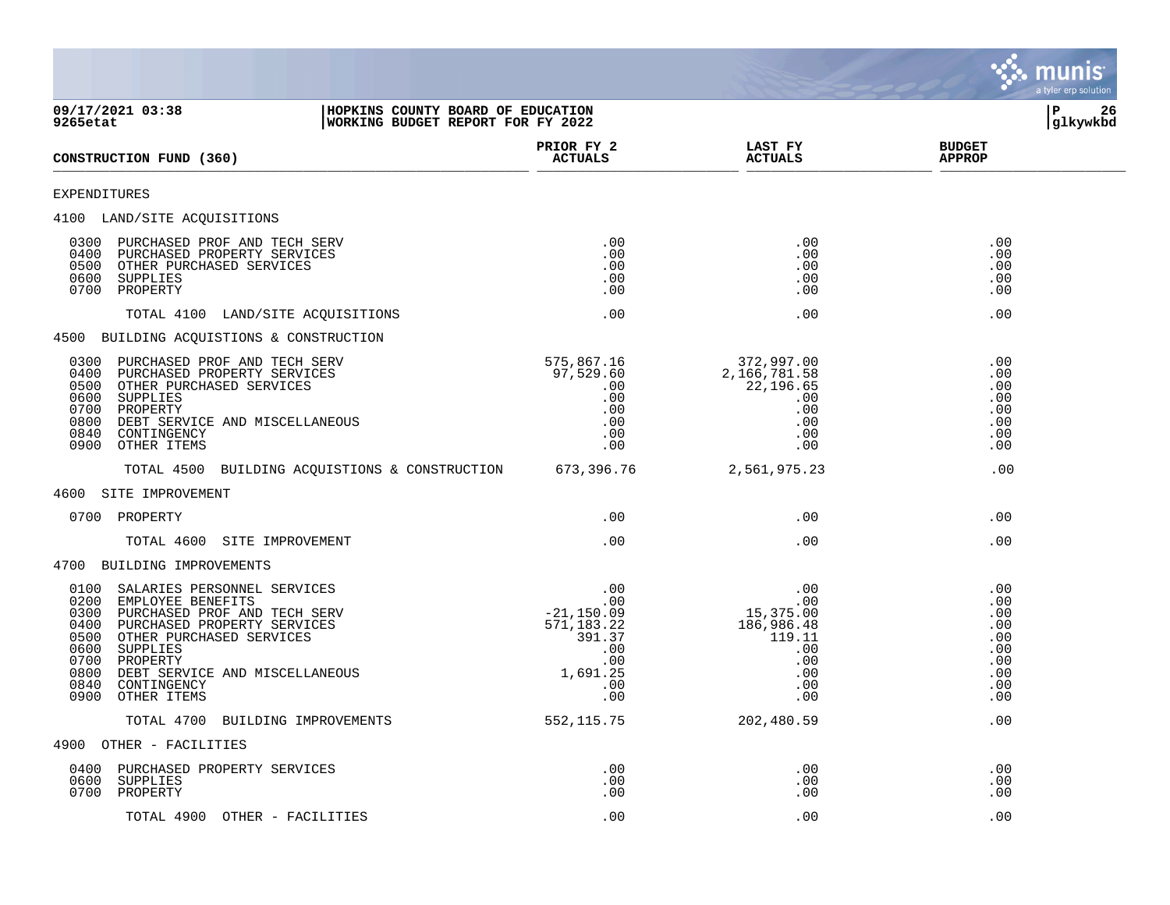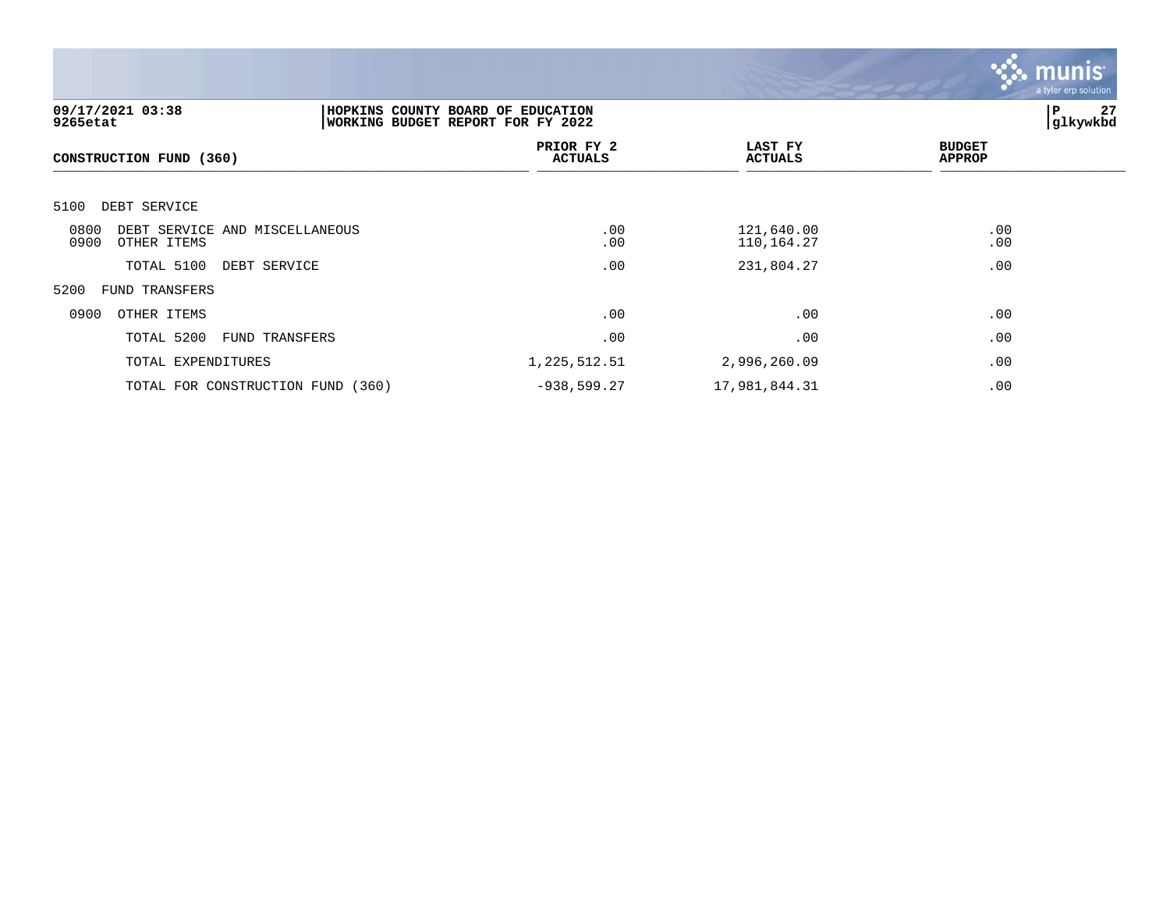

| 09/17/2021 03:38<br>9265etat                                  |                | HOPKINS COUNTY BOARD OF EDUCATION<br>WORKING BUDGET REPORT FOR FY 2022 |                           |                                |  |
|---------------------------------------------------------------|----------------|------------------------------------------------------------------------|---------------------------|--------------------------------|--|
| CONSTRUCTION FUND (360)                                       |                | PRIOR FY 2<br><b>ACTUALS</b>                                           | LAST FY<br><b>ACTUALS</b> | <b>BUDGET</b><br><b>APPROP</b> |  |
| DEBT SERVICE<br>5100                                          |                |                                                                        |                           |                                |  |
| 0800<br>DEBT SERVICE AND MISCELLANEOUS<br>0900<br>OTHER ITEMS |                | .00<br>.00                                                             | 121,640.00<br>110,164.27  | .00<br>.00                     |  |
| TOTAL 5100                                                    | DEBT SERVICE   | .00                                                                    | 231,804.27                | .00                            |  |
| 5200<br><b>FUND TRANSFERS</b>                                 |                |                                                                        |                           |                                |  |
| 0900<br>OTHER ITEMS                                           |                | .00                                                                    | .00                       | .00                            |  |
| TOTAL 5200                                                    | FUND TRANSFERS | .00                                                                    | .00                       | .00                            |  |
| TOTAL EXPENDITURES                                            |                | 1,225,512.51                                                           | 2,996,260.09              | .00                            |  |
| TOTAL FOR CONSTRUCTION FUND (360)                             |                | $-938,599.27$                                                          | 17,981,844.31             | .00                            |  |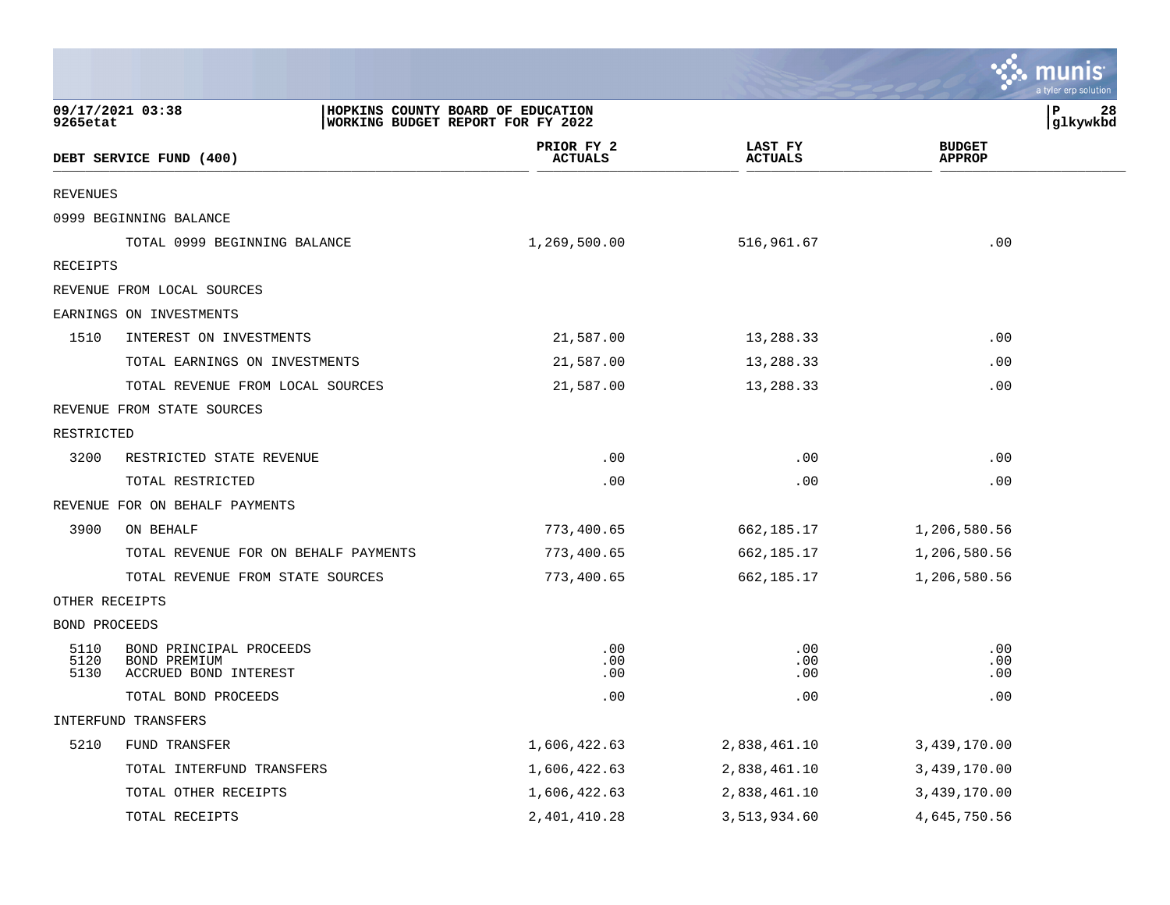|                      |                                                                  |                                                                        |                           |                                | a tyler erp solution |
|----------------------|------------------------------------------------------------------|------------------------------------------------------------------------|---------------------------|--------------------------------|----------------------|
| 9265etat             | 09/17/2021 03:38                                                 | HOPKINS COUNTY BOARD OF EDUCATION<br>WORKING BUDGET REPORT FOR FY 2022 |                           | P                              | 28<br> glkywkbd      |
|                      | DEBT SERVICE FUND (400)                                          | PRIOR FY 2<br><b>ACTUALS</b>                                           | LAST FY<br><b>ACTUALS</b> | <b>BUDGET</b><br><b>APPROP</b> |                      |
| REVENUES             |                                                                  |                                                                        |                           |                                |                      |
|                      | 0999 BEGINNING BALANCE                                           |                                                                        |                           |                                |                      |
|                      | TOTAL 0999 BEGINNING BALANCE                                     | 1,269,500.00                                                           | 516,961.67                | .00                            |                      |
| RECEIPTS             |                                                                  |                                                                        |                           |                                |                      |
|                      | REVENUE FROM LOCAL SOURCES                                       |                                                                        |                           |                                |                      |
|                      | EARNINGS ON INVESTMENTS                                          |                                                                        |                           |                                |                      |
| 1510                 | INTEREST ON INVESTMENTS                                          | 21,587.00                                                              | 13,288.33                 | .00                            |                      |
|                      | TOTAL EARNINGS ON INVESTMENTS                                    | 21,587.00                                                              | 13,288.33                 | .00                            |                      |
|                      | TOTAL REVENUE FROM LOCAL SOURCES                                 | 21,587.00                                                              | 13,288.33                 | .00                            |                      |
|                      | REVENUE FROM STATE SOURCES                                       |                                                                        |                           |                                |                      |
| RESTRICTED           |                                                                  |                                                                        |                           |                                |                      |
| 3200                 | RESTRICTED STATE REVENUE                                         | .00                                                                    | .00                       | .00                            |                      |
|                      | TOTAL RESTRICTED                                                 | .00                                                                    | .00                       | .00                            |                      |
|                      | REVENUE FOR ON BEHALF PAYMENTS                                   |                                                                        |                           |                                |                      |
| 3900                 | ON BEHALF                                                        | 773,400.65                                                             | 662,185.17                | 1,206,580.56                   |                      |
|                      | TOTAL REVENUE FOR ON BEHALF PAYMENTS                             | 773,400.65                                                             | 662,185.17                | 1,206,580.56                   |                      |
|                      | TOTAL REVENUE FROM STATE SOURCES                                 | 773,400.65                                                             | 662,185.17                | 1,206,580.56                   |                      |
| OTHER RECEIPTS       |                                                                  |                                                                        |                           |                                |                      |
| BOND PROCEEDS        |                                                                  |                                                                        |                           |                                |                      |
| 5110<br>5120<br>5130 | BOND PRINCIPAL PROCEEDS<br>BOND PREMIUM<br>ACCRUED BOND INTEREST | .00<br>.00<br>.00                                                      | .00<br>.00<br>.00         | .00<br>.00<br>.00              |                      |
|                      | TOTAL BOND PROCEEDS                                              | .00                                                                    | .00                       | .00                            |                      |
|                      | INTERFUND TRANSFERS                                              |                                                                        |                           |                                |                      |
| 5210                 | FUND TRANSFER                                                    | 1,606,422.63                                                           | 2,838,461.10              | 3,439,170.00                   |                      |
|                      | TOTAL INTERFUND TRANSFERS                                        | 1,606,422.63                                                           | 2,838,461.10              | 3,439,170.00                   |                      |
|                      | TOTAL OTHER RECEIPTS                                             | 1,606,422.63                                                           | 2,838,461.10              | 3,439,170.00                   |                      |
|                      | TOTAL RECEIPTS                                                   | 2, 401, 410.28                                                         | 3,513,934.60              | 4,645,750.56                   |                      |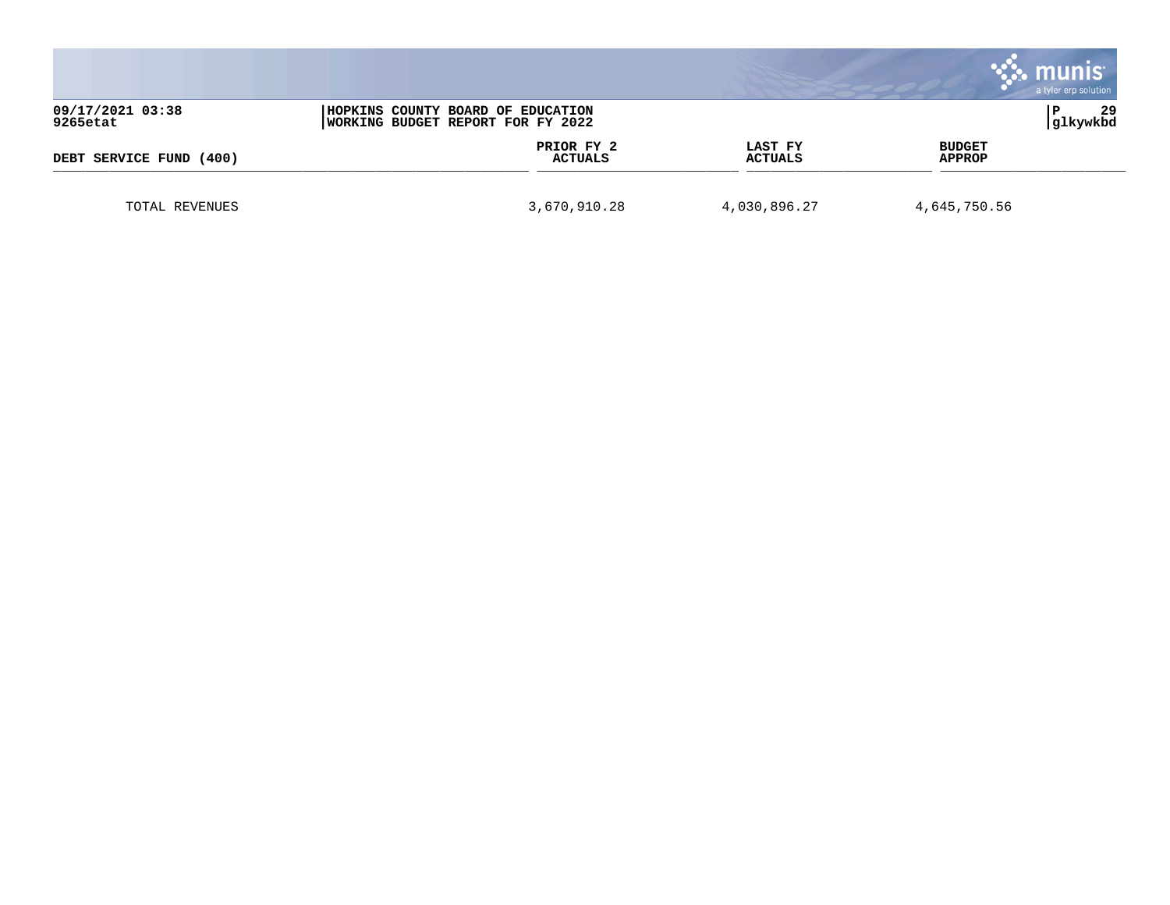|                              |                                                                        |                              |                    | a tyler erp solution           |
|------------------------------|------------------------------------------------------------------------|------------------------------|--------------------|--------------------------------|
| 09/17/2021 03:38<br>9265etat | HOPKINS COUNTY BOARD OF EDUCATION<br>WORKING BUDGET REPORT FOR FY 2022 |                              |                    | 29<br>glkywkbd                 |
| DEBT SERVICE FUND<br>(400)   |                                                                        | PRIOR FY 2<br><b>ACTUALS</b> | LAST FY<br>ACTUALS | <b>BUDGET</b><br><b>APPROP</b> |
| TOTAL REVENUES               |                                                                        | 3,670,910.28                 | 4,030,896.27       | 4,645,750.56                   |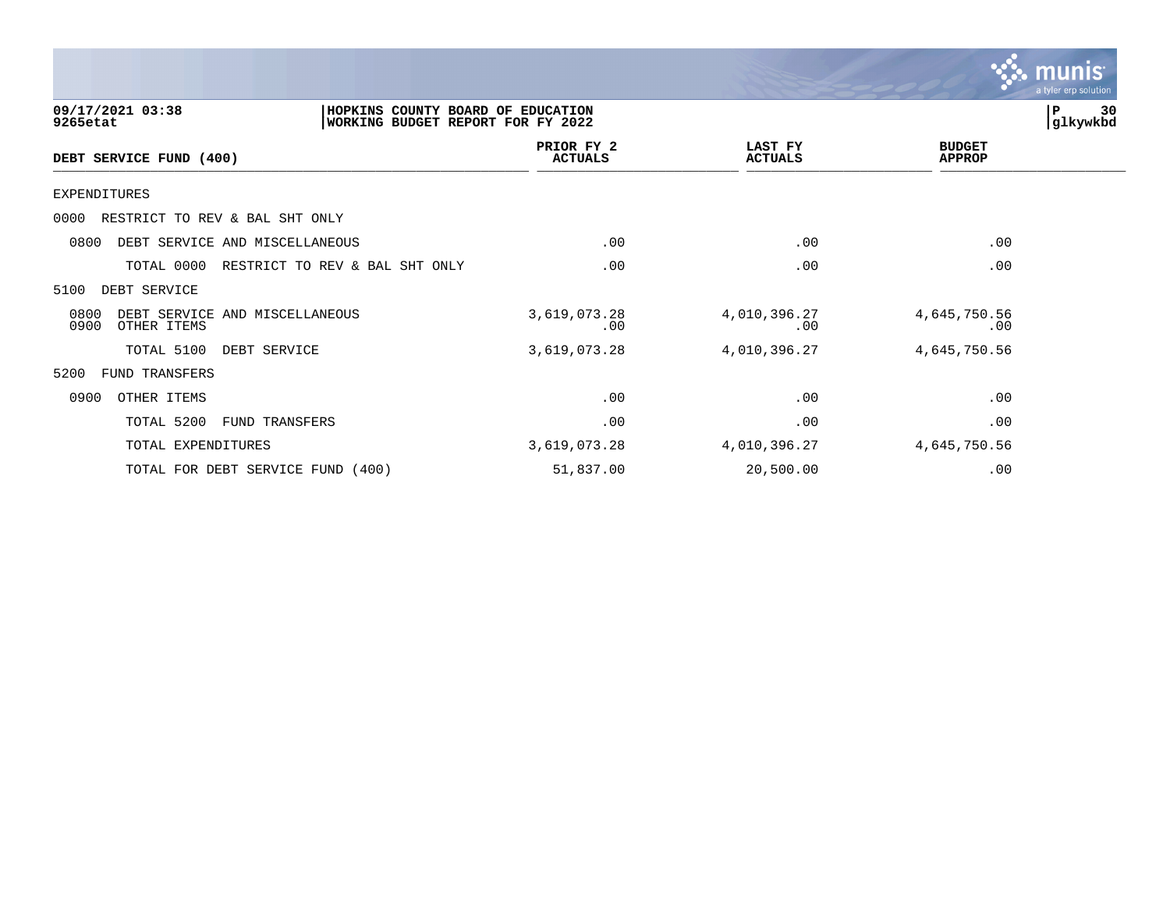

| 09/17/2021 03:38<br>9265etat                                  | HOPKINS COUNTY BOARD OF EDUCATION<br>WORKING BUDGET REPORT FOR FY 2022 |                              |                           |                         | 30<br>P<br>glkywkbd |
|---------------------------------------------------------------|------------------------------------------------------------------------|------------------------------|---------------------------|-------------------------|---------------------|
| DEBT SERVICE FUND (400)                                       |                                                                        | PRIOR FY 2<br><b>ACTUALS</b> | LAST FY<br><b>ACTUALS</b> | <b>BUDGET</b><br>APPROP |                     |
| EXPENDITURES                                                  |                                                                        |                              |                           |                         |                     |
| RESTRICT TO REV & BAL SHT ONLY<br>0000                        |                                                                        |                              |                           |                         |                     |
| DEBT SERVICE AND MISCELLANEOUS<br>0800                        |                                                                        | .00                          | .00                       | .00                     |                     |
| TOTAL 0000                                                    | RESTRICT TO REV & BAL SHT ONLY                                         | .00                          | .00                       | .00                     |                     |
| DEBT SERVICE<br>5100                                          |                                                                        |                              |                           |                         |                     |
| 0800<br>DEBT SERVICE AND MISCELLANEOUS<br>0900<br>OTHER ITEMS |                                                                        | 3,619,073.28<br>.00          | 4,010,396.27<br>.00       | 4,645,750.56<br>.00     |                     |
| TOTAL 5100                                                    | DEBT SERVICE                                                           | 3,619,073.28                 | 4,010,396.27              | 4,645,750.56            |                     |
| 5200<br>FUND TRANSFERS                                        |                                                                        |                              |                           |                         |                     |
| 0900<br>OTHER ITEMS                                           |                                                                        | .00                          | .00                       | .00                     |                     |
| TOTAL 5200                                                    | FUND TRANSFERS                                                         | .00                          | .00                       | .00                     |                     |
| TOTAL EXPENDITURES                                            |                                                                        | 3,619,073.28                 | 4,010,396.27              | 4,645,750.56            |                     |
|                                                               | TOTAL FOR DEBT SERVICE FUND (400)                                      | 51,837.00                    | 20,500.00                 | .00                     |                     |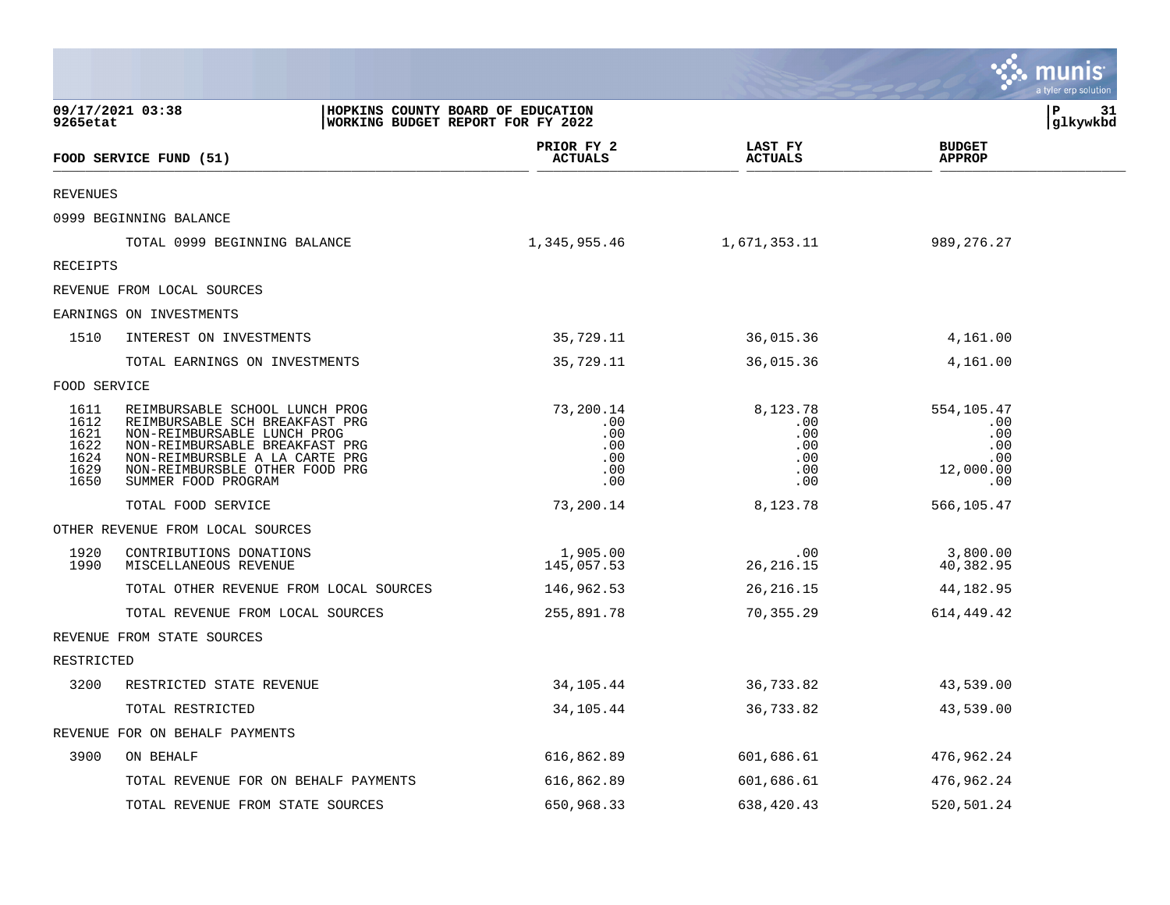|                                                      |                                                                                                                                                                                                                              |                                                     |                                                                      |                                                            | <b>W. MUNIS</b><br>a tyler erp solution |
|------------------------------------------------------|------------------------------------------------------------------------------------------------------------------------------------------------------------------------------------------------------------------------------|-----------------------------------------------------|----------------------------------------------------------------------|------------------------------------------------------------|-----------------------------------------|
| 9265etat                                             | 09/17/2021 03:38<br>HOPKINS COUNTY BOARD OF EDUCATION<br>WORKING BUDGET REPORT FOR FY 2022                                                                                                                                   |                                                     |                                                                      |                                                            | P<br>31<br> glkywkbd                    |
|                                                      | FOOD SERVICE FUND (51)                                                                                                                                                                                                       | PRIOR FY 2<br><b>ACTUALS</b>                        | LAST FY<br><b>ACTUALS</b>                                            | <b>BUDGET</b><br><b>APPROP</b>                             |                                         |
| <b>REVENUES</b>                                      |                                                                                                                                                                                                                              |                                                     |                                                                      |                                                            |                                         |
|                                                      | 0999 BEGINNING BALANCE                                                                                                                                                                                                       |                                                     |                                                                      |                                                            |                                         |
|                                                      | TOTAL 0999 BEGINNING BALANCE                                                                                                                                                                                                 | 1,345,955.46                                        | 1,671,353.11                                                         | 989, 276. 27                                               |                                         |
| RECEIPTS                                             |                                                                                                                                                                                                                              |                                                     |                                                                      |                                                            |                                         |
|                                                      | REVENUE FROM LOCAL SOURCES                                                                                                                                                                                                   |                                                     |                                                                      |                                                            |                                         |
|                                                      | EARNINGS ON INVESTMENTS                                                                                                                                                                                                      |                                                     |                                                                      |                                                            |                                         |
| 1510                                                 | INTEREST ON INVESTMENTS                                                                                                                                                                                                      | 35,729.11                                           | 36,015.36                                                            | 4,161.00                                                   |                                         |
|                                                      | TOTAL EARNINGS ON INVESTMENTS                                                                                                                                                                                                | 35,729.11                                           | 36,015.36                                                            | 4,161.00                                                   |                                         |
| FOOD SERVICE                                         |                                                                                                                                                                                                                              |                                                     |                                                                      |                                                            |                                         |
| 1611<br>1612<br>1621<br>1622<br>1624<br>1629<br>1650 | REIMBURSABLE SCHOOL LUNCH PROG<br>REIMBURSABLE SCH BREAKFAST PRG<br>NON-REIMBURSABLE LUNCH PROG<br>NON-REIMBURSABLE BREAKFAST PRG<br>NON-REIMBURSBLE A LA CARTE PRG<br>NON-REIMBURSBLE OTHER FOOD PRG<br>SUMMER FOOD PROGRAM | 73,200.14<br>.00<br>.00<br>.00<br>.00<br>.00<br>.00 | 8,123.78<br>.00<br>.00<br>.00<br>$.00 \ \rm$<br>$.00 \,$<br>$.00 \,$ | 554,105.47<br>.00<br>.00<br>.00<br>.00<br>12,000.00<br>.00 |                                         |
|                                                      | TOTAL FOOD SERVICE                                                                                                                                                                                                           | 73,200.14                                           | 8,123.78                                                             | 566,105.47                                                 |                                         |
|                                                      | OTHER REVENUE FROM LOCAL SOURCES                                                                                                                                                                                             |                                                     |                                                                      |                                                            |                                         |
| 1920<br>1990                                         | CONTRIBUTIONS DONATIONS<br>MISCELLANEOUS REVENUE                                                                                                                                                                             | 1,905.00<br>145,057.53                              | $.00 \,$<br>26, 216.15                                               | 3,800.00<br>40,382.95                                      |                                         |
|                                                      | TOTAL OTHER REVENUE FROM LOCAL SOURCES                                                                                                                                                                                       | 146,962.53                                          | 26,216.15                                                            | 44,182.95                                                  |                                         |
|                                                      | TOTAL REVENUE FROM LOCAL SOURCES                                                                                                                                                                                             | 255,891.78                                          | 70,355.29                                                            | 614,449.42                                                 |                                         |
|                                                      | REVENUE FROM STATE SOURCES                                                                                                                                                                                                   |                                                     |                                                                      |                                                            |                                         |
| RESTRICTED                                           |                                                                                                                                                                                                                              |                                                     |                                                                      |                                                            |                                         |
| 3200                                                 | RESTRICTED STATE REVENUE                                                                                                                                                                                                     | 34,105.44                                           | 36,733.82                                                            | 43,539.00                                                  |                                         |
|                                                      | TOTAL RESTRICTED                                                                                                                                                                                                             | 34,105.44                                           | 36,733.82                                                            | 43,539.00                                                  |                                         |
|                                                      | REVENUE FOR ON BEHALF PAYMENTS                                                                                                                                                                                               |                                                     |                                                                      |                                                            |                                         |
| 3900                                                 | ON BEHALF                                                                                                                                                                                                                    | 616,862.89                                          | 601,686.61                                                           | 476,962.24                                                 |                                         |
|                                                      | TOTAL REVENUE FOR ON BEHALF PAYMENTS                                                                                                                                                                                         | 616,862.89                                          | 601,686.61                                                           | 476,962.24                                                 |                                         |
|                                                      | TOTAL REVENUE FROM STATE SOURCES                                                                                                                                                                                             | 650,968.33                                          | 638,420.43                                                           | 520,501.24                                                 |                                         |

 $\sim$   $\sim$   $\sim$   $\sim$   $\sim$   $\sim$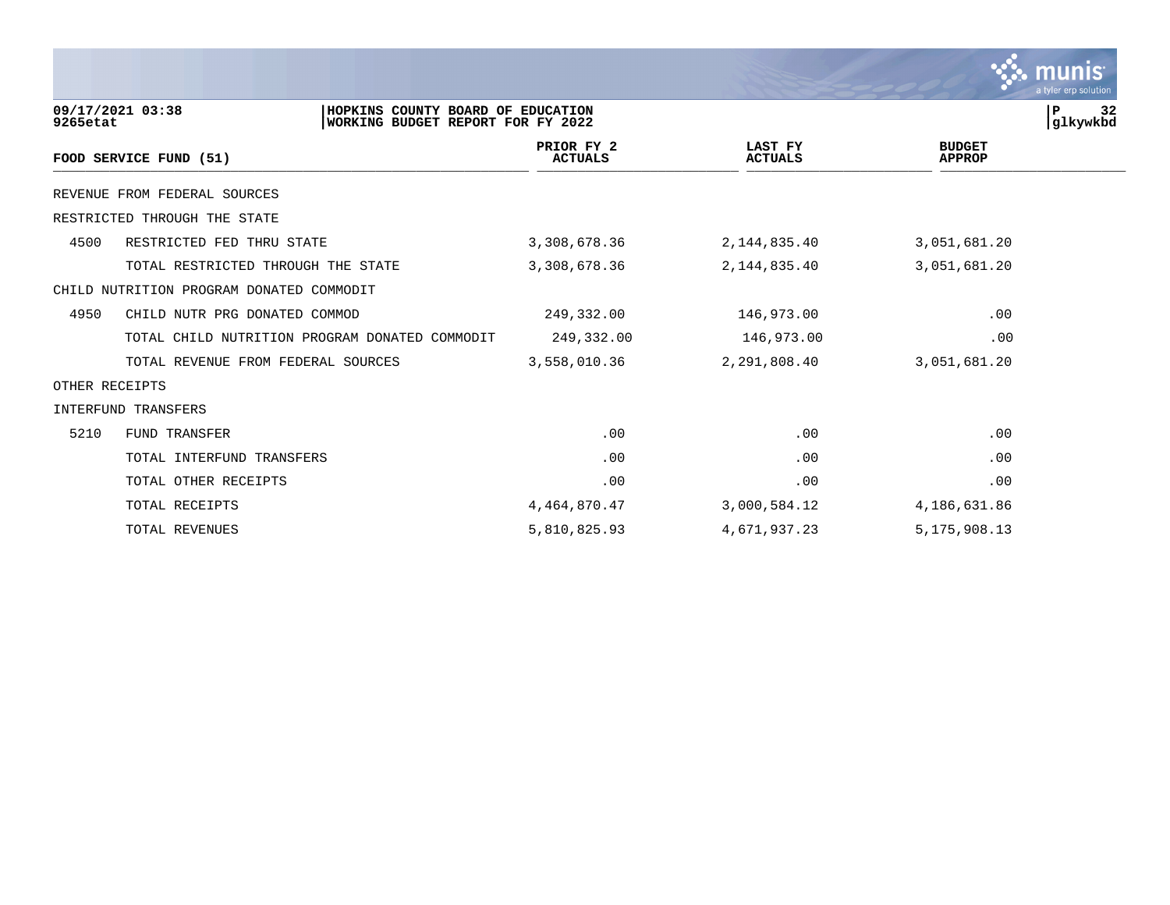|                |                                                                                                   |                              |                           |                                | a tyler erp solution        |
|----------------|---------------------------------------------------------------------------------------------------|------------------------------|---------------------------|--------------------------------|-----------------------------|
| 9265etat       | 09/17/2021 03:38<br>HOPKINS COUNTY BOARD OF EDUCATION<br><b>WORKING BUDGET REPORT FOR FY 2022</b> |                              |                           |                                | ${\bf P}$<br>32<br>glkywkbd |
|                | FOOD SERVICE FUND (51)                                                                            | PRIOR FY 2<br><b>ACTUALS</b> | LAST FY<br><b>ACTUALS</b> | <b>BUDGET</b><br><b>APPROP</b> |                             |
|                | REVENUE FROM FEDERAL SOURCES                                                                      |                              |                           |                                |                             |
|                | RESTRICTED THROUGH THE STATE                                                                      |                              |                           |                                |                             |
| 4500           | RESTRICTED FED THRU STATE                                                                         | 3,308,678.36                 | 2,144,835.40              | 3,051,681.20                   |                             |
|                | TOTAL RESTRICTED THROUGH THE STATE                                                                | 3,308,678.36                 | 2,144,835.40              | 3,051,681.20                   |                             |
|                | CHILD NUTRITION PROGRAM DONATED COMMODIT                                                          |                              |                           |                                |                             |
| 4950           | CHILD NUTR PRG DONATED COMMOD                                                                     | 249,332.00                   | 146,973.00                | .00                            |                             |
|                | TOTAL CHILD NUTRITION PROGRAM DONATED COMMODIT                                                    | 249,332.00                   | 146,973.00                | .00                            |                             |
|                | TOTAL REVENUE FROM FEDERAL SOURCES                                                                | 3,558,010.36                 | 2,291,808.40              | 3,051,681.20                   |                             |
| OTHER RECEIPTS |                                                                                                   |                              |                           |                                |                             |
|                | INTERFUND TRANSFERS                                                                               |                              |                           |                                |                             |
| 5210           | FUND TRANSFER                                                                                     | .00                          | .00                       | .00                            |                             |
|                | TOTAL INTERFUND TRANSFERS                                                                         | .00                          | .00                       | .00                            |                             |
|                | TOTAL OTHER RECEIPTS                                                                              | .00                          | .00                       | .00                            |                             |
|                | TOTAL RECEIPTS                                                                                    | 4,464,870.47                 | 3,000,584.12              | 4,186,631.86                   |                             |
|                | TOTAL REVENUES                                                                                    | 5,810,825.93                 | 4,671,937.23              | 5, 175, 908.13                 |                             |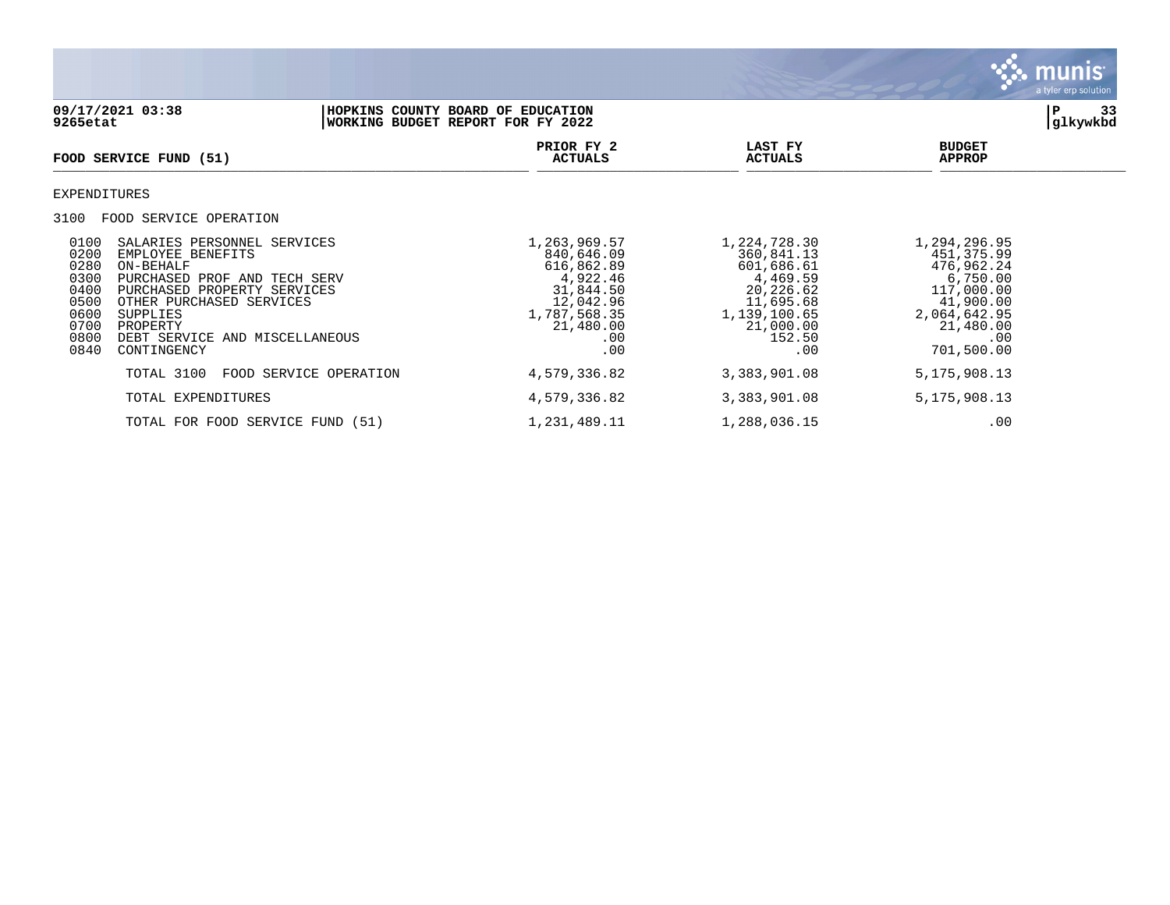

| 09/17/2021 03:38<br>HOPKINS COUNTY BOARD OF EDUCATION<br>WORKING BUDGET REPORT FOR FY 2022<br>9265etat                                                                                                                                                                                                            |                        |                                                                                                                           |                                                                                                                              |                                                                                                                                    | 33<br>P<br>glkywkbd |
|-------------------------------------------------------------------------------------------------------------------------------------------------------------------------------------------------------------------------------------------------------------------------------------------------------------------|------------------------|---------------------------------------------------------------------------------------------------------------------------|------------------------------------------------------------------------------------------------------------------------------|------------------------------------------------------------------------------------------------------------------------------------|---------------------|
| FOOD SERVICE FUND (51)                                                                                                                                                                                                                                                                                            |                        | PRIOR FY 2<br><b>ACTUALS</b>                                                                                              | LAST FY<br><b>ACTUALS</b>                                                                                                    | <b>BUDGET</b><br><b>APPROP</b>                                                                                                     |                     |
| EXPENDITURES                                                                                                                                                                                                                                                                                                      |                        |                                                                                                                           |                                                                                                                              |                                                                                                                                    |                     |
| 3100<br>FOOD SERVICE OPERATION                                                                                                                                                                                                                                                                                    |                        |                                                                                                                           |                                                                                                                              |                                                                                                                                    |                     |
| 0100<br>SALARIES PERSONNEL SERVICES<br>0200<br>EMPLOYEE BENEFITS<br>0280<br>ON-BEHALF<br>0300<br>PURCHASED PROF AND TECH SERV<br>0400<br>PURCHASED PROPERTY SERVICES<br>0500<br>OTHER PURCHASED SERVICES<br>0600<br>SUPPLIES<br>0700<br>PROPERTY<br>0800<br>DEBT SERVICE AND MISCELLANEOUS<br>0840<br>CONTINGENCY |                        | 1,263,969.57<br>840,646.09<br>616,862.89<br>4,922.46<br>31,844.50<br>12,042.96<br>1,787,568.35<br>21,480.00<br>.00<br>.00 | 1,224,728.30<br>360,841.13<br>601,686.61<br>4,469.59<br>20,226.62<br>11,695.68<br>1,139,100.65<br>21,000.00<br>152.50<br>.00 | 1,294,296.95<br>451, 375.99<br>476,962.24<br>6,750.00<br>117,000.00<br>41,900.00<br>2,064,642.95<br>21,480.00<br>.00<br>701,500.00 |                     |
| TOTAL 3100                                                                                                                                                                                                                                                                                                        | FOOD SERVICE OPERATION | 4,579,336.82                                                                                                              | 3,383,901.08                                                                                                                 | 5, 175, 908. 13                                                                                                                    |                     |
| TOTAL EXPENDITURES                                                                                                                                                                                                                                                                                                |                        | 4,579,336.82                                                                                                              | 3,383,901.08                                                                                                                 | 5, 175, 908. 13                                                                                                                    |                     |
| TOTAL FOR FOOD SERVICE FUND (51)                                                                                                                                                                                                                                                                                  |                        | 1,231,489.11                                                                                                              | 1,288,036.15                                                                                                                 | .00                                                                                                                                |                     |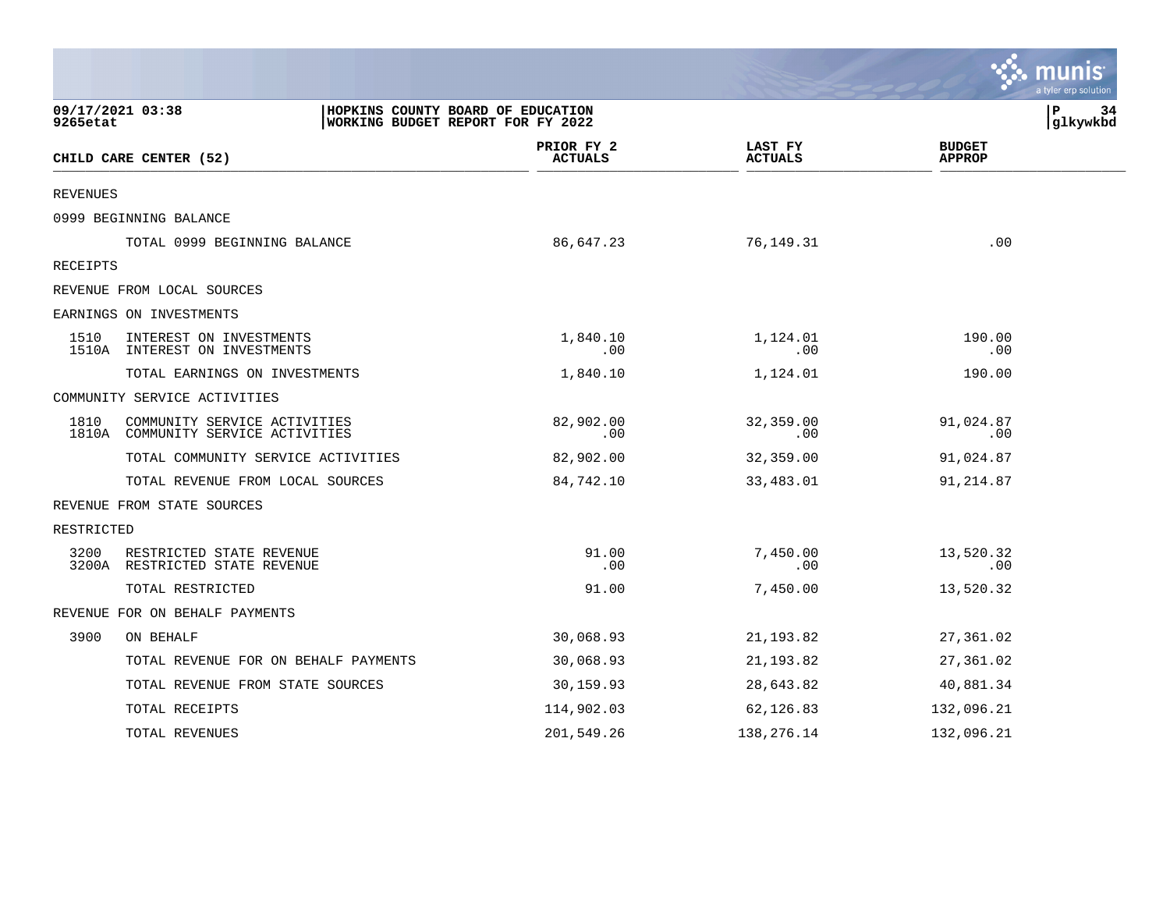|            |                                                                                            |                              |                           | a tyler erp solution           |
|------------|--------------------------------------------------------------------------------------------|------------------------------|---------------------------|--------------------------------|
| 9265etat   | 09/17/2021 03:38<br>HOPKINS COUNTY BOARD OF EDUCATION<br>WORKING BUDGET REPORT FOR FY 2022 |                              |                           | l P<br>34<br>glkywkbd          |
|            | CHILD CARE CENTER (52)                                                                     | PRIOR FY 2<br><b>ACTUALS</b> | LAST FY<br><b>ACTUALS</b> | <b>BUDGET</b><br><b>APPROP</b> |
| REVENUES   |                                                                                            |                              |                           |                                |
|            | 0999 BEGINNING BALANCE                                                                     |                              |                           |                                |
|            | TOTAL 0999 BEGINNING BALANCE                                                               | 86,647.23                    | 76,149.31                 | .00                            |
| RECEIPTS   |                                                                                            |                              |                           |                                |
|            | REVENUE FROM LOCAL SOURCES                                                                 |                              |                           |                                |
|            | EARNINGS ON INVESTMENTS                                                                    |                              |                           |                                |
| 1510       | INTEREST ON INVESTMENTS<br>1510A INTEREST ON INVESTMENTS                                   | 1,840.10<br>.00              | 1,124.01<br>.00           | 190.00<br>.00                  |
|            | TOTAL EARNINGS ON INVESTMENTS                                                              | 1,840.10                     | 1,124.01                  | 190.00                         |
|            | COMMUNITY SERVICE ACTIVITIES                                                               |                              |                           |                                |
| 1810       | COMMUNITY SERVICE ACTIVITIES<br>1810A COMMUNITY SERVICE ACTIVITIES                         | 82,902.00<br>.00             | 32,359.00<br>.00          | 91,024.87<br>.00               |
|            | TOTAL COMMUNITY SERVICE ACTIVITIES                                                         | 82,902.00                    | 32,359.00                 | 91,024.87                      |
|            | TOTAL REVENUE FROM LOCAL SOURCES                                                           | 84,742.10                    | 33,483.01                 | 91,214.87                      |
|            | REVENUE FROM STATE SOURCES                                                                 |                              |                           |                                |
| RESTRICTED |                                                                                            |                              |                           |                                |
| 3200       | RESTRICTED STATE REVENUE<br>3200A RESTRICTED STATE REVENUE                                 | 91.00<br>.00                 | 7,450.00<br>.00           | 13,520.32<br>.00               |
|            | TOTAL RESTRICTED                                                                           | 91.00                        | 7,450.00                  | 13,520.32                      |
|            | REVENUE FOR ON BEHALF PAYMENTS                                                             |                              |                           |                                |
| 3900       | ON BEHALF                                                                                  | 30,068.93                    | 21, 193.82                | 27,361.02                      |
|            | TOTAL REVENUE FOR ON BEHALF PAYMENTS                                                       | 30,068.93                    | 21, 193.82                | 27,361.02                      |
|            | TOTAL REVENUE FROM STATE SOURCES                                                           | 30,159.93                    | 28,643.82                 | 40,881.34                      |
|            | TOTAL RECEIPTS                                                                             | 114,902.03                   | 62,126.83                 | 132,096.21                     |
|            | TOTAL REVENUES                                                                             | 201,549.26                   | 138,276.14                | 132,096.21                     |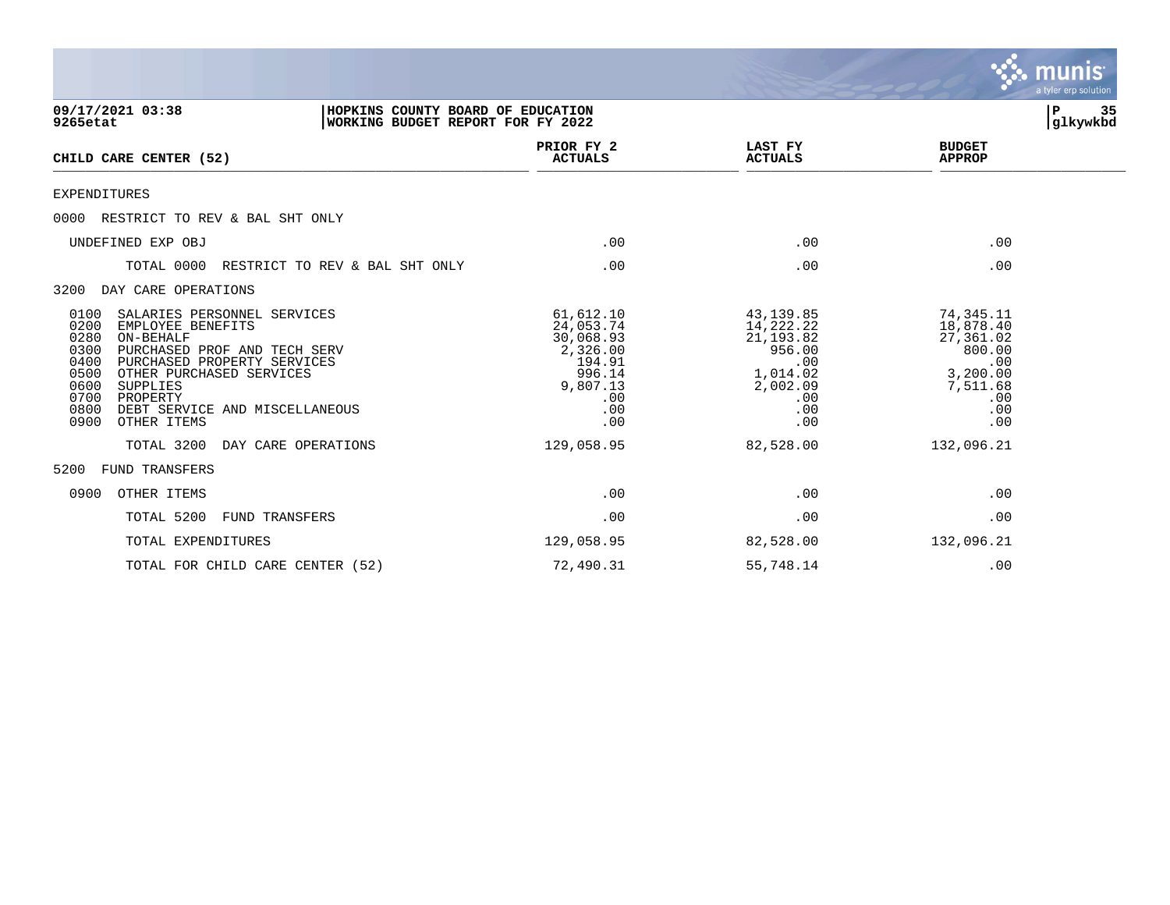|                                                                                                                                                                                                                                                                                                                   |                                                                                                      |                                                                                                    | <b>munis</b><br>a tyler erp solution                                                              |                |
|-------------------------------------------------------------------------------------------------------------------------------------------------------------------------------------------------------------------------------------------------------------------------------------------------------------------|------------------------------------------------------------------------------------------------------|----------------------------------------------------------------------------------------------------|---------------------------------------------------------------------------------------------------|----------------|
| 09/17/2021 03:38<br>9265etat                                                                                                                                                                                                                                                                                      | HOPKINS COUNTY BOARD OF EDUCATION<br>WORKING BUDGET REPORT FOR FY 2022                               |                                                                                                    | Р                                                                                                 | 35<br>glkywkbd |
| CHILD CARE CENTER (52)                                                                                                                                                                                                                                                                                            | PRIOR FY 2<br><b>ACTUALS</b>                                                                         | LAST FY<br><b>ACTUALS</b>                                                                          | <b>BUDGET</b><br><b>APPROP</b>                                                                    |                |
| <b>EXPENDITURES</b>                                                                                                                                                                                                                                                                                               |                                                                                                      |                                                                                                    |                                                                                                   |                |
| RESTRICT TO REV & BAL SHT ONLY<br>0000                                                                                                                                                                                                                                                                            |                                                                                                      |                                                                                                    |                                                                                                   |                |
| UNDEFINED EXP OBJ                                                                                                                                                                                                                                                                                                 | .00                                                                                                  | .00                                                                                                | .00                                                                                               |                |
| TOTAL 0000<br>RESTRICT TO REV & BAL SHT ONLY                                                                                                                                                                                                                                                                      | .00                                                                                                  | .00                                                                                                | .00                                                                                               |                |
| DAY CARE OPERATIONS<br>3200                                                                                                                                                                                                                                                                                       |                                                                                                      |                                                                                                    |                                                                                                   |                |
| 0100<br>SALARIES PERSONNEL SERVICES<br>0200<br>EMPLOYEE BENEFITS<br>0280<br>ON-BEHALF<br>0300<br>PURCHASED PROF AND TECH SERV<br>0400<br>PURCHASED PROPERTY SERVICES<br>0500<br>OTHER PURCHASED SERVICES<br>0600<br>SUPPLIES<br>0700<br>PROPERTY<br>0800<br>DEBT SERVICE AND MISCELLANEOUS<br>0900<br>OTHER ITEMS | 61,612.10<br>24,053.74<br>30,068.93<br>2,326.00<br>194.91<br>996.14<br>9,807.13<br>.00<br>.00<br>.00 | 43,139.85<br>14,222.22<br>21, 193.82<br>956.00<br>.00<br>1,014.02<br>2,002.09<br>.00<br>.00<br>.00 | 74,345.11<br>18,878.40<br>27,361.02<br>800.00<br>.00<br>3,200.00<br>7,511.68<br>.00<br>.00<br>.00 |                |
| TOTAL 3200<br>DAY CARE OPERATIONS                                                                                                                                                                                                                                                                                 | 129,058.95                                                                                           | 82,528.00                                                                                          | 132,096.21                                                                                        |                |
| 5200<br>FUND TRANSFERS                                                                                                                                                                                                                                                                                            |                                                                                                      |                                                                                                    |                                                                                                   |                |
| OTHER ITEMS<br>0900                                                                                                                                                                                                                                                                                               | .00                                                                                                  | .00                                                                                                | .00                                                                                               |                |
| TOTAL 5200<br><b>FUND TRANSFERS</b>                                                                                                                                                                                                                                                                               | .00                                                                                                  | .00                                                                                                | .00                                                                                               |                |
| TOTAL EXPENDITURES                                                                                                                                                                                                                                                                                                | 129,058.95                                                                                           | 82,528.00                                                                                          | 132,096.21                                                                                        |                |
| TOTAL FOR CHILD CARE CENTER (52)                                                                                                                                                                                                                                                                                  | 72,490.31                                                                                            | 55,748.14                                                                                          | .00                                                                                               |                |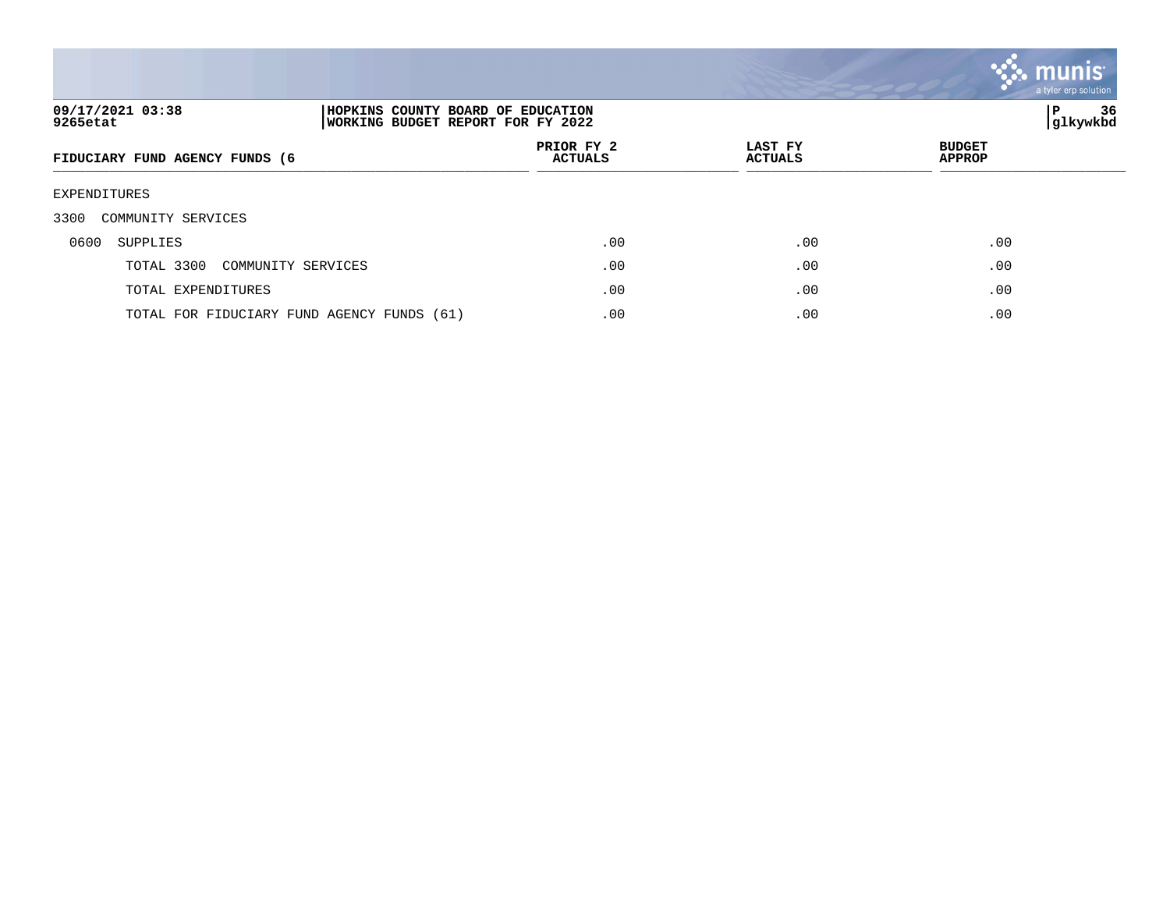

| 09/17/2021 03:38<br>HOPKINS COUNTY BOARD OF EDUCATION<br>9265etat<br>WORKING BUDGET REPORT FOR FY 2022 |  |                              |                           | ∣P                             | 36<br>glkywkbd |  |
|--------------------------------------------------------------------------------------------------------|--|------------------------------|---------------------------|--------------------------------|----------------|--|
| FIDUCIARY FUND AGENCY FUNDS (6                                                                         |  | PRIOR FY 2<br><b>ACTUALS</b> | LAST FY<br><b>ACTUALS</b> | <b>BUDGET</b><br><b>APPROP</b> |                |  |
| EXPENDITURES                                                                                           |  |                              |                           |                                |                |  |
| 3300<br>COMMUNITY SERVICES                                                                             |  |                              |                           |                                |                |  |
| 0600<br>SUPPLIES                                                                                       |  | .00                          | .00                       | .00                            |                |  |
| TOTAL 3300<br>COMMUNITY SERVICES                                                                       |  | .00                          | .00                       | .00                            |                |  |
| TOTAL EXPENDITURES                                                                                     |  | $.00 \,$                     | .00                       | .00                            |                |  |
| TOTAL FOR FIDUCIARY FUND AGENCY FUNDS (61)                                                             |  | .00                          | .00                       | .00                            |                |  |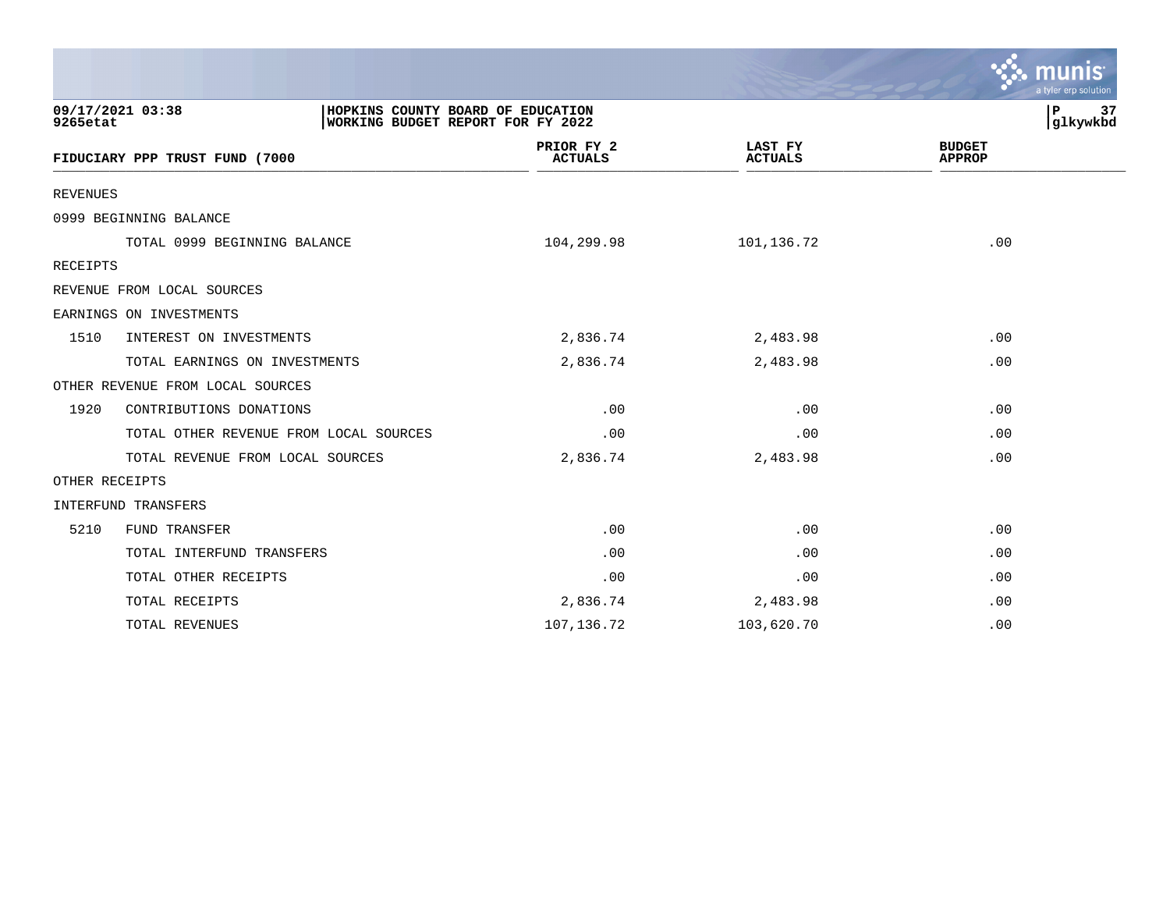|                 |                                                                                            |                              |                                  | a tyler erp solution           |
|-----------------|--------------------------------------------------------------------------------------------|------------------------------|----------------------------------|--------------------------------|
| 9265etat        | 09/17/2021 03:38<br>HOPKINS COUNTY BOARD OF EDUCATION<br>WORKING BUDGET REPORT FOR FY 2022 |                              |                                  | P<br>37<br>glkywkbd            |
|                 | FIDUCIARY PPP TRUST FUND (7000                                                             | PRIOR FY 2<br><b>ACTUALS</b> | <b>LAST FY</b><br><b>ACTUALS</b> | <b>BUDGET</b><br><b>APPROP</b> |
| <b>REVENUES</b> |                                                                                            |                              |                                  |                                |
|                 | 0999 BEGINNING BALANCE                                                                     |                              |                                  |                                |
|                 | TOTAL 0999 BEGINNING BALANCE                                                               | 104,299.98                   | 101,136.72                       | .00                            |
| RECEIPTS        |                                                                                            |                              |                                  |                                |
|                 | REVENUE FROM LOCAL SOURCES                                                                 |                              |                                  |                                |
|                 | EARNINGS ON INVESTMENTS                                                                    |                              |                                  |                                |
| 1510            | INTEREST ON INVESTMENTS                                                                    | 2,836.74                     | 2,483.98                         | .00                            |
|                 | TOTAL EARNINGS ON INVESTMENTS                                                              | 2,836.74                     | 2,483.98                         | .00                            |
|                 | OTHER REVENUE FROM LOCAL SOURCES                                                           |                              |                                  |                                |
| 1920            | CONTRIBUTIONS DONATIONS                                                                    | .00                          | .00                              | .00                            |
|                 | TOTAL OTHER REVENUE FROM LOCAL SOURCES                                                     | .00                          | .00                              | .00                            |
|                 | TOTAL REVENUE FROM LOCAL SOURCES                                                           | 2,836.74                     | 2,483.98                         | .00                            |
| OTHER RECEIPTS  |                                                                                            |                              |                                  |                                |
|                 | INTERFUND TRANSFERS                                                                        |                              |                                  |                                |
| 5210            | FUND TRANSFER                                                                              | .00                          | .00                              | .00                            |
|                 | TOTAL INTERFUND TRANSFERS                                                                  | .00                          | .00                              | .00                            |
|                 | TOTAL OTHER RECEIPTS                                                                       | .00                          | .00                              | .00                            |
|                 | TOTAL RECEIPTS                                                                             | 2,836.74                     | 2,483.98                         | .00                            |
|                 | TOTAL REVENUES                                                                             | 107,136.72                   | 103,620.70                       | .00                            |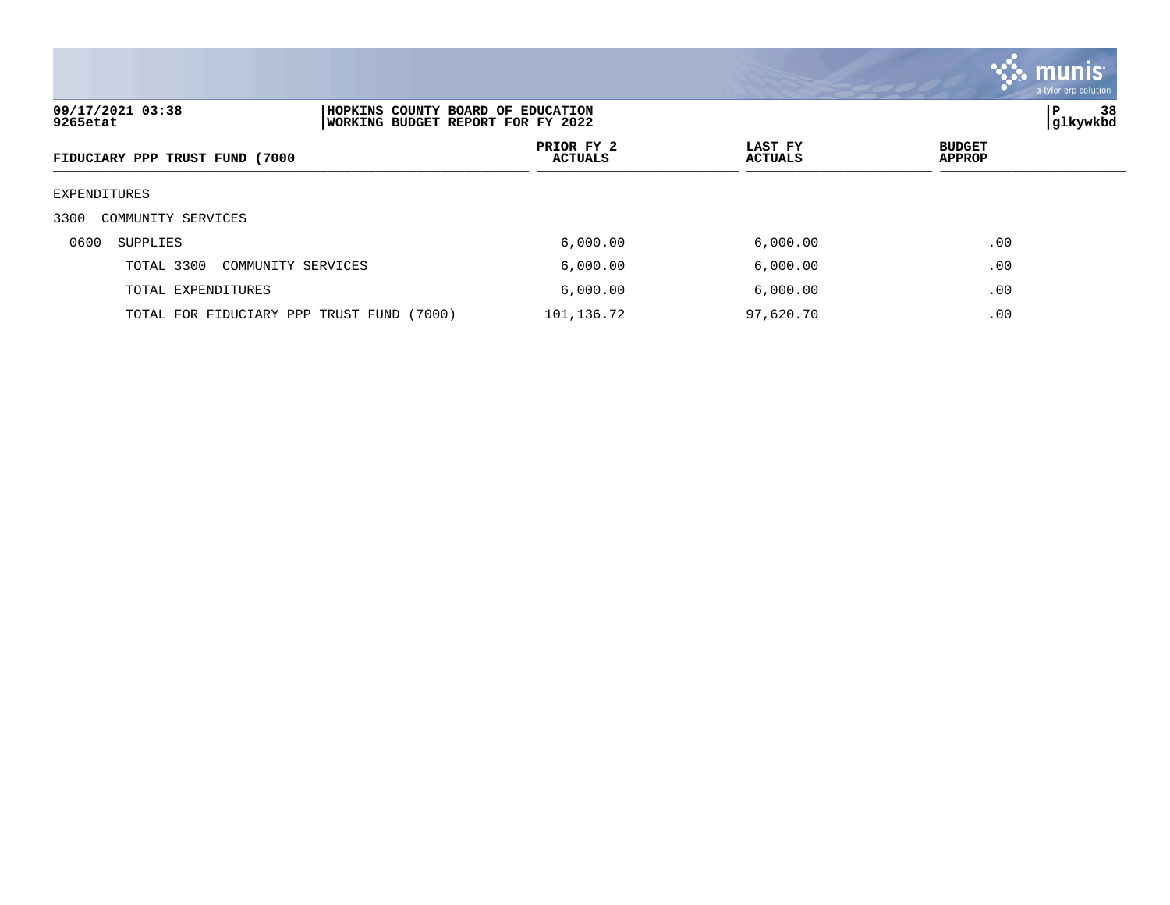

| 09/17/2021 03:38<br>9265etat              | HOPKINS COUNTY BOARD OF EDUCATION<br>WORKING BUDGET REPORT FOR FY 2022 |                           |                                |
|-------------------------------------------|------------------------------------------------------------------------|---------------------------|--------------------------------|
| FIDUCIARY PPP TRUST FUND (7000            | PRIOR FY 2<br>ACTUALS                                                  | LAST FY<br><b>ACTUALS</b> | <b>BUDGET</b><br><b>APPROP</b> |
| EXPENDITURES                              |                                                                        |                           |                                |
| 3300<br>COMMUNITY SERVICES                |                                                                        |                           |                                |
| 0600<br>SUPPLIES                          | 6,000.00                                                               | 6,000.00                  | .00                            |
| TOTAL 3300<br>COMMUNITY SERVICES          | 6,000.00                                                               | 6,000.00                  | .00                            |
| TOTAL EXPENDITURES                        | 6,000.00                                                               | 6,000.00                  | .00                            |
| TOTAL FOR FIDUCIARY PPP TRUST FUND (7000) | 101,136.72                                                             | 97,620.70                 | .00                            |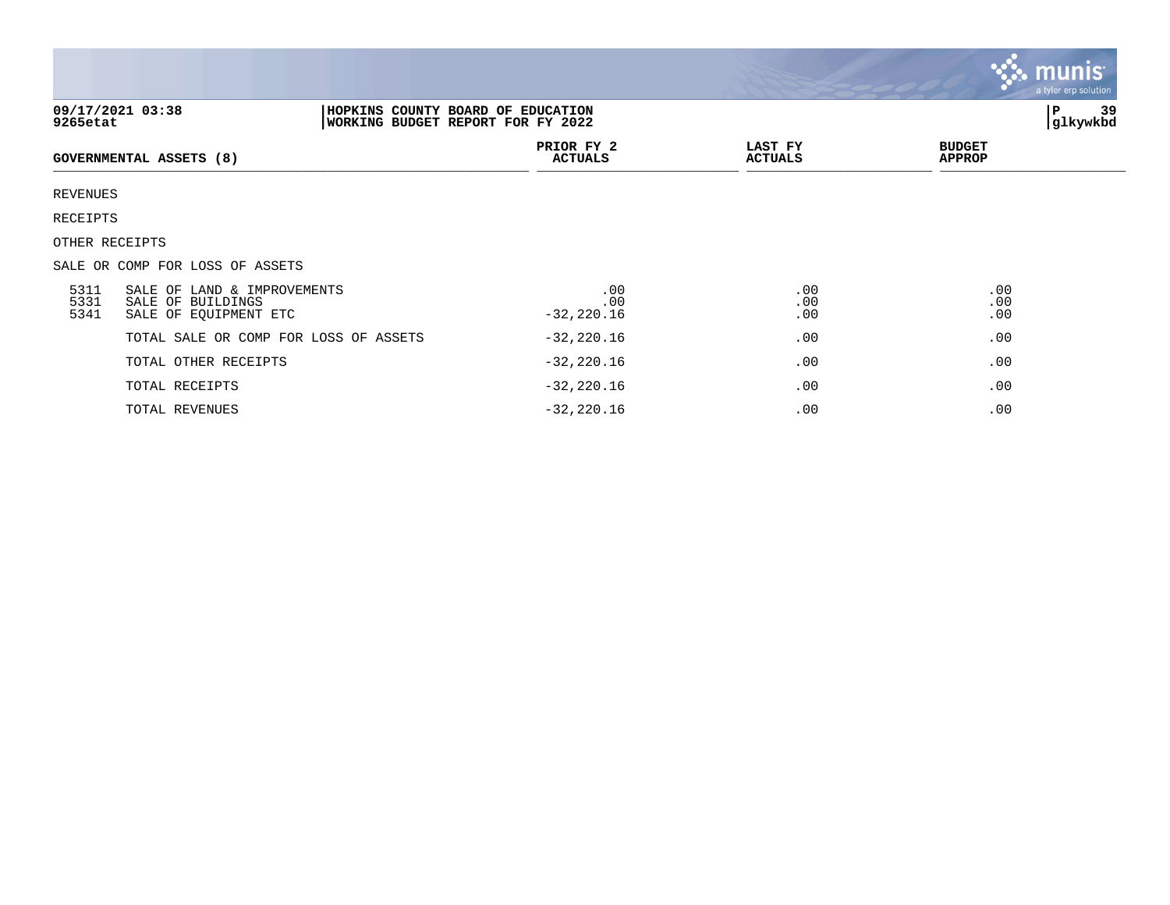|                                                                                                               |                                                                           |                              |                           |                                | <b>munis</b><br>a tyler erp solution |
|---------------------------------------------------------------------------------------------------------------|---------------------------------------------------------------------------|------------------------------|---------------------------|--------------------------------|--------------------------------------|
| 09/17/2021 03:38<br>HOPKINS COUNTY BOARD OF EDUCATION<br><b>WORKING BUDGET REPORT FOR FY 2022</b><br>9265etat |                                                                           |                              |                           |                                | 39<br>P<br>glkywkbd                  |
|                                                                                                               | <b>GOVERNMENTAL ASSETS (8)</b>                                            | PRIOR FY 2<br><b>ACTUALS</b> | LAST FY<br><b>ACTUALS</b> | <b>BUDGET</b><br><b>APPROP</b> |                                      |
| REVENUES                                                                                                      |                                                                           |                              |                           |                                |                                      |
| RECEIPTS                                                                                                      |                                                                           |                              |                           |                                |                                      |
| OTHER RECEIPTS                                                                                                |                                                                           |                              |                           |                                |                                      |
|                                                                                                               | SALE OR COMP FOR LOSS OF ASSETS                                           |                              |                           |                                |                                      |
| 5311<br>5331<br>5341                                                                                          | SALE OF LAND & IMPROVEMENTS<br>SALE OF BUILDINGS<br>SALE OF EQUIPMENT ETC | .00<br>.00<br>$-32,220.16$   | .00<br>.00<br>.00         | .00<br>.00<br>.00              |                                      |
|                                                                                                               | TOTAL SALE OR COMP FOR LOSS OF ASSETS                                     | $-32,220.16$                 | .00                       | .00                            |                                      |
|                                                                                                               | TOTAL OTHER RECEIPTS                                                      | $-32, 220.16$                | .00                       | .00                            |                                      |
|                                                                                                               | TOTAL RECEIPTS                                                            | $-32,220.16$                 | .00                       | .00                            |                                      |
|                                                                                                               | TOTAL REVENUES                                                            | $-32, 220.16$                | .00                       | .00                            |                                      |

**The State**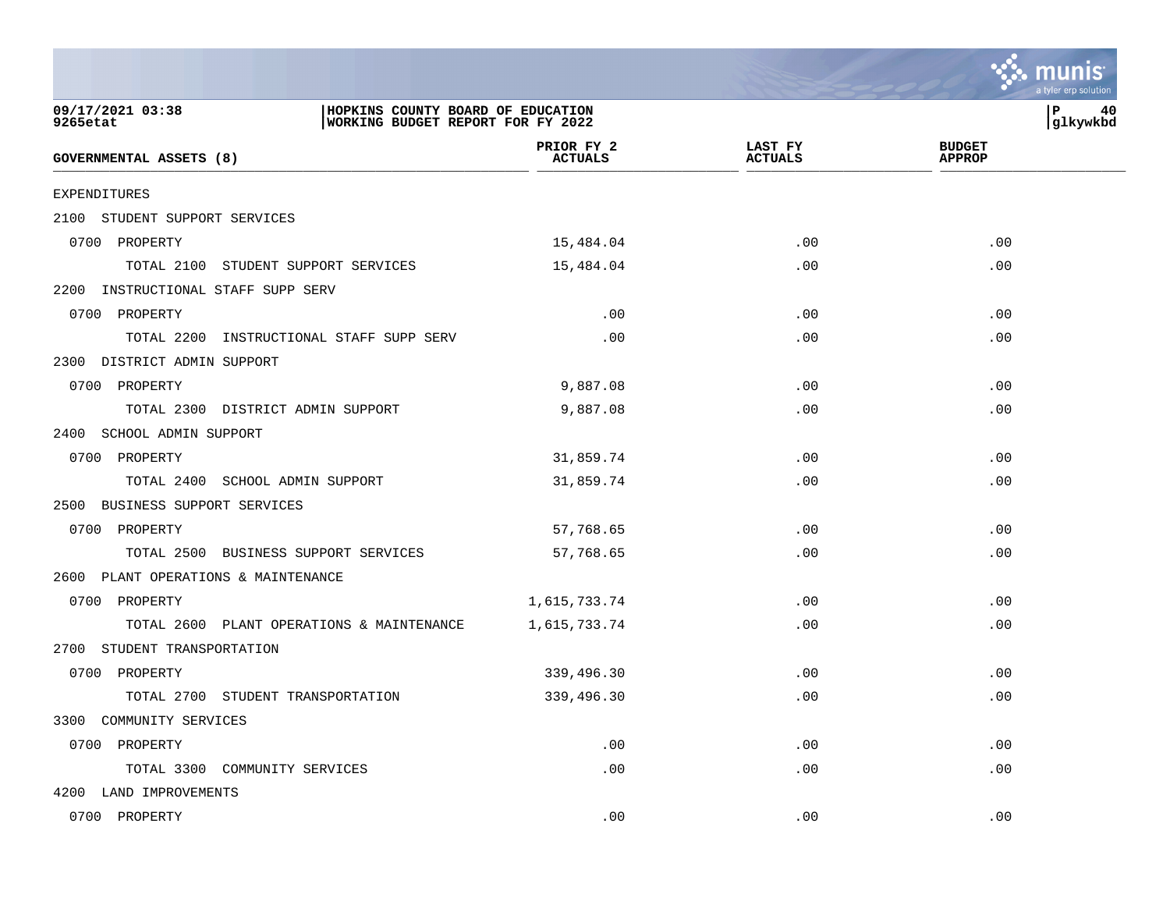|                                                                                                        |                              |                           | a tyler erp solution           |
|--------------------------------------------------------------------------------------------------------|------------------------------|---------------------------|--------------------------------|
| 09/17/2021 03:38<br>HOPKINS COUNTY BOARD OF EDUCATION<br>9265etat<br>WORKING BUDGET REPORT FOR FY 2022 |                              |                           | P<br>40<br>glkywkbd            |
| GOVERNMENTAL ASSETS (8)                                                                                | PRIOR FY 2<br><b>ACTUALS</b> | LAST FY<br><b>ACTUALS</b> | <b>BUDGET</b><br><b>APPROP</b> |
| EXPENDITURES                                                                                           |                              |                           |                                |
| 2100 STUDENT SUPPORT SERVICES                                                                          |                              |                           |                                |
| 0700 PROPERTY                                                                                          | 15,484.04                    | .00                       | .00                            |
| TOTAL 2100 STUDENT SUPPORT SERVICES                                                                    | 15,484.04                    | .00                       | .00                            |
| 2200 INSTRUCTIONAL STAFF SUPP SERV                                                                     |                              |                           |                                |
| 0700 PROPERTY                                                                                          | .00                          | .00                       | .00                            |
| TOTAL 2200 INSTRUCTIONAL STAFF SUPP SERV                                                               | .00                          | .00                       | .00                            |
| 2300 DISTRICT ADMIN SUPPORT                                                                            |                              |                           |                                |
| 0700 PROPERTY                                                                                          | 9,887.08                     | .00                       | .00                            |
| TOTAL 2300 DISTRICT ADMIN SUPPORT                                                                      | 9,887.08                     | .00                       | .00                            |
| 2400<br>SCHOOL ADMIN SUPPORT                                                                           |                              |                           |                                |
| 0700 PROPERTY                                                                                          | 31,859.74                    | .00                       | .00                            |
| TOTAL 2400 SCHOOL ADMIN SUPPORT                                                                        | 31,859.74                    | .00                       | .00                            |
| BUSINESS SUPPORT SERVICES<br>2500                                                                      |                              |                           |                                |
| 0700 PROPERTY                                                                                          | 57,768.65                    | .00                       | .00                            |
| TOTAL 2500 BUSINESS SUPPORT SERVICES                                                                   | 57,768.65                    | .00                       | .00                            |
| 2600<br>PLANT OPERATIONS & MAINTENANCE                                                                 |                              |                           |                                |
| 0700 PROPERTY                                                                                          | 1,615,733.74                 | .00                       | .00                            |
| TOTAL 2600 PLANT OPERATIONS & MAINTENANCE                                                              | 1,615,733.74                 | .00                       | .00                            |
| 2700<br>STUDENT TRANSPORTATION                                                                         |                              |                           |                                |
| 0700 PROPERTY                                                                                          | 339,496.30                   | .00                       | .00                            |
| TOTAL 2700 STUDENT TRANSPORTATION                                                                      | 339,496.30                   | .00                       | .00                            |
| 3300 COMMUNITY SERVICES                                                                                |                              |                           |                                |
| 0700 PROPERTY                                                                                          | .00                          | .00                       | .00                            |
| TOTAL 3300 COMMUNITY SERVICES                                                                          | .00                          | .00                       | .00                            |
| 4200 LAND IMPROVEMENTS                                                                                 |                              |                           |                                |
| 0700 PROPERTY                                                                                          | .00                          | .00                       | .00                            |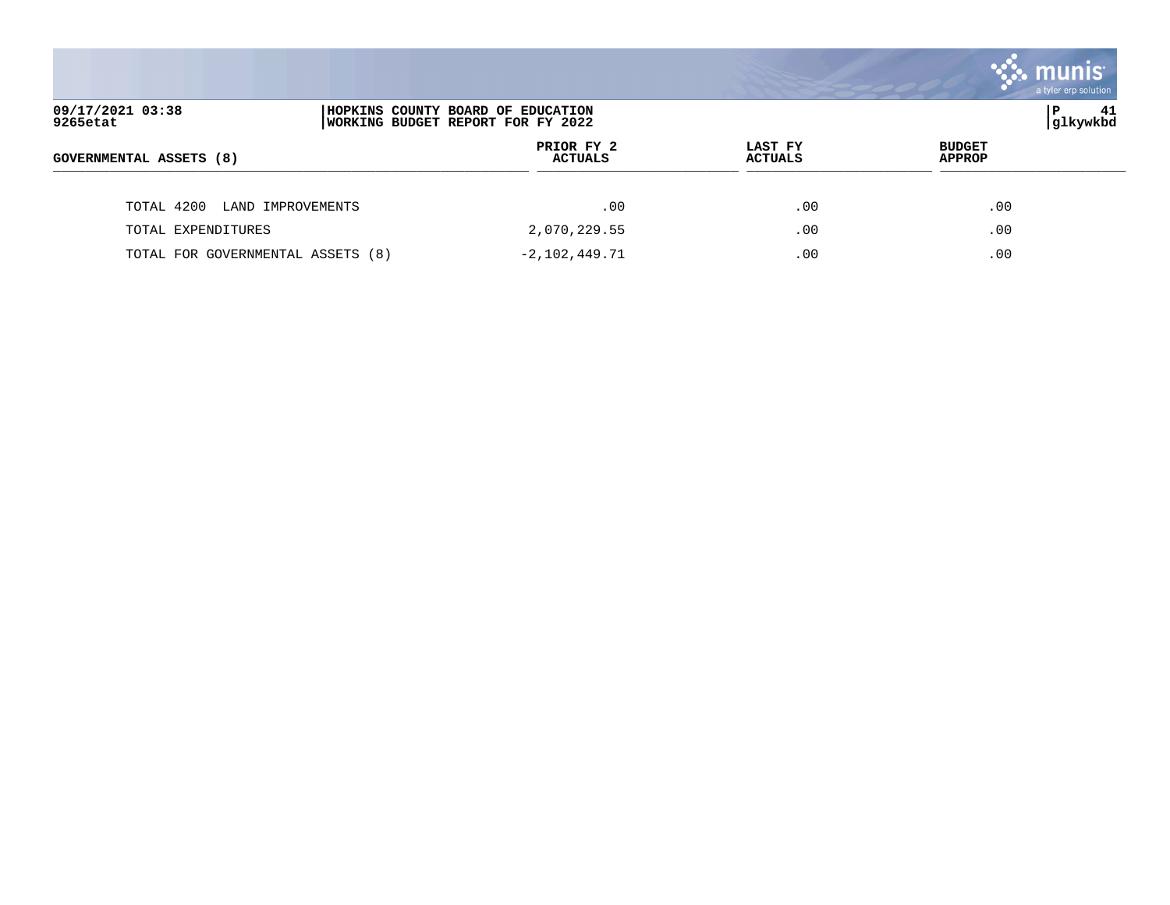|                                   |                                                                        |                           |                                | $\sim$ munis $^{\circ}$<br>a tyler erp solution |
|-----------------------------------|------------------------------------------------------------------------|---------------------------|--------------------------------|-------------------------------------------------|
| 09/17/2021 03:38<br>9265etat      | HOPKINS COUNTY BOARD OF EDUCATION<br>WORKING BUDGET REPORT FOR FY 2022 |                           |                                | 41<br> glkywkbd                                 |
| <b>GOVERNMENTAL ASSETS (8)</b>    | PRIOR FY 2<br><b>ACTUALS</b>                                           | LAST FY<br><b>ACTUALS</b> | <b>BUDGET</b><br><b>APPROP</b> |                                                 |
| TOTAL 4200 LAND IMPROVEMENTS      | .00                                                                    | .00                       | .00                            |                                                 |
| TOTAL EXPENDITURES                | 2,070,229.55                                                           | .00                       | .00                            |                                                 |
| TOTAL FOR GOVERNMENTAL ASSETS (8) | $-2,102,449.71$                                                        | .00                       | .00                            |                                                 |

**Tara**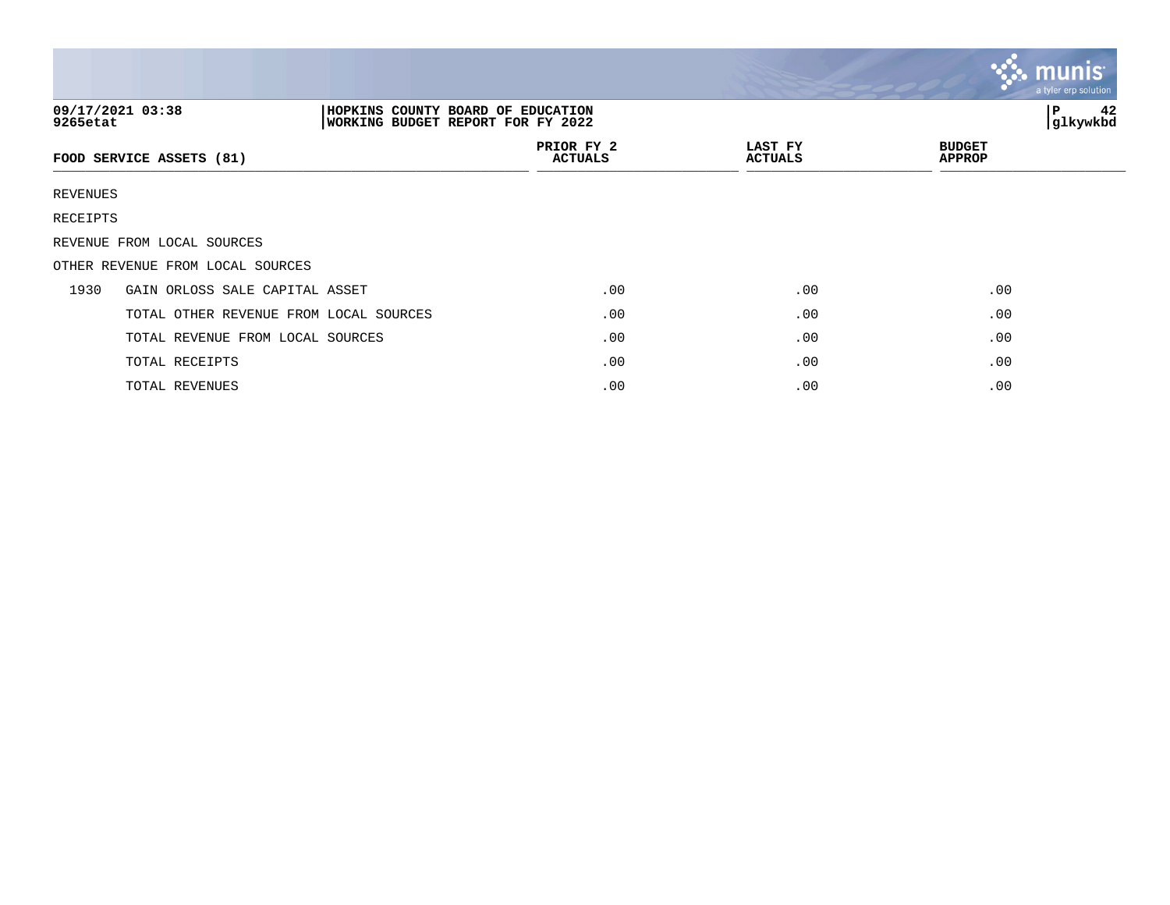|                                                                                                        |                                        |  |                              |                           | <b>munis</b><br>a tyler erp solution. |
|--------------------------------------------------------------------------------------------------------|----------------------------------------|--|------------------------------|---------------------------|---------------------------------------|
| 09/17/2021 03:38<br>HOPKINS COUNTY BOARD OF EDUCATION<br>WORKING BUDGET REPORT FOR FY 2022<br>9265etat |                                        |  |                              |                           | P<br>42<br>glkywkbd                   |
|                                                                                                        | FOOD SERVICE ASSETS (81)               |  | PRIOR FY 2<br><b>ACTUALS</b> | LAST FY<br><b>ACTUALS</b> | <b>BUDGET</b><br><b>APPROP</b>        |
| REVENUES                                                                                               |                                        |  |                              |                           |                                       |
| RECEIPTS                                                                                               |                                        |  |                              |                           |                                       |
|                                                                                                        | REVENUE FROM LOCAL SOURCES             |  |                              |                           |                                       |
|                                                                                                        | OTHER REVENUE FROM LOCAL SOURCES       |  |                              |                           |                                       |
| 1930                                                                                                   | GAIN ORLOSS SALE CAPITAL ASSET         |  | .00                          | .00                       | .00                                   |
|                                                                                                        | TOTAL OTHER REVENUE FROM LOCAL SOURCES |  | .00                          | .00                       | .00                                   |
|                                                                                                        | TOTAL REVENUE FROM LOCAL SOURCES       |  | .00                          | .00                       | .00                                   |
|                                                                                                        | TOTAL RECEIPTS                         |  | .00                          | .00                       | .00                                   |
|                                                                                                        | TOTAL REVENUES                         |  | .00                          | .00                       | .00                                   |

 $\bullet$ 

**College**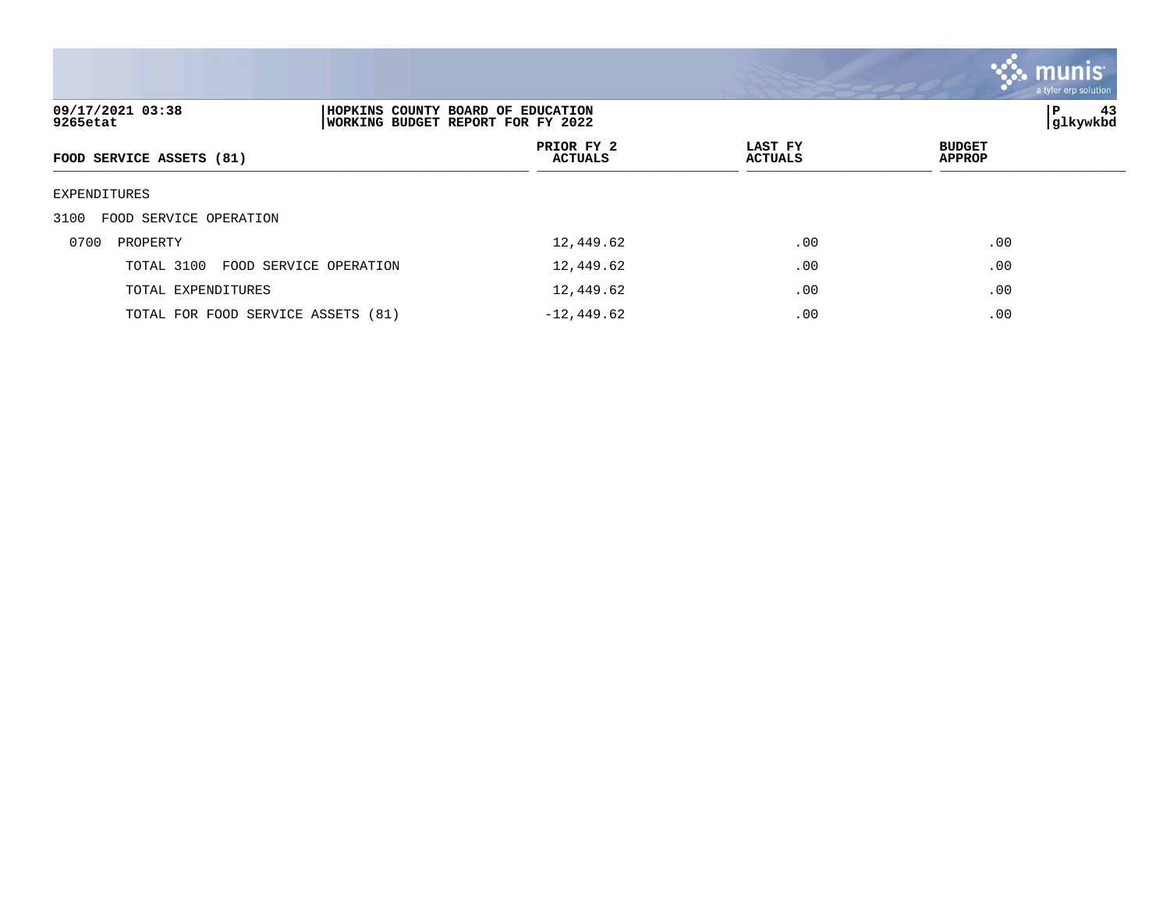|                                                                                                        |                              |                           | <b>Co.</b> munis<br>a tyler erp solution |
|--------------------------------------------------------------------------------------------------------|------------------------------|---------------------------|------------------------------------------|
| 09/17/2021 03:38<br>HOPKINS COUNTY BOARD OF EDUCATION<br>9265etat<br>WORKING BUDGET REPORT FOR FY 2022 |                              | 43<br>P<br>glkywkbd       |                                          |
| FOOD SERVICE ASSETS (81)                                                                               | PRIOR FY 2<br><b>ACTUALS</b> | LAST FY<br><b>ACTUALS</b> | <b>BUDGET</b><br><b>APPROP</b>           |
| EXPENDITURES                                                                                           |                              |                           |                                          |
| FOOD SERVICE OPERATION<br>3100                                                                         |                              |                           |                                          |
| 0700<br>PROPERTY                                                                                       | 12,449.62                    | .00                       | .00                                      |
| TOTAL 3100<br>FOOD SERVICE OPERATION                                                                   | 12,449.62                    | .00                       | .00                                      |
| TOTAL EXPENDITURES                                                                                     | 12,449.62                    | .00                       | .00                                      |
| TOTAL FOR FOOD SERVICE ASSETS (81)                                                                     | $-12, 449.62$                | .00                       | .00                                      |

<u>and the same of the same of the same of the same of the same of the same of the same of the same of the same of the same of the same of the same of the same of the same of the same of the same of the same of the same of t</u>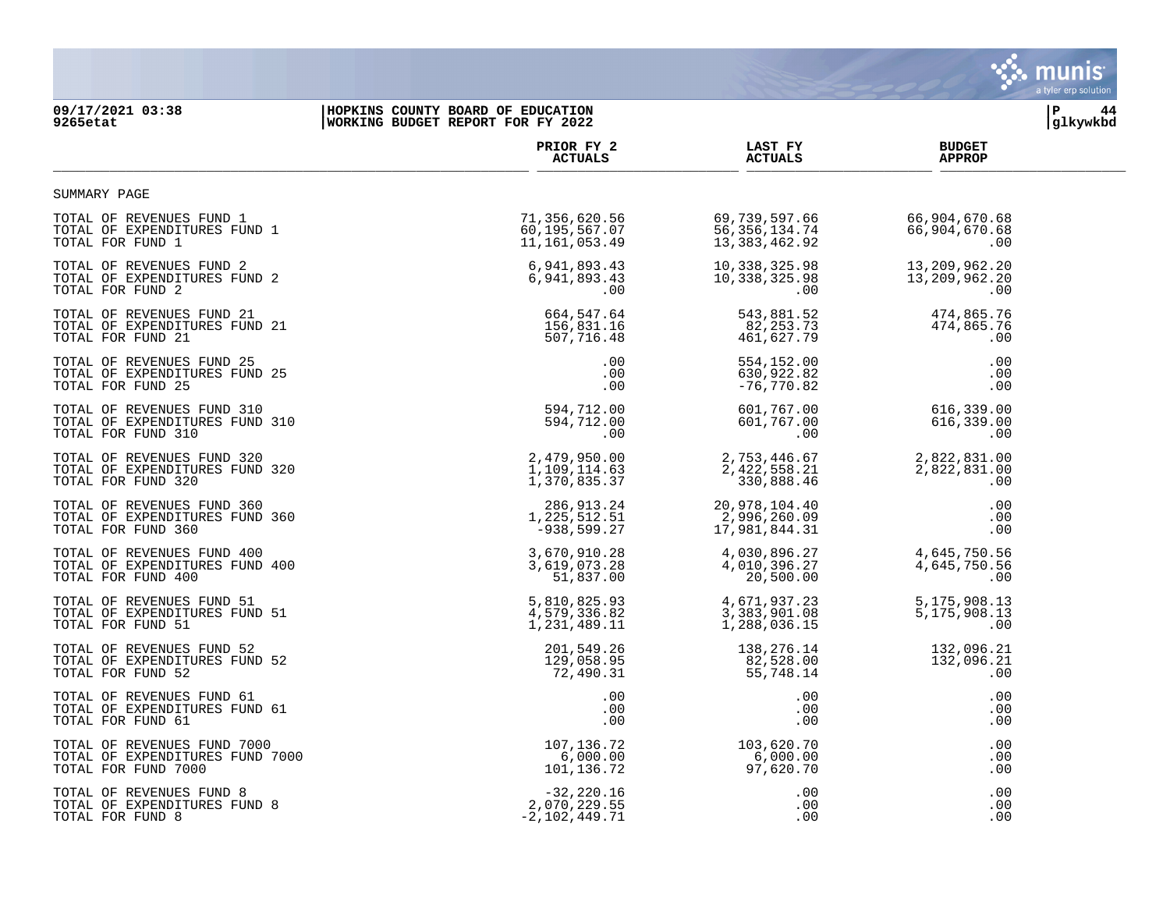

## **09/17/2021 03:38 |HOPKINS COUNTY BOARD OF EDUCATION |P 44 9265etat |WORKING BUDGET REPORT FOR FY 2022 |glkywkbd**

|                                                                                       | PRIOR FY 2<br><b>ACTUALS</b>                    | LAST FY<br><b>ACTUALS</b>                           | <b>BUDGET</b><br><b>APPROP</b>                                          |  |
|---------------------------------------------------------------------------------------|-------------------------------------------------|-----------------------------------------------------|-------------------------------------------------------------------------|--|
| SUMMARY PAGE                                                                          |                                                 |                                                     |                                                                         |  |
| TOTAL OF REVENUES FUND 1<br>TOTAL OF EXPENDITURES FUND 1<br>TOTAL FOR FUND 1          | 71,356,620.56<br>60,195,567.07<br>11,161,053.49 | 69,739,597.66<br>56, 356, 134.74<br>13, 383, 462.92 | 66,904,670.68<br>66,904,670.68<br>.00                                   |  |
| TOTAL OF REVENUES FUND 2                                                              | 6,941,893.43                                    | 10,338,325.98                                       | 13,209,962.20                                                           |  |
| TOTAL OF EXPENDITURES FUND 2                                                          | 6,941,893.43                                    | 10,338,325.98                                       | 13,209,962.20                                                           |  |
| TOTAL FOR FUND 2                                                                      | $.00 \,$                                        | $.00 \,$                                            | .00                                                                     |  |
| TOTAL OF REVENUES FUND 21                                                             | 664,547.64                                      | 543,881.52                                          | 474,865.76                                                              |  |
| TOTAL OF EXPENDITURES FUND 21                                                         | 156,831.16                                      | 82,253.73                                           | 474,865.76                                                              |  |
| TOTAL FOR FUND 21                                                                     | 507,716.48                                      | 461,627.79                                          | .00                                                                     |  |
| TOTAL OF REVENUES FUND 25                                                             | .00                                             | 554,152.00                                          | .00                                                                     |  |
| TOTAL OF EXPENDITURES FUND 25                                                         | .00                                             | 630,922.82                                          | .00                                                                     |  |
| TOTAL FOR FUND 25                                                                     | .00                                             | -76,770.82                                          | .00                                                                     |  |
| TOTAL OF REVENUES FUND 310<br>TOTAL OF EXPENDITURES FUND 310<br>TOTAL FOR FUND 310    | 594,712.00<br>594,712.00<br>.00                 | .00                                                 | $601, 767.00$<br>$616, 339.00$<br>$616, 339.00$<br>$616, 339.00$<br>.00 |  |
| TOTAL OF REVENUES FUND 320                                                            | 2,479,950.00                                    | 2,753,446.67                                        | 2,822,831.00                                                            |  |
| TOTAL OF EXPENDITURES FUND 320                                                        | 1,109,114.63                                    | 2,422,558.21                                        | 2,822,831.00                                                            |  |
| TOTAL FOR FUND 320                                                                    | 1,370,835.37                                    | 330,888.46                                          | .00                                                                     |  |
| TOTAL OF REVENUES FUND 360                                                            | 286,913.24                                      | 20,978,104.40                                       | .00                                                                     |  |
| TOTAL OF EXPENDITURES FUND 360                                                        | 1,225,512.51                                    | 2,996,260.09                                        | .00                                                                     |  |
| TOTAL FOR FUND 360                                                                    | $-938,599.27$                                   | 17,981,844.31                                       | .00                                                                     |  |
| TOTAL OF REVENUES FUND 400                                                            | 3,670,910.28                                    | 4,030,896.27                                        | 4,645,750.56                                                            |  |
| TOTAL OF EXPENDITURES FUND 400                                                        | 3,619,073.28                                    | 4,010,396.27                                        | 4,645,750.56                                                            |  |
| TOTAL FOR FUND 400                                                                    | 51,837.00                                       | 20,500.00                                           | .00                                                                     |  |
| TOTAL OF REVENUES FUND 51                                                             | 5,810,825.93                                    | 4,671,937.23                                        | 5,175,908.13                                                            |  |
| TOTAL OF EXPENDITURES FUND 51                                                         | 4,579,336.82                                    | 3,383,901.08                                        | 5,175,908.13                                                            |  |
| TOTAL FOR FUND 51                                                                     | 1, 231, 489.11                                  | 1,288,036.15                                        | .00                                                                     |  |
| TOTAL OF REVENUES FUND 52                                                             | 201,549.26                                      | 138,276.14                                          | 132,096.21                                                              |  |
| TOTAL OF EXPENDITURES FUND 52                                                         | 129,058.95                                      | 82,528.00                                           | 132,096.21                                                              |  |
| TOTAL FOR FUND 52                                                                     | 72,490.31                                       | 55,748.14                                           | .00                                                                     |  |
| TOTAL OF REVENUES FUND 61                                                             | .00                                             | $.00 \,$                                            | .00                                                                     |  |
| TOTAL OF EXPENDITURES FUND 61                                                         | .00                                             | .00                                                 | .00                                                                     |  |
| TOTAL FOR FUND 61                                                                     | .00                                             | $.00 \,$                                            | .00                                                                     |  |
| TOTAL OF REVENUES FUND 7000<br>TOTAL OF EXPENDITURES FUND 7000<br>TOTAL FOR FUND 7000 | 107,136.72<br>6,000.00<br>101,136.72            | 103,620.70<br>6,000.00<br>97,620.70                 | .00<br>.00<br>.00                                                       |  |
| TOTAL OF REVENUES FUND 8                                                              | $-32,220.16$                                    | .00                                                 | .00                                                                     |  |
| TOTAL OF EXPENDITURES FUND 8                                                          | 2,070,229.55                                    | $.00 \,$                                            | .00                                                                     |  |
| TOTAL FOR FUND 8                                                                      | $-2,102,449.71$                                 | .00                                                 | .00                                                                     |  |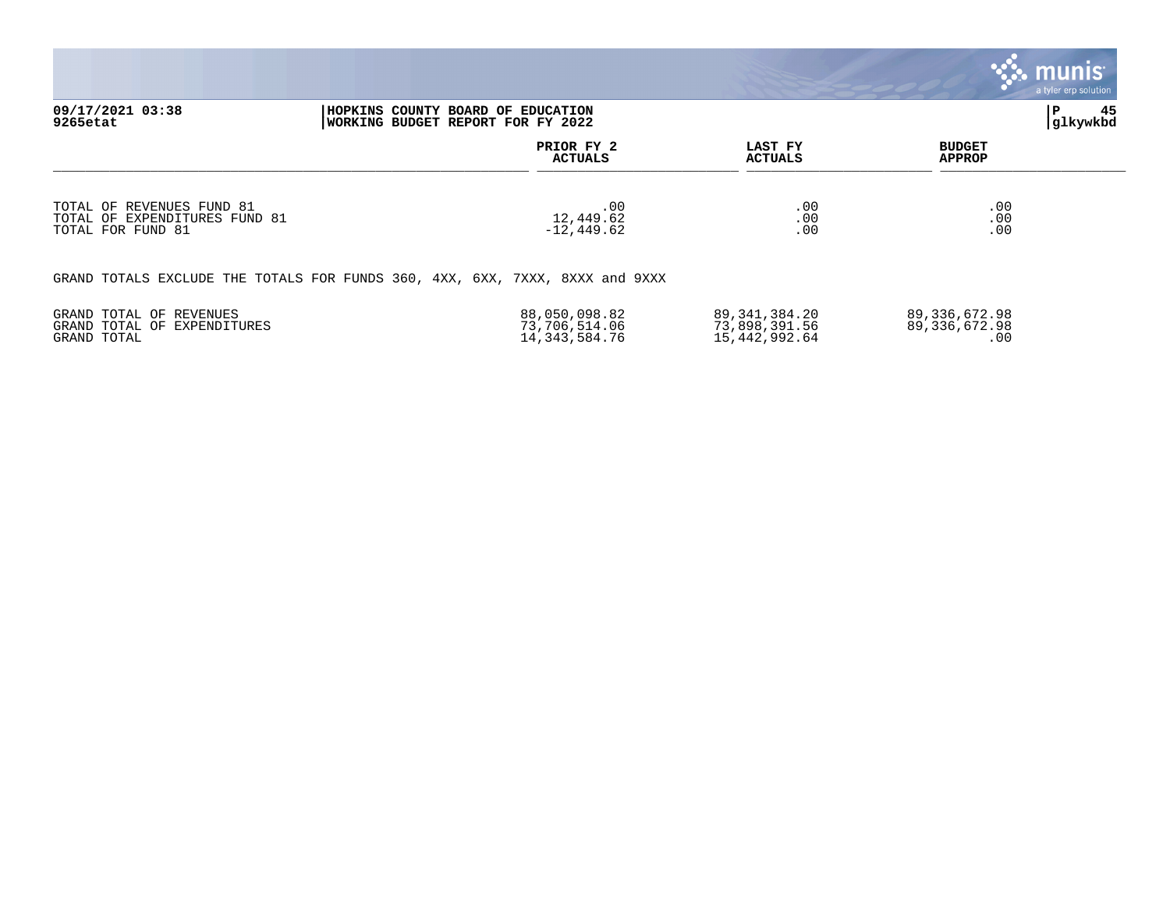|                                                                                                        |                                                    |                                                    | munis <sup>®</sup><br>a tyler erp solution |                |
|--------------------------------------------------------------------------------------------------------|----------------------------------------------------|----------------------------------------------------|--------------------------------------------|----------------|
| 09/17/2021 03:38<br>HOPKINS COUNTY BOARD OF EDUCATION<br>WORKING BUDGET REPORT FOR FY 2022<br>9265etat |                                                    |                                                    | P                                          | 45<br>glkywkbd |
|                                                                                                        | PRIOR FY 2<br><b>ACTUALS</b>                       | LAST FY<br><b>ACTUALS</b>                          | <b>BUDGET</b><br><b>APPROP</b>             |                |
| TOTAL OF REVENUES FUND 81<br>TOTAL OF EXPENDITURES FUND 81<br>TOTAL FOR FUND 81                        | .00<br>12,449.62<br>$-12, 449.62$                  | .00<br>.00<br>.00                                  | .00<br>.00<br>.00                          |                |
| GRAND TOTALS EXCLUDE THE TOTALS FOR FUNDS 360, 4XX, 6XX, 7XXX, 8XXX and 9XXX                           |                                                    |                                                    |                                            |                |
| GRAND TOTAL OF REVENUES<br>GRAND TOTAL OF EXPENDITURES<br>GRAND TOTAL                                  | 88,050,098.82<br>73,706,514.06<br>14, 343, 584. 76 | 89, 341, 384. 20<br>73,898,391.56<br>15,442,992.64 | 89, 336, 672.98<br>89, 336, 672.98<br>.00  |                |